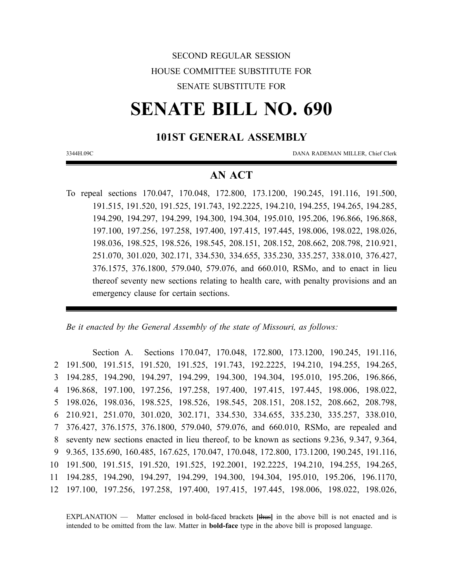# SECOND REGULAR SESSION HOUSE COMMITTEE SUBSTITUTE FOR SENATE SUBSTITUTE FOR

# **SENATE BILL NO. 690**

### **101ST GENERAL ASSEMBLY**

3344H.09C DANA RADEMAN MILLER, Chief Clerk

## **AN ACT**

To repeal sections 170.047, 170.048, 172.800, 173.1200, 190.245, 191.116, 191.500, 191.515, 191.520, 191.525, 191.743, 192.2225, 194.210, 194.255, 194.265, 194.285, 194.290, 194.297, 194.299, 194.300, 194.304, 195.010, 195.206, 196.866, 196.868, 197.100, 197.256, 197.258, 197.400, 197.415, 197.445, 198.006, 198.022, 198.026, 198.036, 198.525, 198.526, 198.545, 208.151, 208.152, 208.662, 208.798, 210.921, 251.070, 301.020, 302.171, 334.530, 334.655, 335.230, 335.257, 338.010, 376.427, 376.1575, 376.1800, 579.040, 579.076, and 660.010, RSMo, and to enact in lieu thereof seventy new sections relating to health care, with penalty provisions and an emergency clause for certain sections.

*Be it enacted by the General Assembly of the state of Missouri, as follows:*

Section A. Sections 170.047, 170.048, 172.800, 173.1200, 190.245, 191.116, 191.500, 191.515, 191.520, 191.525, 191.743, 192.2225, 194.210, 194.255, 194.265, 194.285, 194.290, 194.297, 194.299, 194.300, 194.304, 195.010, 195.206, 196.866, 196.868, 197.100, 197.256, 197.258, 197.400, 197.415, 197.445, 198.006, 198.022, 198.026, 198.036, 198.525, 198.526, 198.545, 208.151, 208.152, 208.662, 208.798, 210.921, 251.070, 301.020, 302.171, 334.530, 334.655, 335.230, 335.257, 338.010, 376.427, 376.1575, 376.1800, 579.040, 579.076, and 660.010, RSMo, are repealed and seventy new sections enacted in lieu thereof, to be known as sections 9.236, 9.347, 9.364, 9.365, 135.690, 160.485, 167.625, 170.047, 170.048, 172.800, 173.1200, 190.245, 191.116, 191.500, 191.515, 191.520, 191.525, 192.2001, 192.2225, 194.210, 194.255, 194.265, 194.285, 194.290, 194.297, 194.299, 194.300, 194.304, 195.010, 195.206, 196.1170, 197.100, 197.256, 197.258, 197.400, 197.415, 197.445, 198.006, 198.022, 198.026,

EXPLANATION — Matter enclosed in bold-faced brackets **[**thus**]** in the above bill is not enacted and is intended to be omitted from the law. Matter in **bold-face** type in the above bill is proposed language.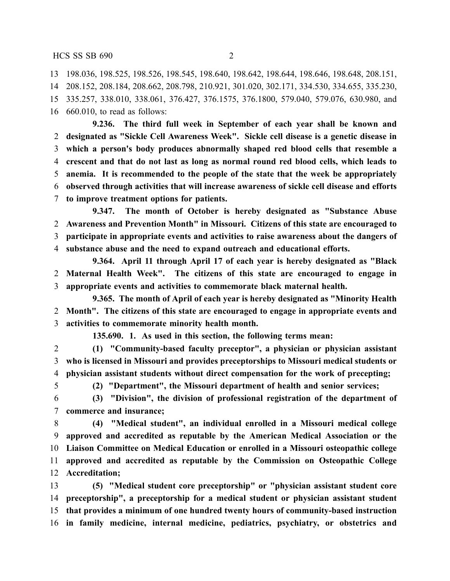198.036, 198.525, 198.526, 198.545, 198.640, 198.642, 198.644, 198.646, 198.648, 208.151, 208.152, 208.184, 208.662, 208.798, 210.921, 301.020, 302.171, 334.530, 334.655, 335.230, 335.257, 338.010, 338.061, 376.427, 376.1575, 376.1800, 579.040, 579.076, 630.980, and 660.010, to read as follows:

**9.236. The third full week in September of each year shall be known and designated as "Sickle Cell Awareness Week". Sickle cell disease is a genetic disease in which a person's body produces abnormally shaped red blood cells that resemble a crescent and that do not last as long as normal round red blood cells, which leads to anemia. It is recommended to the people of the state that the week be appropriately observed through activities that will increase awareness of sickle cell disease and efforts to improve treatment options for patients.**

**9.347. The month of October is hereby designated as "Substance Abuse Awareness and Prevention Month" in Missouri. Citizens of this state are encouraged to participate in appropriate events and activities to raise awareness about the dangers of substance abuse and the need to expand outreach and educational efforts.**

**9.364. April 11 through April 17 of each year is hereby designated as "Black Maternal Health Week". The citizens of this state are encouraged to engage in appropriate events and activities to commemorate black maternal health.**

**9.365. The month of April of each year is hereby designated as "Minority Health Month". The citizens of this state are encouraged to engage in appropriate events and activities to commemorate minority health month.**

**135.690. 1. As used in this section, the following terms mean:**

 **(1) "Community-based faculty preceptor", a physician or physician assistant who is licensed in Missouri and provides preceptorships to Missouri medical students or physician assistant students without direct compensation for the work of precepting;**

**(2) "Department", the Missouri department of health and senior services;**

 **(3) "Division", the division of professional registration of the department of commerce and insurance;**

 **(4) "Medical student", an individual enrolled in a Missouri medical college approved and accredited as reputable by the American Medical Association or the Liaison Committee on Medical Education or enrolled in a Missouri osteopathic college approved and accredited as reputable by the Commission on Osteopathic College Accreditation;**

 **(5) "Medical student core preceptorship" or "physician assistant student core preceptorship", a preceptorship for a medical student or physician assistant student that provides a minimum of one hundred twenty hours of community-based instruction in family medicine, internal medicine, pediatrics, psychiatry, or obstetrics and**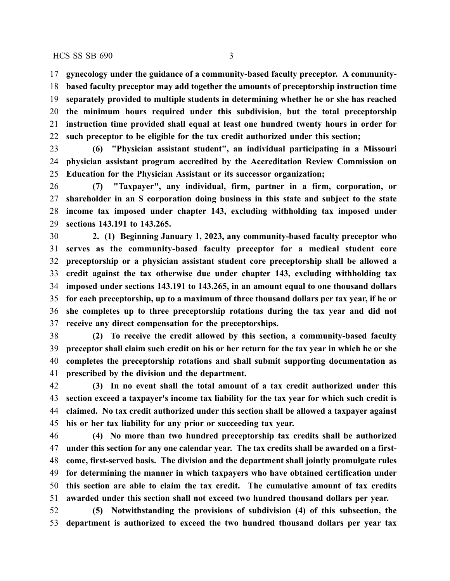**gynecology under the guidance of a community-based faculty preceptor. A community- based faculty preceptor may add together the amounts of preceptorship instruction time separately provided to multiple students in determining whether he or she has reached the minimum hours required under this subdivision, but the total preceptorship instruction time provided shall equal at least one hundred twenty hours in order for such preceptor to be eligible for the tax credit authorized under this section;**

 **(6) "Physician assistant student", an individual participating in a Missouri physician assistant program accredited by the Accreditation Review Commission on Education for the Physician Assistant or its successor organization;**

 **(7) "Taxpayer", any individual, firm, partner in a firm, corporation, or shareholder in an S corporation doing business in this state and subject to the state income tax imposed under chapter 143, excluding withholding tax imposed under sections 143.191 to 143.265.**

 **2. (1) Beginning January 1, 2023, any community-based faculty preceptor who serves as the community-based faculty preceptor for a medical student core preceptorship or a physician assistant student core preceptorship shall be allowed a credit against the tax otherwise due under chapter 143, excluding withholding tax imposed under sections 143.191 to 143.265, in an amount equal to one thousand dollars for each preceptorship, up to a maximum of three thousand dollars per tax year, if he or she completes up to three preceptorship rotations during the tax year and did not receive any direct compensation for the preceptorships.**

 **(2) To receive the credit allowed by this section, a community-based faculty** 39 preceptor shall claim such credit on his or her return for the tax year in which he or she **completes the preceptorship rotations and shall submit supporting documentation as prescribed by the division and the department.**

 **(3) In no event shall the total amount of a tax credit authorized under this section exceed a taxpayer's income tax liability for the tax year for which such credit is claimed. No tax credit authorized under this section shall be allowed a taxpayer against his or her tax liability for any prior or succeeding tax year.**

 **(4) No more than two hundred preceptorship tax credits shall be authorized under this section for any one calendar year. The tax credits shall be awarded on a first- come, first-served basis. The division and the department shall jointly promulgate rules for determining the manner in which taxpayers who have obtained certification under this section are able to claim the tax credit. The cumulative amount of tax credits awarded under this section shall not exceed two hundred thousand dollars per year.**

 **(5) Notwithstanding the provisions of subdivision (4) of this subsection, the department is authorized to exceed the two hundred thousand dollars per year tax**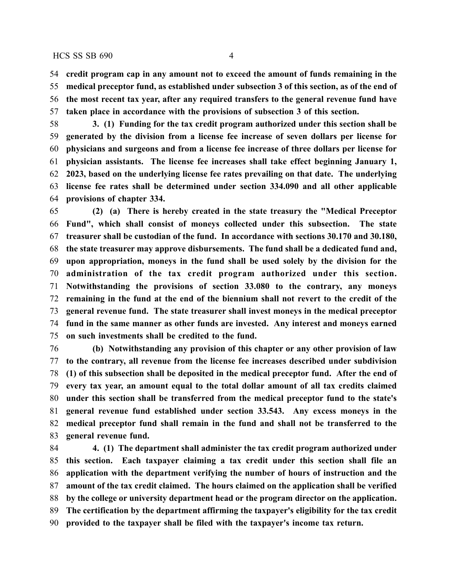**credit program cap in any amount not to exceed the amount of funds remaining in the medical preceptor fund, as established under subsection 3 of this section, as of the end of the most recent tax year, after any required transfers to the general revenue fund have taken place in accordance with the provisions of subsection 3 of this section.**

 **3. (1) Funding for the tax credit program authorized under this section shall be generated by the division from a license fee increase of seven dollars per license for physicians and surgeons and from a license fee increase of three dollars per license for physician assistants. The license fee increases shall take effect beginning January 1, 2023, based on the underlying license fee rates prevailing on that date. The underlying license fee rates shall be determined under section 334.090 and all other applicable provisions of chapter 334.**

 **(2) (a) There is hereby created in the state treasury the "Medical Preceptor Fund", which shall consist of moneys collected under this subsection. The state treasurer shall be custodian of the fund. In accordance with sections 30.170 and 30.180, the state treasurer may approve disbursements. The fund shall be a dedicated fund and, upon appropriation, moneys in the fund shall be used solely by the division for the administration of the tax credit program authorized under this section. Notwithstanding the provisions of section 33.080 to the contrary, any moneys remaining in the fund at the end of the biennium shall not revert to the credit of the general revenue fund. The state treasurer shall invest moneys in the medical preceptor fund in the same manner as other funds are invested. Any interest and moneys earned on such investments shall be credited to the fund.**

 **(b) Notwithstanding any provision of this chapter or any other provision of law to the contrary, all revenue from the license fee increases described under subdivision (1) of this subsection shall be deposited in the medical preceptor fund. After the end of every tax year, an amount equal to the total dollar amount of all tax credits claimed under this section shall be transferred from the medical preceptor fund to the state's general revenue fund established under section 33.543. Any excess moneys in the medical preceptor fund shall remain in the fund and shall not be transferred to the general revenue fund.**

 **4. (1) The department shall administer the tax credit program authorized under this section. Each taxpayer claiming a tax credit under this section shall file an application with the department verifying the number of hours of instruction and the amount of the tax credit claimed. The hours claimed on the application shall be verified by the college or university department head or the program director on the application. The certification by the department affirming the taxpayer's eligibility for the tax credit provided to the taxpayer shall be filed with the taxpayer's income tax return.**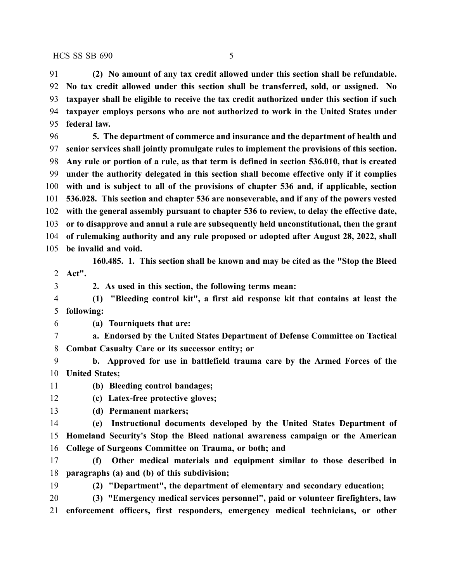**(2) No amount of any tax credit allowed under this section shall be refundable. No tax credit allowed under this section shall be transferred, sold, or assigned. No taxpayer shall be eligible to receive the tax credit authorized under this section if such taxpayer employs persons who are not authorized to work in the United States under federal law.**

 **5. The department of commerce and insurance and the department of health and senior services shall jointly promulgate rules to implement the provisions of this section. Any rule or portion of a rule, as that term is defined in section 536.010, that is created under the authority delegated in this section shall become effective only if it complies with and is subject to all of the provisions of chapter 536 and, if applicable, section 536.028. This section and chapter 536 are nonseverable, and if any of the powers vested with the general assembly pursuant to chapter 536 to review, to delay the effective date, or to disapprove and annul a rule are subsequently held unconstitutional, then the grant of rulemaking authority and any rule proposed or adopted after August 28, 2022, shall be invalid and void.**

**160.485. 1. This section shall be known and may be cited as the "Stop the Bleed Act".**

**2. As used in this section, the following terms mean:**

 **(1) "Bleeding control kit", a first aid response kit that contains at least the following:**

**(a) Tourniquets that are:**

 **a. Endorsed by the United States Department of Defense Committee on Tactical Combat Casualty Care or its successor entity; or**

 **b. Approved for use in battlefield trauma care by the Armed Forces of the United States;**

**(b) Bleeding control bandages;**

**(c) Latex-free protective gloves;**

**(d) Permanent markers;**

 **(e) Instructional documents developed by the United States Department of Homeland Security's Stop the Bleed national awareness campaign or the American College of Surgeons Committee on Trauma, or both; and**

 **(f) Other medical materials and equipment similar to those described in paragraphs (a) and (b) of this subdivision;**

**(2) "Department", the department of elementary and secondary education;**

 **(3) "Emergency medical services personnel", paid or volunteer firefighters, law enforcement officers, first responders, emergency medical technicians, or other**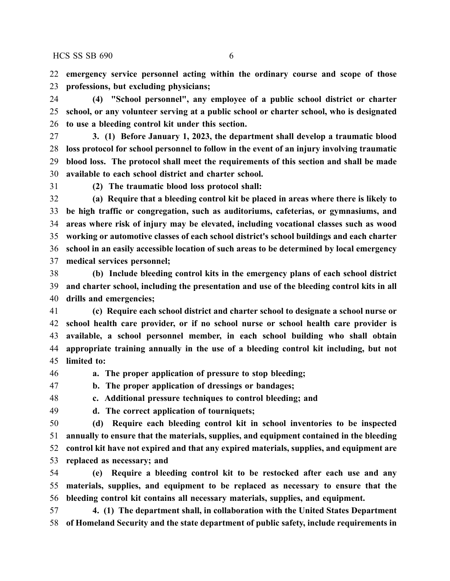**emergency service personnel acting within the ordinary course and scope of those professions, but excluding physicians;**

 **(4) "School personnel", any employee of a public school district or charter school, or any volunteer serving at a public school or charter school, who is designated to use a bleeding control kit under this section.**

- **3. (1) Before January 1, 2023, the department shall develop a traumatic blood loss protocol for school personnel to follow in the event of an injury involving traumatic blood loss. The protocol shall meet the requirements of this section and shall be made available to each school district and charter school.**
- 

**(2) The traumatic blood loss protocol shall:**

 **(a) Require that a bleeding control kit be placed in areas where there is likely to be high traffic or congregation, such as auditoriums, cafeterias, or gymnasiums, and areas where risk of injury may be elevated, including vocational classes such as wood working or automotive classes of each school district's school buildings and each charter school in an easily accessible location of such areas to be determined by local emergency medical services personnel;**

 **(b) Include bleeding control kits in the emergency plans of each school district and charter school, including the presentation and use of the bleeding control kits in all drills and emergencies;**

 **(c) Require each school district and charter school to designate a school nurse or school health care provider, or if no school nurse or school health care provider is available, a school personnel member, in each school building who shall obtain appropriate training annually in the use of a bleeding control kit including, but not limited to:**

**a. The proper application of pressure to stop bleeding;**

**b. The proper application of dressings or bandages;**

**c. Additional pressure techniques to control bleeding; and**

**d. The correct application of tourniquets;**

 **(d) Require each bleeding control kit in school inventories to be inspected annually to ensure that the materials, supplies, and equipment contained in the bleeding control kit have not expired and that any expired materials, supplies, and equipment are replaced as necessary; and**

 **(e) Require a bleeding control kit to be restocked after each use and any materials, supplies, and equipment to be replaced as necessary to ensure that the bleeding control kit contains all necessary materials, supplies, and equipment.**

 **4. (1) The department shall, in collaboration with the United States Department of Homeland Security and the state department of public safety, include requirements in**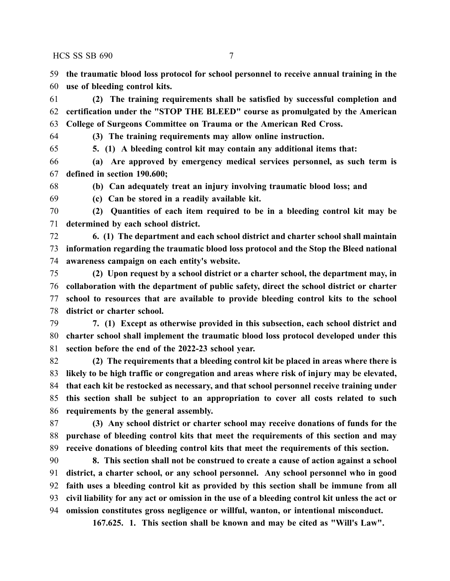**the traumatic blood loss protocol for school personnel to receive annual training in the use of bleeding control kits.**

 **(2) The training requirements shall be satisfied by successful completion and certification under the "STOP THE BLEED" course as promulgated by the American College of Surgeons Committee on Trauma or the American Red Cross.**

**(3) The training requirements may allow online instruction.**

**5. (1) A bleeding control kit may contain any additional items that:**

 **(a) Are approved by emergency medical services personnel, as such term is defined in section 190.600;**

**(b) Can adequately treat an injury involving traumatic blood loss; and**

**(c) Can be stored in a readily available kit.**

 **(2) Quantities of each item required to be in a bleeding control kit may be determined by each school district.**

 **6. (1) The department and each school district and charter school shall maintain information regarding the traumatic blood loss protocol and the Stop the Bleed national awareness campaign on each entity's website.**

 **(2) Upon request by a school district or a charter school, the department may, in collaboration with the department of public safety, direct the school district or charter school to resources that are available to provide bleeding control kits to the school district or charter school.**

 **7. (1) Except as otherwise provided in this subsection, each school district and charter school shall implement the traumatic blood loss protocol developed under this section before the end of the 2022-23 school year.**

 **(2) The requirements that a bleeding control kit be placed in areas where there is likely to be high traffic or congregation and areas where risk of injury may be elevated, that each kit be restocked as necessary, and that school personnel receive training under this section shall be subject to an appropriation to cover all costs related to such requirements by the general assembly.**

 **(3) Any school district or charter school may receive donations of funds for the purchase of bleeding control kits that meet the requirements of this section and may receive donations of bleeding control kits that meet the requirements of this section.**

 **8. This section shall not be construed to create a cause of action against a school district, a charter school, or any school personnel. Any school personnel who in good faith uses a bleeding control kit as provided by this section shall be immune from all** 93 civil liability for any act or omission in the use of a bleeding control kit unless the act or **omission constitutes gross negligence or willful, wanton, or intentional misconduct.**

**167.625. 1. This section shall be known and may be cited as "Will's Law".**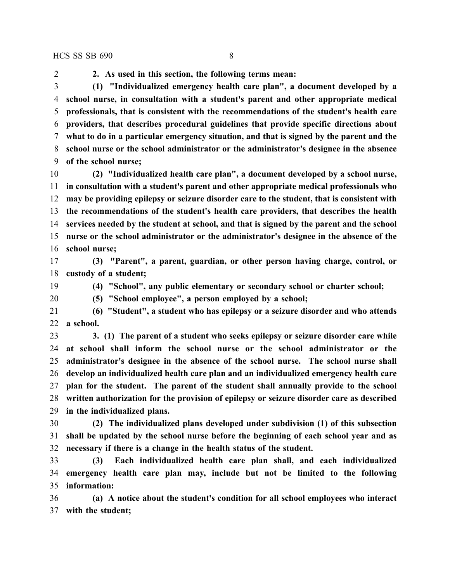**2. As used in this section, the following terms mean: (1) "Individualized emergency health care plan", a document developed by a school nurse, in consultation with a student's parent and other appropriate medical professionals, that is consistent with the recommendations of the student's health care providers, that describes procedural guidelines that provide specific directions about what to do in a particular emergency situation, and that is signed by the parent and the school nurse or the school administrator or the administrator's designee in the absence of the school nurse;**

 **(2) "Individualized health care plan", a document developed by a school nurse, in consultation with a student's parent and other appropriate medical professionals who may be providing epilepsy or seizure disorder care to the student, that is consistent with the recommendations of the student's health care providers, that describes the health services needed by the student at school, and that is signed by the parent and the school nurse or the school administrator or the administrator's designee in the absence of the school nurse;**

 **(3) "Parent", a parent, guardian, or other person having charge, control, or custody of a student;**

**(4) "School", any public elementary or secondary school or charter school;**

**(5) "School employee", a person employed by a school;**

 **(6) "Student", a student who has epilepsy or a seizure disorder and who attends a school.**

 **3. (1) The parent of a student who seeks epilepsy or seizure disorder care while at school shall inform the school nurse or the school administrator or the administrator's designee in the absence of the school nurse. The school nurse shall develop an individualized health care plan and an individualized emergency health care plan for the student. The parent of the student shall annually provide to the school written authorization for the provision of epilepsy or seizure disorder care as described in the individualized plans.**

 **(2) The individualized plans developed under subdivision (1) of this subsection shall be updated by the school nurse before the beginning of each school year and as necessary if there is a change in the health status of the student.**

 **(3) Each individualized health care plan shall, and each individualized emergency health care plan may, include but not be limited to the following information:**

 **(a) A notice about the student's condition for all school employees who interact with the student;**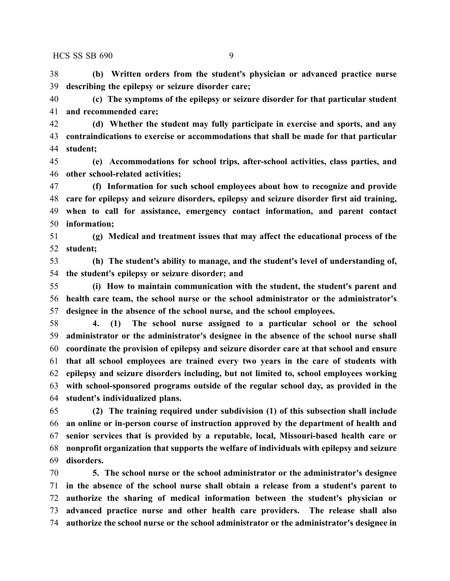**(b) Written orders from the student's physician or advanced practice nurse describing the epilepsy or seizure disorder care;**

 **(c) The symptoms of the epilepsy or seizure disorder for that particular student and recommended care;**

 **(d) Whether the student may fully participate in exercise and sports, and any contraindications to exercise or accommodations that shall be made for that particular student;**

 **(e) Accommodations for school trips, after-school activities, class parties, and other school-related activities;**

 **(f) Information for such school employees about how to recognize and provide care for epilepsy and seizure disorders, epilepsy and seizure disorder first aid training, when to call for assistance, emergency contact information, and parent contact information;**

 **(g) Medical and treatment issues that may affect the educational process of the student;**

 **(h) The student's ability to manage, and the student's level of understanding of, the student's epilepsy or seizure disorder; and**

 **(i) How to maintain communication with the student, the student's parent and health care team, the school nurse or the school administrator or the administrator's designee in the absence of the school nurse, and the school employees.**

 **4. (1) The school nurse assigned to a particular school or the school administrator or the administrator's designee in the absence of the school nurse shall coordinate the provision of epilepsy and seizure disorder care at that school and ensure that all school employees are trained every two years in the care of students with epilepsy and seizure disorders including, but not limited to, school employees working with school-sponsored programs outside of the regular school day, as provided in the student's individualized plans.**

 **(2) The training required under subdivision (1) of this subsection shall include an online or in-person course of instruction approved by the department of health and senior services that is provided by a reputable, local, Missouri-based health care or nonprofit organization that supports the welfare of individuals with epilepsy and seizure disorders.**

 **5. The school nurse or the school administrator or the administrator's designee in the absence of the school nurse shall obtain a release from a student's parent to authorize the sharing of medical information between the student's physician or advanced practice nurse and other health care providers. The release shall also authorize the school nurse or the school administrator or the administrator's designee in**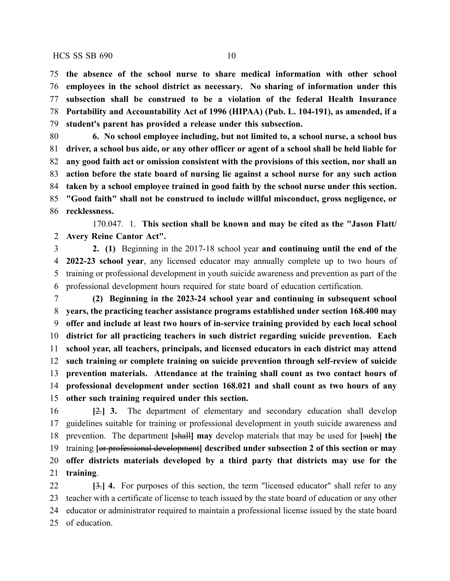**the absence of the school nurse to share medical information with other school employees in the school district as necessary. No sharing of information under this subsection shall be construed to be a violation of the federal Health Insurance Portability and Accountability Act of 1996 (HIPAA) (Pub. L. 104-191), as amended, if a**

**student's parent has provided a release under this subsection.**

 **6. No school employee including, but not limited to, a school nurse, a school bus** 81 driver, a school bus aide, or any other officer or agent of a school shall be held liable for **any good faith act or omission consistent with the provisions of this section, nor shall an action before the state board of nursing lie against a school nurse for any such action taken by a school employee trained in good faith by the school nurse under this section. "Good faith" shall not be construed to include willful misconduct, gross negligence, or recklessness.**

170.047. 1. **This section shall be known and may be cited as the "Jason Flatt/ Avery Reine Cantor Act".**

 **2. (1)** Beginning in the 2017-18 school year **and continuing until the end of the 2022-23 school year**, any licensed educator may annually complete up to two hours of training or professional development in youth suicide awareness and prevention as part of the professional development hours required for state board of education certification.

 **(2) Beginning in the 2023-24 school year and continuing in subsequent school years, the practicing teacher assistance programs established under section 168.400 may offer and include at least two hours of in-service training provided by each local school district for all practicing teachers in such district regarding suicide prevention. Each school year, all teachers, principals, and licensed educators in each district may attend such training or complete training on suicide prevention through self-review of suicide prevention materials. Attendance at the training shall count as two contact hours of professional development under section 168.021 and shall count as two hours of any other such training required under this section.**

 **[**2.**] 3.** The department of elementary and secondary education shall develop guidelines suitable for training or professional development in youth suicide awareness and prevention. The department **[**shall**] may** develop materials that may be used for **[**such**] the** training **[**or professional development**] described under subsection 2 of this section or may offer districts materials developed by a third party that districts may use for the training**.

 **[**3.**] 4.** For purposes of this section, the term "licensed educator" shall refer to any teacher with a certificate of license to teach issued by the state board of education or any other educator or administrator required to maintain a professional license issued by the state board of education.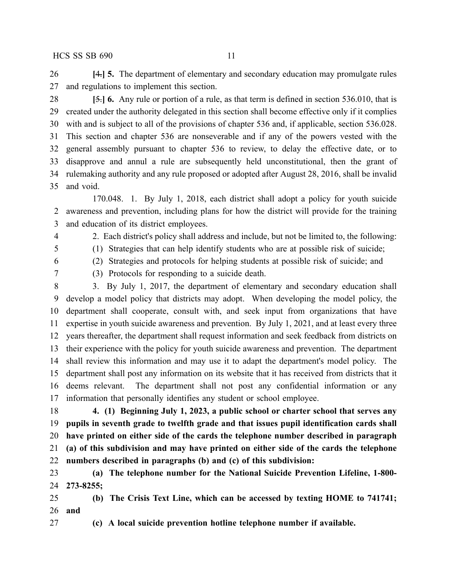**[**4.**] 5.** The department of elementary and secondary education may promulgate rules and regulations to implement this section.

 **[**5.**] 6.** Any rule or portion of a rule, as that term is defined in section 536.010, that is created under the authority delegated in this section shall become effective only if it complies with and is subject to all of the provisions of chapter 536 and, if applicable, section 536.028. This section and chapter 536 are nonseverable and if any of the powers vested with the general assembly pursuant to chapter 536 to review, to delay the effective date, or to disapprove and annul a rule are subsequently held unconstitutional, then the grant of rulemaking authority and any rule proposed or adopted after August 28, 2016, shall be invalid and void.

170.048. 1. By July 1, 2018, each district shall adopt a policy for youth suicide awareness and prevention, including plans for how the district will provide for the training and education of its district employees.

2. Each district's policy shall address and include, but not be limited to, the following:

 (1) Strategies that can help identify students who are at possible risk of suicide; (2) Strategies and protocols for helping students at possible risk of suicide; and

(3) Protocols for responding to a suicide death.

 3. By July 1, 2017, the department of elementary and secondary education shall develop a model policy that districts may adopt. When developing the model policy, the department shall cooperate, consult with, and seek input from organizations that have expertise in youth suicide awareness and prevention. By July 1, 2021, and at least every three years thereafter, the department shall request information and seek feedback from districts on their experience with the policy for youth suicide awareness and prevention. The department shall review this information and may use it to adapt the department's model policy. The department shall post any information on its website that it has received from districts that it deems relevant. The department shall not post any confidential information or any information that personally identifies any student or school employee.

 **4. (1) Beginning July 1, 2023, a public school or charter school that serves any pupils in seventh grade to twelfth grade and that issues pupil identification cards shall have printed on either side of the cards the telephone number described in paragraph (a) of this subdivision and may have printed on either side of the cards the telephone numbers described in paragraphs (b) and (c) of this subdivision:**

 **(a) The telephone number for the National Suicide Prevention Lifeline, 1-800- 273-8255;**

 **(b) The Crisis Text Line, which can be accessed by texting HOME to 741741; and**

**(c) A local suicide prevention hotline telephone number if available.**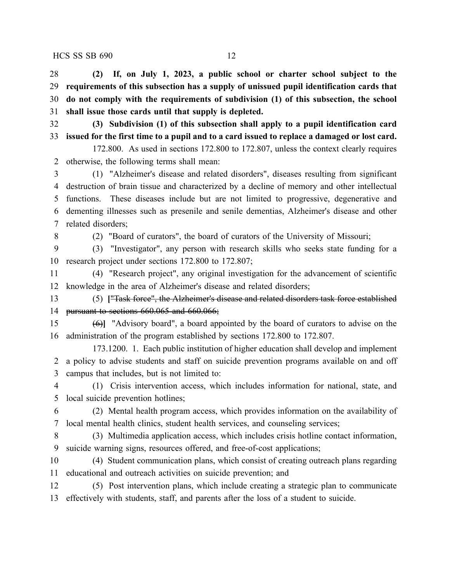**(2) If, on July 1, 2023, a public school or charter school subject to the requirements of this subsection has a supply of unissued pupil identification cards that do not comply with the requirements of subdivision (1) of this subsection, the school shall issue those cards until that supply is depleted. (3) Subdivision (1) of this subsection shall apply to a pupil identification card** 33 issued for the first time to a pupil and to a card issued to replace a damaged or lost card. 172.800. As used in sections 172.800 to 172.807, unless the context clearly requires otherwise, the following terms shall mean: (1) "Alzheimer's disease and related disorders", diseases resulting from significant destruction of brain tissue and characterized by a decline of memory and other intellectual functions. These diseases include but are not limited to progressive, degenerative and dementing illnesses such as presenile and senile dementias, Alzheimer's disease and other related disorders;

(2) "Board of curators", the board of curators of the University of Missouri;

 (3) "Investigator", any person with research skills who seeks state funding for a research project under sections 172.800 to 172.807;

 (4) "Research project", any original investigation for the advancement of scientific knowledge in the area of Alzheimer's disease and related disorders;

 (5) **[**"Task force", the Alzheimer's disease and related disorders task force established pursuant to sections 660.065 and 660.066;

 (6)**]** "Advisory board", a board appointed by the board of curators to advise on the administration of the program established by sections 172.800 to 172.807.

173.1200. 1. Each public institution of higher education shall develop and implement a policy to advise students and staff on suicide prevention programs available on and off campus that includes, but is not limited to:

 (1) Crisis intervention access, which includes information for national, state, and local suicide prevention hotlines;

 (2) Mental health program access, which provides information on the availability of local mental health clinics, student health services, and counseling services;

 (3) Multimedia application access, which includes crisis hotline contact information, suicide warning signs, resources offered, and free-of-cost applications;

 (4) Student communication plans, which consist of creating outreach plans regarding educational and outreach activities on suicide prevention; and

 (5) Post intervention plans, which include creating a strategic plan to communicate effectively with students, staff, and parents after the loss of a student to suicide.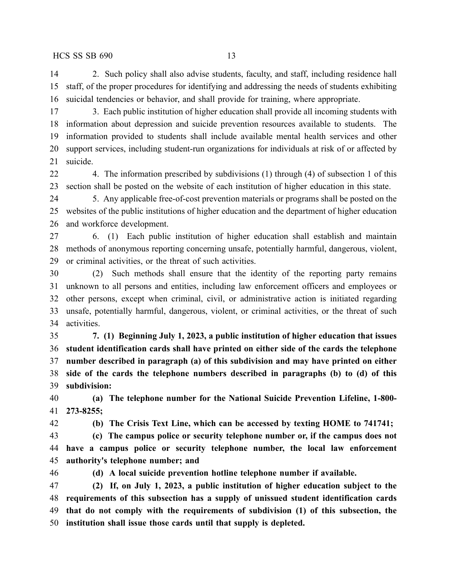2. Such policy shall also advise students, faculty, and staff, including residence hall staff, of the proper procedures for identifying and addressing the needs of students exhibiting suicidal tendencies or behavior, and shall provide for training, where appropriate.

 3. Each public institution of higher education shall provide all incoming students with information about depression and suicide prevention resources available to students. The information provided to students shall include available mental health services and other support services, including student-run organizations for individuals at risk of or affected by suicide.

 4. The information prescribed by subdivisions (1) through (4) of subsection 1 of this section shall be posted on the website of each institution of higher education in this state.

 5. Any applicable free-of-cost prevention materials or programs shall be posted on the websites of the public institutions of higher education and the department of higher education and workforce development.

 6. (1) Each public institution of higher education shall establish and maintain methods of anonymous reporting concerning unsafe, potentially harmful, dangerous, violent, or criminal activities, or the threat of such activities.

 (2) Such methods shall ensure that the identity of the reporting party remains unknown to all persons and entities, including law enforcement officers and employees or other persons, except when criminal, civil, or administrative action is initiated regarding unsafe, potentially harmful, dangerous, violent, or criminal activities, or the threat of such activities.

 **7. (1) Beginning July 1, 2023, a public institution of higher education that issues student identification cards shall have printed on either side of the cards the telephone number described in paragraph (a) of this subdivision and may have printed on either side of the cards the telephone numbers described in paragraphs (b) to (d) of this subdivision:**

 **(a) The telephone number for the National Suicide Prevention Lifeline, 1-800- 273-8255;**

**(b) The Crisis Text Line, which can be accessed by texting HOME to 741741;**

 **(c) The campus police or security telephone number or, if the campus does not have a campus police or security telephone number, the local law enforcement authority's telephone number; and**

**(d) A local suicide prevention hotline telephone number if available.**

 **(2) If, on July 1, 2023, a public institution of higher education subject to the requirements of this subsection has a supply of unissued student identification cards that do not comply with the requirements of subdivision (1) of this subsection, the institution shall issue those cards until that supply is depleted.**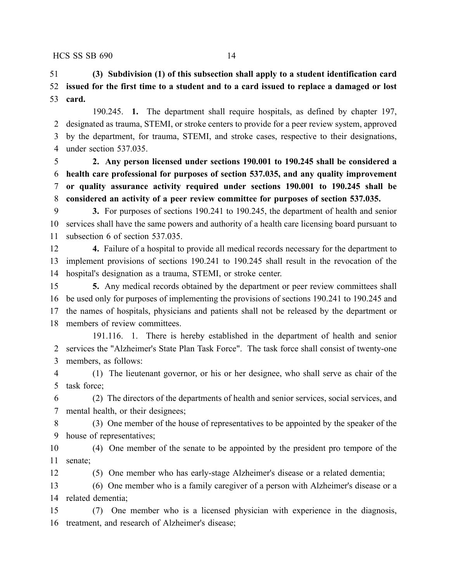**(3) Subdivision (1) of this subsection shall apply to a student identification card issued for the first time to a student and to a card issued to replace a damaged or lost card.**

190.245. **1.** The department shall require hospitals, as defined by chapter 197, designated as trauma, STEMI, or stroke centers to provide for a peer review system, approved by the department, for trauma, STEMI, and stroke cases, respective to their designations, under section 537.035.

 **2. Any person licensed under sections 190.001 to 190.245 shall be considered a health care professional for purposes of section 537.035, and any quality improvement or quality assurance activity required under sections 190.001 to 190.245 shall be considered an activity of a peer review committee for purposes of section 537.035.**

 **3.** For purposes of sections 190.241 to 190.245, the department of health and senior services shall have the same powers and authority of a health care licensing board pursuant to subsection 6 of section 537.035.

 **4.** Failure of a hospital to provide all medical records necessary for the department to implement provisions of sections 190.241 to 190.245 shall result in the revocation of the hospital's designation as a trauma, STEMI, or stroke center.

 **5.** Any medical records obtained by the department or peer review committees shall be used only for purposes of implementing the provisions of sections 190.241 to 190.245 and the names of hospitals, physicians and patients shall not be released by the department or members of review committees.

191.116. 1. There is hereby established in the department of health and senior services the "Alzheimer's State Plan Task Force". The task force shall consist of twenty-one members, as follows:

 (1) The lieutenant governor, or his or her designee, who shall serve as chair of the task force;

 (2) The directors of the departments of health and senior services, social services, and mental health, or their designees;

 (3) One member of the house of representatives to be appointed by the speaker of the house of representatives;

 (4) One member of the senate to be appointed by the president pro tempore of the senate;

(5) One member who has early-stage Alzheimer's disease or a related dementia;

 (6) One member who is a family caregiver of a person with Alzheimer's disease or a related dementia;

 (7) One member who is a licensed physician with experience in the diagnosis, treatment, and research of Alzheimer's disease;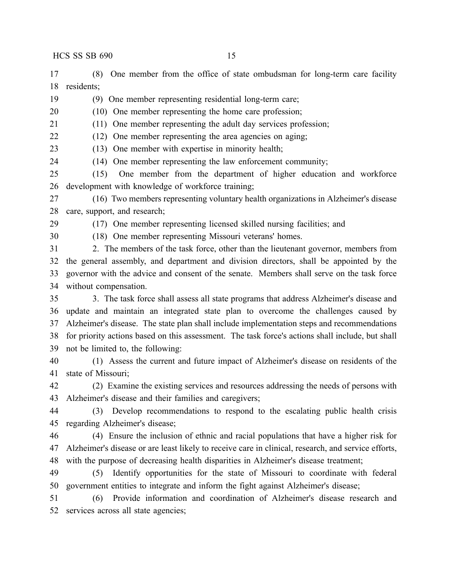(8) One member from the office of state ombudsman for long-term care facility residents;

(9) One member representing residential long-term care;

(10) One member representing the home care profession;

(11) One member representing the adult day services profession;

(12) One member representing the area agencies on aging;

(13) One member with expertise in minority health;

(14) One member representing the law enforcement community;

 (15) One member from the department of higher education and workforce development with knowledge of workforce training;

 (16) Two members representing voluntary health organizations in Alzheimer's disease care, support, and research;

(17) One member representing licensed skilled nursing facilities; and

(18) One member representing Missouri veterans' homes.

 2. The members of the task force, other than the lieutenant governor, members from the general assembly, and department and division directors, shall be appointed by the governor with the advice and consent of the senate. Members shall serve on the task force without compensation.

 3. The task force shall assess all state programs that address Alzheimer's disease and update and maintain an integrated state plan to overcome the challenges caused by Alzheimer's disease. The state plan shall include implementation steps and recommendations for priority actions based on this assessment. The task force's actions shall include, but shall not be limited to, the following:

 (1) Assess the current and future impact of Alzheimer's disease on residents of the state of Missouri;

 (2) Examine the existing services and resources addressing the needs of persons with Alzheimer's disease and their families and caregivers;

 (3) Develop recommendations to respond to the escalating public health crisis regarding Alzheimer's disease;

 (4) Ensure the inclusion of ethnic and racial populations that have a higher risk for Alzheimer's disease or are least likely to receive care in clinical, research, and service efforts, with the purpose of decreasing health disparities in Alzheimer's disease treatment;

 (5) Identify opportunities for the state of Missouri to coordinate with federal government entities to integrate and inform the fight against Alzheimer's disease;

 (6) Provide information and coordination of Alzheimer's disease research and services across all state agencies;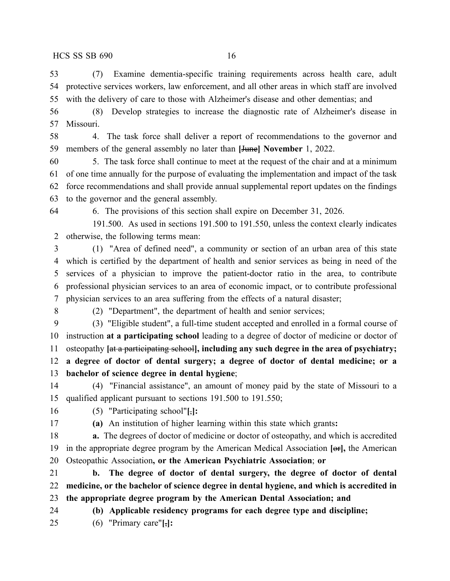(7) Examine dementia-specific training requirements across health care, adult protective services workers, law enforcement, and all other areas in which staff are involved with the delivery of care to those with Alzheimer's disease and other dementias; and

 (8) Develop strategies to increase the diagnostic rate of Alzheimer's disease in Missouri.

 4. The task force shall deliver a report of recommendations to the governor and members of the general assembly no later than **[**June**] November** 1, 2022.

 5. The task force shall continue to meet at the request of the chair and at a minimum of one time annually for the purpose of evaluating the implementation and impact of the task force recommendations and shall provide annual supplemental report updates on the findings to the governor and the general assembly.

6. The provisions of this section shall expire on December 31, 2026.

191.500. As used in sections 191.500 to 191.550, unless the context clearly indicates otherwise, the following terms mean:

 (1) "Area of defined need", a community or section of an urban area of this state which is certified by the department of health and senior services as being in need of the services of a physician to improve the patient-doctor ratio in the area, to contribute professional physician services to an area of economic impact, or to contribute professional physician services to an area suffering from the effects of a natural disaster;

(2) "Department", the department of health and senior services;

 (3) "Eligible student", a full-time student accepted and enrolled in a formal course of instruction **at a participating school** leading to a degree of doctor of medicine or doctor of osteopathy **[**at a participating school**], including any such degree in the area of psychiatry; a degree of doctor of dental surgery; a degree of doctor of dental medicine; or a bachelor of science degree in dental hygiene**;

 (4) "Financial assistance", an amount of money paid by the state of Missouri to a qualified applicant pursuant to sections 191.500 to 191.550;

(5) "Participating school"**[**,**]:**

**(a)** An institution of higher learning within this state which grants**:**

 **a.** The degrees of doctor of medicine or doctor of osteopathy, and which is accredited in the appropriate degree program by the American Medical Association **[**or**],** the American Osteopathic Association**, or the American Psychiatric Association**; **or**

 **b. The degree of doctor of dental surgery, the degree of doctor of dental medicine, or the bachelor of science degree in dental hygiene, and which is accredited in the appropriate degree program by the American Dental Association; and**

**(b) Applicable residency programs for each degree type and discipline;**

(6) "Primary care"**[**,**]:**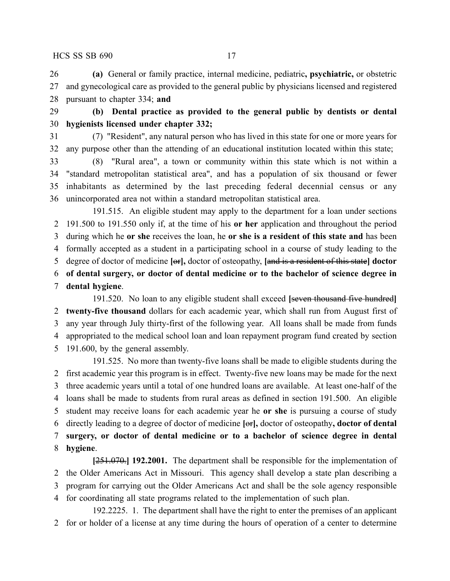**(a)** General or family practice, internal medicine, pediatric**, psychiatric,** or obstetric and gynecological care as provided to the general public by physicians licensed and registered pursuant to chapter 334; **and**

 **(b) Dental practice as provided to the general public by dentists or dental hygienists licensed under chapter 332;**

 (7) "Resident", any natural person who has lived in this state for one or more years for any purpose other than the attending of an educational institution located within this state;

 (8) "Rural area", a town or community within this state which is not within a "standard metropolitan statistical area", and has a population of six thousand or fewer inhabitants as determined by the last preceding federal decennial census or any unincorporated area not within a standard metropolitan statistical area.

191.515. An eligible student may apply to the department for a loan under sections 191.500 to 191.550 only if, at the time of his **or her** application and throughout the period during which he **or she** receives the loan, he **or she is a resident of this state and** has been formally accepted as a student in a participating school in a course of study leading to the degree of doctor of medicine **[**or**],** doctor of osteopathy, **[**and is a resident of this state**] doctor of dental surgery, or doctor of dental medicine or to the bachelor of science degree in dental hygiene**.

191.520. No loan to any eligible student shall exceed **[**seven thousand five hundred**] twenty-five thousand** dollars for each academic year, which shall run from August first of any year through July thirty-first of the following year. All loans shall be made from funds appropriated to the medical school loan and loan repayment program fund created by section 191.600, by the general assembly.

191.525. No more than twenty-five loans shall be made to eligible students during the first academic year this program is in effect. Twenty-five new loans may be made for the next three academic years until a total of one hundred loans are available. At least one-half of the loans shall be made to students from rural areas as defined in section 191.500. An eligible student may receive loans for each academic year he **or she** is pursuing a course of study directly leading to a degree of doctor of medicine **[**or**],** doctor of osteopathy**, doctor of dental surgery, or doctor of dental medicine or to a bachelor of science degree in dental hygiene**.

**[**251.070.**] 192.2001.** The department shall be responsible for the implementation of the Older Americans Act in Missouri. This agency shall develop a state plan describing a program for carrying out the Older Americans Act and shall be the sole agency responsible for coordinating all state programs related to the implementation of such plan.

192.2225. 1. The department shall have the right to enter the premises of an applicant for or holder of a license at any time during the hours of operation of a center to determine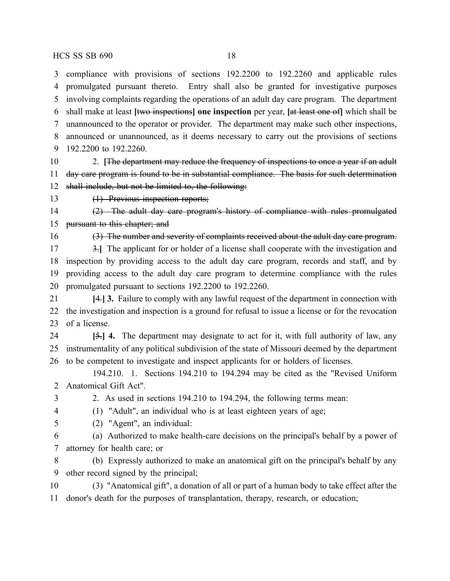compliance with provisions of sections 192.2200 to 192.2260 and applicable rules promulgated pursuant thereto. Entry shall also be granted for investigative purposes involving complaints regarding the operations of an adult day care program. The department shall make at least **[**two inspections**] one inspection** per year, **[**at least one of**]** which shall be unannounced to the operator or provider. The department may make such other inspections, announced or unannounced, as it deems necessary to carry out the provisions of sections 192.2200 to 192.2260.

 2. **[**The department may reduce the frequency of inspections to once a year if an adult day care program is found to be in substantial compliance. The basis for such determination shall include, but not be limited to, the following:

(1) Previous inspection reports;

 (2) The adult day care program's history of compliance with rules promulgated pursuant to this chapter; and

(3) The number and severity of complaints received about the adult day care program.

 3.**]** The applicant for or holder of a license shall cooperate with the investigation and inspection by providing access to the adult day care program, records and staff, and by providing access to the adult day care program to determine compliance with the rules promulgated pursuant to sections 192.2200 to 192.2260.

 **[**4.**] 3.** Failure to comply with any lawful request of the department in connection with the investigation and inspection is a ground for refusal to issue a license or for the revocation of a license.

 **[**5.**] 4.** The department may designate to act for it, with full authority of law, any instrumentality of any political subdivision of the state of Missouri deemed by the department to be competent to investigate and inspect applicants for or holders of licenses.

194.210. 1. Sections 194.210 to 194.294 may be cited as the "Revised Uniform Anatomical Gift Act".

2. As used in sections 194.210 to 194.294, the following terms mean:

(1) "Adult", an individual who is at least eighteen years of age;

(2) "Agent", an individual:

 (a) Authorized to make health-care decisions on the principal's behalf by a power of attorney for health care; or

 (b) Expressly authorized to make an anatomical gift on the principal's behalf by any other record signed by the principal;

 (3) "Anatomical gift", a donation of all or part of a human body to take effect after the donor's death for the purposes of transplantation, therapy, research, or education;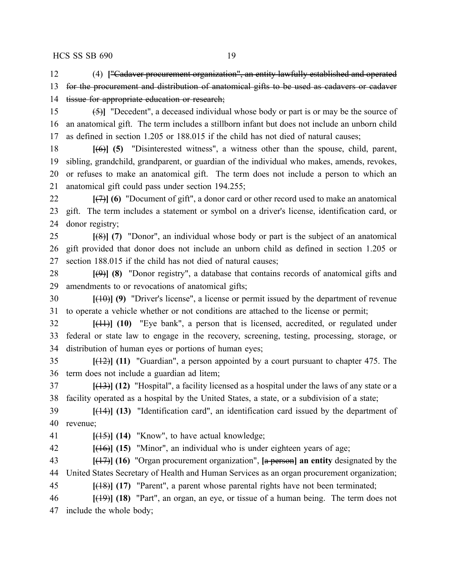(4) **[**"Cadaver procurement organization", an entity lawfully established and operated for the procurement and distribution of anatomical gifts to be used as cadavers or cadaver 14 tissue for appropriate education or research;

 (5)**]** "Decedent", a deceased individual whose body or part is or may be the source of an anatomical gift. The term includes a stillborn infant but does not include an unborn child as defined in section 1.205 or 188.015 if the child has not died of natural causes;

 **[**(6)**] (5)** "Disinterested witness", a witness other than the spouse, child, parent, sibling, grandchild, grandparent, or guardian of the individual who makes, amends, revokes, or refuses to make an anatomical gift. The term does not include a person to which an anatomical gift could pass under section 194.255;

 **[**(7)**] (6)** "Document of gift", a donor card or other record used to make an anatomical gift. The term includes a statement or symbol on a driver's license, identification card, or donor registry;

 **[**(8)**] (7)** "Donor", an individual whose body or part is the subject of an anatomical gift provided that donor does not include an unborn child as defined in section 1.205 or section 188.015 if the child has not died of natural causes;

 **[**(9)**] (8)** "Donor registry", a database that contains records of anatomical gifts and amendments to or revocations of anatomical gifts;

 **[**(10)**] (9)** "Driver's license", a license or permit issued by the department of revenue to operate a vehicle whether or not conditions are attached to the license or permit;

 **[**(11)**] (10)** "Eye bank", a person that is licensed, accredited, or regulated under federal or state law to engage in the recovery, screening, testing, processing, storage, or distribution of human eyes or portions of human eyes;

 **[**(12)**] (11)** "Guardian", a person appointed by a court pursuant to chapter 475. The term does not include a guardian ad litem;

 **[**(13)**] (12)** "Hospital", a facility licensed as a hospital under the laws of any state or a facility operated as a hospital by the United States, a state, or a subdivision of a state;

 **[**(14)**] (13)** "Identification card", an identification card issued by the department of revenue;

**[**(15)**] (14)** "Know", to have actual knowledge;

**[**(16)**] (15)** "Minor", an individual who is under eighteen years of age;

 **[**(17)**] (16)** "Organ procurement organization", **[**a person**] an entity** designated by the United States Secretary of Health and Human Services as an organ procurement organization;

**[**(18)**] (17)** "Parent", a parent whose parental rights have not been terminated;

 **[**(19)**] (18)** "Part", an organ, an eye, or tissue of a human being. The term does not include the whole body;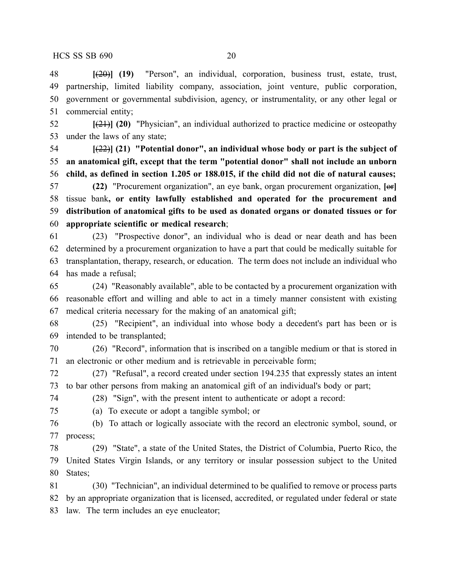**[**(20)**] (19)** "Person", an individual, corporation, business trust, estate, trust, partnership, limited liability company, association, joint venture, public corporation, government or governmental subdivision, agency, or instrumentality, or any other legal or commercial entity;

 **[**(21)**] (20)** "Physician", an individual authorized to practice medicine or osteopathy under the laws of any state;

 **[**(22)**] (21) "Potential donor", an individual whose body or part is the subject of an anatomical gift, except that the term "potential donor" shall not include an unborn child, as defined in section 1.205 or 188.015, if the child did not die of natural causes;**

 **(22)** "Procurement organization", an eye bank, organ procurement organization, **[**or**]** tissue bank**, or entity lawfully established and operated for the procurement and distribution of anatomical gifts to be used as donated organs or donated tissues or for appropriate scientific or medical research**;

 (23) "Prospective donor", an individual who is dead or near death and has been determined by a procurement organization to have a part that could be medically suitable for transplantation, therapy, research, or education. The term does not include an individual who has made a refusal;

 (24) "Reasonably available", able to be contacted by a procurement organization with reasonable effort and willing and able to act in a timely manner consistent with existing medical criteria necessary for the making of an anatomical gift;

 (25) "Recipient", an individual into whose body a decedent's part has been or is intended to be transplanted;

 (26) "Record", information that is inscribed on a tangible medium or that is stored in an electronic or other medium and is retrievable in perceivable form;

 (27) "Refusal", a record created under section 194.235 that expressly states an intent to bar other persons from making an anatomical gift of an individual's body or part;

(28) "Sign", with the present intent to authenticate or adopt a record:

(a) To execute or adopt a tangible symbol; or

 (b) To attach or logically associate with the record an electronic symbol, sound, or process;

 (29) "State", a state of the United States, the District of Columbia, Puerto Rico, the United States Virgin Islands, or any territory or insular possession subject to the United States;

 (30) "Technician", an individual determined to be qualified to remove or process parts by an appropriate organization that is licensed, accredited, or regulated under federal or state law. The term includes an eye enucleator;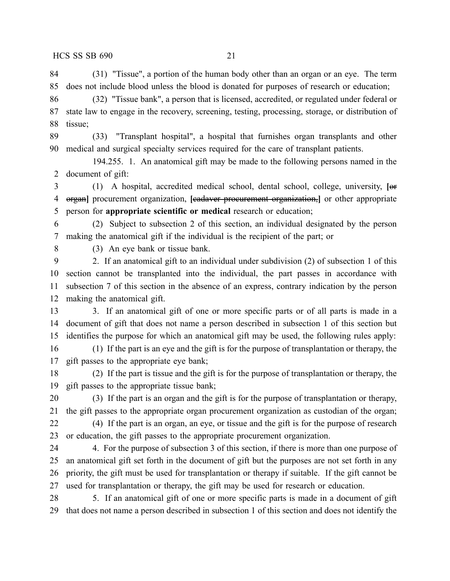(31) "Tissue", a portion of the human body other than an organ or an eye. The term does not include blood unless the blood is donated for purposes of research or education;

 (32) "Tissue bank", a person that is licensed, accredited, or regulated under federal or state law to engage in the recovery, screening, testing, processing, storage, or distribution of tissue;

 (33) "Transplant hospital", a hospital that furnishes organ transplants and other medical and surgical specialty services required for the care of transplant patients.

194.255. 1. An anatomical gift may be made to the following persons named in the document of gift:

 (1) A hospital, accredited medical school, dental school, college, university, **[**or organ**]** procurement organization, **[**cadaver procurement organization,**]** or other appropriate person for **appropriate scientific or medical** research or education;

 (2) Subject to subsection 2 of this section, an individual designated by the person making the anatomical gift if the individual is the recipient of the part; or

(3) An eye bank or tissue bank.

 2. If an anatomical gift to an individual under subdivision (2) of subsection 1 of this section cannot be transplanted into the individual, the part passes in accordance with subsection 7 of this section in the absence of an express, contrary indication by the person making the anatomical gift.

 3. If an anatomical gift of one or more specific parts or of all parts is made in a document of gift that does not name a person described in subsection 1 of this section but identifies the purpose for which an anatomical gift may be used, the following rules apply:

 (1) If the part is an eye and the gift is for the purpose of transplantation or therapy, the gift passes to the appropriate eye bank;

 (2) If the part is tissue and the gift is for the purpose of transplantation or therapy, the gift passes to the appropriate tissue bank;

 (3) If the part is an organ and the gift is for the purpose of transplantation or therapy, the gift passes to the appropriate organ procurement organization as custodian of the organ;

 (4) If the part is an organ, an eye, or tissue and the gift is for the purpose of research or education, the gift passes to the appropriate procurement organization.

24 4. For the purpose of subsection 3 of this section, if there is more than one purpose of an anatomical gift set forth in the document of gift but the purposes are not set forth in any priority, the gift must be used for transplantation or therapy if suitable. If the gift cannot be used for transplantation or therapy, the gift may be used for research or education.

 5. If an anatomical gift of one or more specific parts is made in a document of gift that does not name a person described in subsection 1 of this section and does not identify the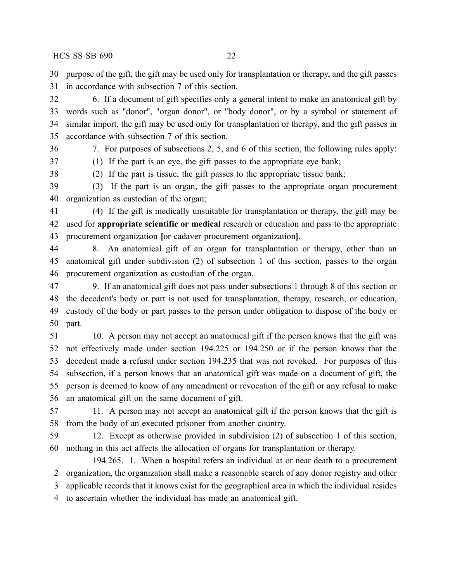purpose of the gift, the gift may be used only for transplantation or therapy, and the gift passes in accordance with subsection 7 of this section.

 6. If a document of gift specifies only a general intent to make an anatomical gift by words such as "donor", "organ donor", or "body donor", or by a symbol or statement of similar import, the gift may be used only for transplantation or therapy, and the gift passes in accordance with subsection 7 of this section.

7. For purposes of subsections 2, 5, and 6 of this section, the following rules apply:

(1) If the part is an eye, the gift passes to the appropriate eye bank;

(2) If the part is tissue, the gift passes to the appropriate tissue bank;

 (3) If the part is an organ, the gift passes to the appropriate organ procurement organization as custodian of the organ;

 (4) If the gift is medically unsuitable for transplantation or therapy, the gift may be used for **appropriate scientific or medical** research or education and pass to the appropriate procurement organization **[**or cadaver procurement organization**]**.

 8. An anatomical gift of an organ for transplantation or therapy, other than an anatomical gift under subdivision (2) of subsection 1 of this section, passes to the organ procurement organization as custodian of the organ.

 9. If an anatomical gift does not pass under subsections 1 through 8 of this section or the decedent's body or part is not used for transplantation, therapy, research, or education, custody of the body or part passes to the person under obligation to dispose of the body or part.

 10. A person may not accept an anatomical gift if the person knows that the gift was not effectively made under section 194.225 or 194.250 or if the person knows that the decedent made a refusal under section 194.235 that was not revoked. For purposes of this subsection, if a person knows that an anatomical gift was made on a document of gift, the person is deemed to know of any amendment or revocation of the gift or any refusal to make an anatomical gift on the same document of gift.

 11. A person may not accept an anatomical gift if the person knows that the gift is from the body of an executed prisoner from another country.

 12. Except as otherwise provided in subdivision (2) of subsection 1 of this section, nothing in this act affects the allocation of organs for transplantation or therapy.

194.265. 1. When a hospital refers an individual at or near death to a procurement organization, the organization shall make a reasonable search of any donor registry and other applicable records that it knows exist for the geographical area in which the individual resides to ascertain whether the individual has made an anatomical gift.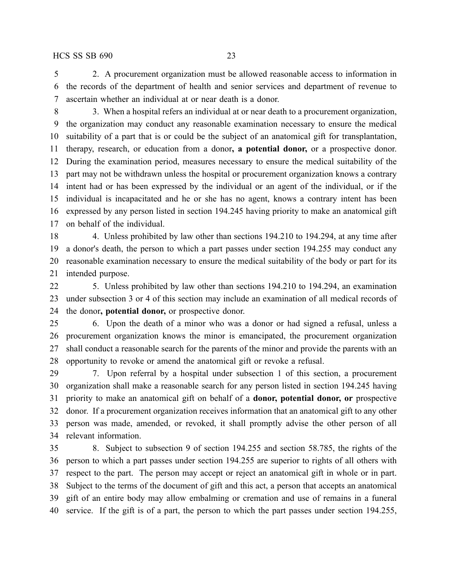2. A procurement organization must be allowed reasonable access to information in the records of the department of health and senior services and department of revenue to ascertain whether an individual at or near death is a donor.

 3. When a hospital refers an individual at or near death to a procurement organization, the organization may conduct any reasonable examination necessary to ensure the medical suitability of a part that is or could be the subject of an anatomical gift for transplantation, therapy, research, or education from a donor**, a potential donor,** or a prospective donor. During the examination period, measures necessary to ensure the medical suitability of the part may not be withdrawn unless the hospital or procurement organization knows a contrary intent had or has been expressed by the individual or an agent of the individual, or if the individual is incapacitated and he or she has no agent, knows a contrary intent has been expressed by any person listed in section 194.245 having priority to make an anatomical gift on behalf of the individual.

 4. Unless prohibited by law other than sections 194.210 to 194.294, at any time after a donor's death, the person to which a part passes under section 194.255 may conduct any reasonable examination necessary to ensure the medical suitability of the body or part for its intended purpose.

 5. Unless prohibited by law other than sections 194.210 to 194.294, an examination under subsection 3 or 4 of this section may include an examination of all medical records of the donor**, potential donor,** or prospective donor.

 6. Upon the death of a minor who was a donor or had signed a refusal, unless a procurement organization knows the minor is emancipated, the procurement organization shall conduct a reasonable search for the parents of the minor and provide the parents with an opportunity to revoke or amend the anatomical gift or revoke a refusal.

 7. Upon referral by a hospital under subsection 1 of this section, a procurement organization shall make a reasonable search for any person listed in section 194.245 having priority to make an anatomical gift on behalf of a **donor, potential donor, or** prospective donor. If a procurement organization receives information that an anatomical gift to any other person was made, amended, or revoked, it shall promptly advise the other person of all relevant information.

 8. Subject to subsection 9 of section 194.255 and section 58.785, the rights of the person to which a part passes under section 194.255 are superior to rights of all others with respect to the part. The person may accept or reject an anatomical gift in whole or in part. Subject to the terms of the document of gift and this act, a person that accepts an anatomical gift of an entire body may allow embalming or cremation and use of remains in a funeral service. If the gift is of a part, the person to which the part passes under section 194.255,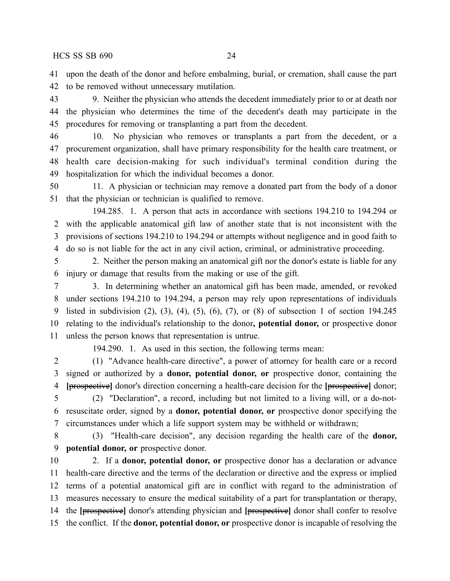upon the death of the donor and before embalming, burial, or cremation, shall cause the part to be removed without unnecessary mutilation.

 9. Neither the physician who attends the decedent immediately prior to or at death nor the physician who determines the time of the decedent's death may participate in the procedures for removing or transplanting a part from the decedent.

 10. No physician who removes or transplants a part from the decedent, or a procurement organization, shall have primary responsibility for the health care treatment, or health care decision-making for such individual's terminal condition during the hospitalization for which the individual becomes a donor.

 11. A physician or technician may remove a donated part from the body of a donor that the physician or technician is qualified to remove.

194.285. 1. A person that acts in accordance with sections 194.210 to 194.294 or with the applicable anatomical gift law of another state that is not inconsistent with the provisions of sections 194.210 to 194.294 or attempts without negligence and in good faith to do so is not liable for the act in any civil action, criminal, or administrative proceeding.

 2. Neither the person making an anatomical gift nor the donor's estate is liable for any injury or damage that results from the making or use of the gift.

 3. In determining whether an anatomical gift has been made, amended, or revoked under sections 194.210 to 194.294, a person may rely upon representations of individuals listed in subdivision (2), (3), (4), (5), (6), (7), or (8) of subsection 1 of section 194.245 relating to the individual's relationship to the donor**, potential donor,** or prospective donor unless the person knows that representation is untrue.

194.290. 1. As used in this section, the following terms mean:

 (1) "Advance health-care directive", a power of attorney for health care or a record signed or authorized by a **donor, potential donor, or** prospective donor, containing the **[**prospective**]** donor's direction concerning a health-care decision for the **[**prospective**]** donor;

 (2) "Declaration", a record, including but not limited to a living will, or a do-not- resuscitate order, signed by a **donor, potential donor, or** prospective donor specifying the circumstances under which a life support system may be withheld or withdrawn;

 (3) "Health-care decision", any decision regarding the health care of the **donor, potential donor, or** prospective donor.

 2. If a **donor, potential donor, or** prospective donor has a declaration or advance health-care directive and the terms of the declaration or directive and the express or implied terms of a potential anatomical gift are in conflict with regard to the administration of measures necessary to ensure the medical suitability of a part for transplantation or therapy, the **[**prospective**]** donor's attending physician and **[**prospective**]** donor shall confer to resolve the conflict. If the **donor, potential donor, or** prospective donor is incapable of resolving the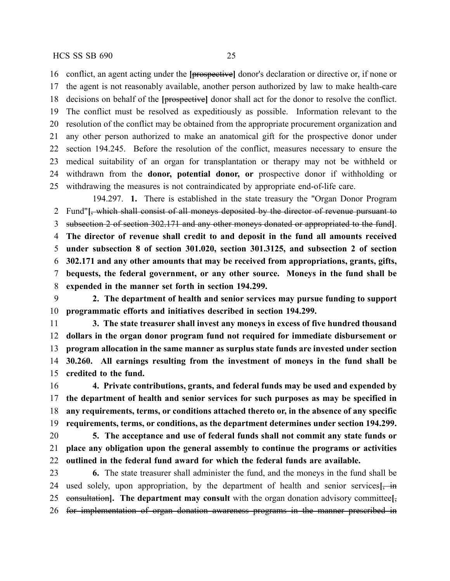conflict, an agent acting under the **[**prospective**]** donor's declaration or directive or, if none or

 the agent is not reasonably available, another person authorized by law to make health-care decisions on behalf of the **[**prospective**]** donor shall act for the donor to resolve the conflict. The conflict must be resolved as expeditiously as possible. Information relevant to the resolution of the conflict may be obtained from the appropriate procurement organization and any other person authorized to make an anatomical gift for the prospective donor under section 194.245. Before the resolution of the conflict, measures necessary to ensure the medical suitability of an organ for transplantation or therapy may not be withheld or withdrawn from the **donor, potential donor, or** prospective donor if withholding or withdrawing the measures is not contraindicated by appropriate end-of-life care.

194.297. **1.** There is established in the state treasury the "Organ Donor Program Fund"**[**, which shall consist of all moneys deposited by the director of revenue pursuant to subsection 2 of section 302.171 and any other moneys donated or appropriated to the fund**]**. **The director of revenue shall credit to and deposit in the fund all amounts received under subsection 8 of section 301.020, section 301.3125, and subsection 2 of section 302.171 and any other amounts that may be received from appropriations, grants, gifts, bequests, the federal government, or any other source. Moneys in the fund shall be expended in the manner set forth in section 194.299.**

 **2. The department of health and senior services may pursue funding to support programmatic efforts and initiatives described in section 194.299.**

 **3. The state treasurer shall invest any moneys in excess of five hundred thousand dollars in the organ donor program fund not required for immediate disbursement or program allocation in the same manner as surplus state funds are invested under section 30.260. All earnings resulting from the investment of moneys in the fund shall be credited to the fund.**

 **4. Private contributions, grants, and federal funds may be used and expended by the department of health and senior services for such purposes as may be specified in any requirements, terms, or conditions attached thereto or, in the absence of any specific requirements, terms, or conditions, as the department determines under section 194.299. 5. The acceptance and use of federal funds shall not commit any state funds or**

 **place any obligation upon the general assembly to continue the programs or activities outlined in the federal fund award for which the federal funds are available.**

 **6.** The state treasurer shall administer the fund, and the moneys in the fund shall be used solely, upon appropriation, by the department of health and senior services**[**, in consultation**]. The department may consult** with the organ donation advisory committee**[**, for implementation of organ donation awareness programs in the manner prescribed in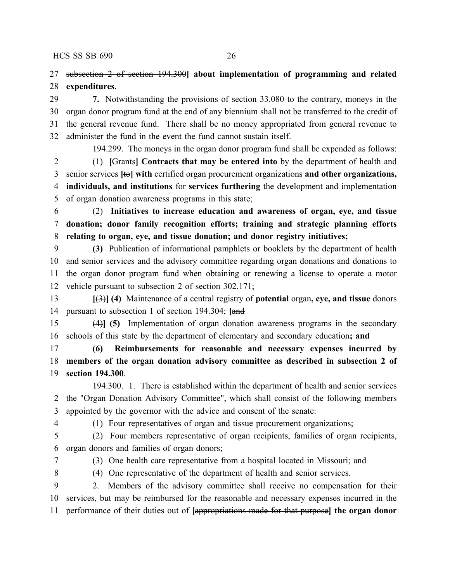subsection 2 of section 194.300**] about implementation of programming and related expenditures**.

 **7.** Notwithstanding the provisions of section 33.080 to the contrary, moneys in the organ donor program fund at the end of any biennium shall not be transferred to the credit of the general revenue fund. There shall be no money appropriated from general revenue to administer the fund in the event the fund cannot sustain itself.

194.299. The moneys in the organ donor program fund shall be expended as follows: (1) **[**Grants**] Contracts that may be entered into** by the department of health and senior services **[**to**] with** certified organ procurement organizations **and other organizations, individuals, and institutions** for **services furthering** the development and implementation of organ donation awareness programs in this state;

 (2) **Initiatives to increase education and awareness of organ, eye, and tissue donation; donor family recognition efforts; training and strategic planning efforts relating to organ, eye, and tissue donation; and donor registry initiatives;**

 **(3)** Publication of informational pamphlets or booklets by the department of health and senior services and the advisory committee regarding organ donations and donations to the organ donor program fund when obtaining or renewing a license to operate a motor vehicle pursuant to subsection 2 of section 302.171;

 **[**(3)**] (4)** Maintenance of a central registry of **potential** organ**, eye, and tissue** donors pursuant to subsection 1 of section 194.304; **[**and

 (4)**] (5)** Implementation of organ donation awareness programs in the secondary schools of this state by the department of elementary and secondary education**; and**

 **(6) Reimbursements for reasonable and necessary expenses incurred by members of the organ donation advisory committee as described in subsection 2 of section 194.300**.

194.300. 1. There is established within the department of health and senior services the "Organ Donation Advisory Committee", which shall consist of the following members appointed by the governor with the advice and consent of the senate:

(1) Four representatives of organ and tissue procurement organizations;

 (2) Four members representative of organ recipients, families of organ recipients, organ donors and families of organ donors;

(3) One health care representative from a hospital located in Missouri; and

(4) One representative of the department of health and senior services.

 2. Members of the advisory committee shall receive no compensation for their services, but may be reimbursed for the reasonable and necessary expenses incurred in the performance of their duties out of **[**appropriations made for that purpose**] the organ donor**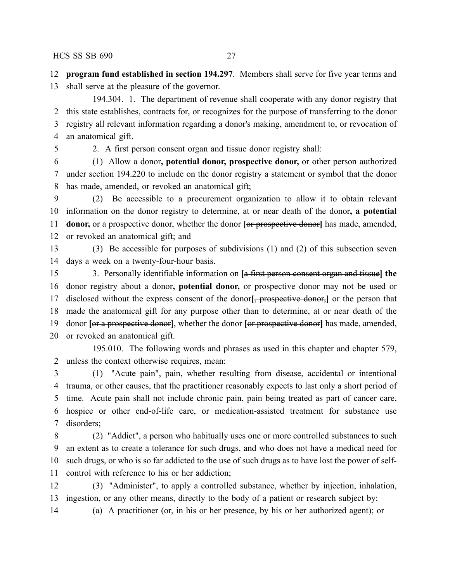**program fund established in section 194.297**. Members shall serve for five year terms and

shall serve at the pleasure of the governor.

194.304. 1. The department of revenue shall cooperate with any donor registry that this state establishes, contracts for, or recognizes for the purpose of transferring to the donor registry all relevant information regarding a donor's making, amendment to, or revocation of an anatomical gift.

2. A first person consent organ and tissue donor registry shall:

 (1) Allow a donor**, potential donor, prospective donor,** or other person authorized under section 194.220 to include on the donor registry a statement or symbol that the donor has made, amended, or revoked an anatomical gift;

 (2) Be accessible to a procurement organization to allow it to obtain relevant information on the donor registry to determine, at or near death of the donor**, a potential donor**, or a prospective donor, whether the donor [or prospective donor] has made, amended, or revoked an anatomical gift; and

 (3) Be accessible for purposes of subdivisions (1) and (2) of this subsection seven days a week on a twenty-four-hour basis.

 3. Personally identifiable information on **[**a first person consent organ and tissue**] the** donor registry about a donor**, potential donor,** or prospective donor may not be used or disclosed without the express consent of the donor**[**, prospective donor,**]** or the person that made the anatomical gift for any purpose other than to determine, at or near death of the donor **[**or a prospective donor**]**, whether the donor **[**or prospective donor**]** has made, amended, or revoked an anatomical gift.

195.010. The following words and phrases as used in this chapter and chapter 579, unless the context otherwise requires, mean:

 (1) "Acute pain", pain, whether resulting from disease, accidental or intentional trauma, or other causes, that the practitioner reasonably expects to last only a short period of time. Acute pain shall not include chronic pain, pain being treated as part of cancer care, hospice or other end-of-life care, or medication-assisted treatment for substance use disorders;

 (2) "Addict", a person who habitually uses one or more controlled substances to such an extent as to create a tolerance for such drugs, and who does not have a medical need for such drugs, or who is so far addicted to the use of such drugs as to have lost the power of self-control with reference to his or her addiction;

 (3) "Administer", to apply a controlled substance, whether by injection, inhalation, ingestion, or any other means, directly to the body of a patient or research subject by:

(a) A practitioner (or, in his or her presence, by his or her authorized agent); or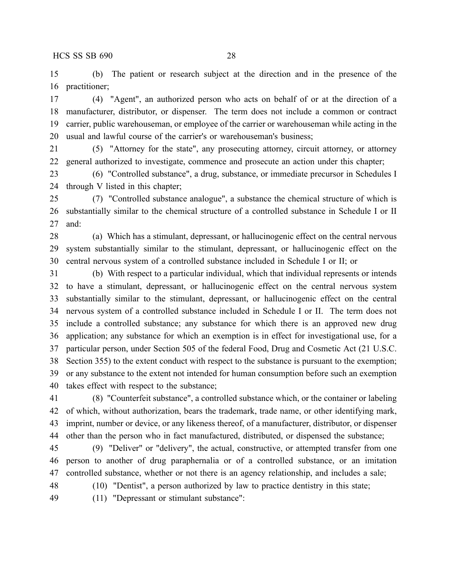(b) The patient or research subject at the direction and in the presence of the practitioner;

 (4) "Agent", an authorized person who acts on behalf of or at the direction of a manufacturer, distributor, or dispenser. The term does not include a common or contract carrier, public warehouseman, or employee of the carrier or warehouseman while acting in the usual and lawful course of the carrier's or warehouseman's business;

 (5) "Attorney for the state", any prosecuting attorney, circuit attorney, or attorney general authorized to investigate, commence and prosecute an action under this chapter;

 (6) "Controlled substance", a drug, substance, or immediate precursor in Schedules I through V listed in this chapter;

 (7) "Controlled substance analogue", a substance the chemical structure of which is substantially similar to the chemical structure of a controlled substance in Schedule I or II and:

 (a) Which has a stimulant, depressant, or hallucinogenic effect on the central nervous system substantially similar to the stimulant, depressant, or hallucinogenic effect on the central nervous system of a controlled substance included in Schedule I or II; or

 (b) With respect to a particular individual, which that individual represents or intends to have a stimulant, depressant, or hallucinogenic effect on the central nervous system substantially similar to the stimulant, depressant, or hallucinogenic effect on the central nervous system of a controlled substance included in Schedule I or II. The term does not include a controlled substance; any substance for which there is an approved new drug application; any substance for which an exemption is in effect for investigational use, for a particular person, under Section 505 of the federal Food, Drug and Cosmetic Act (21 U.S.C. Section 355) to the extent conduct with respect to the substance is pursuant to the exemption; or any substance to the extent not intended for human consumption before such an exemption takes effect with respect to the substance;

 (8) "Counterfeit substance", a controlled substance which, or the container or labeling of which, without authorization, bears the trademark, trade name, or other identifying mark, imprint, number or device, or any likeness thereof, of a manufacturer, distributor, or dispenser other than the person who in fact manufactured, distributed, or dispensed the substance;

 (9) "Deliver" or "delivery", the actual, constructive, or attempted transfer from one person to another of drug paraphernalia or of a controlled substance, or an imitation controlled substance, whether or not there is an agency relationship, and includes a sale;

(10) "Dentist", a person authorized by law to practice dentistry in this state;

(11) "Depressant or stimulant substance":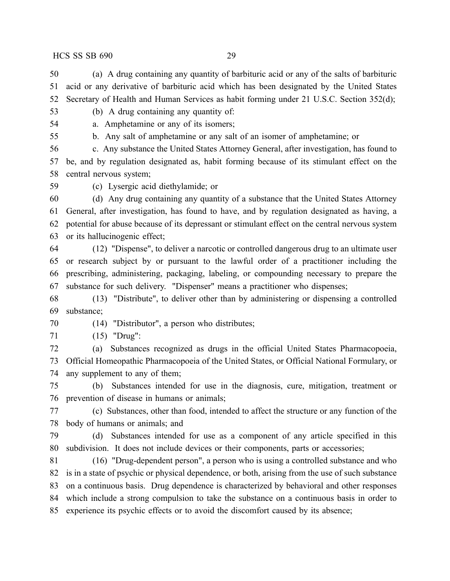(a) A drug containing any quantity of barbituric acid or any of the salts of barbituric acid or any derivative of barbituric acid which has been designated by the United States Secretary of Health and Human Services as habit forming under 21 U.S.C. Section 352(d);

- (b) A drug containing any quantity of:
- 

a. Amphetamine or any of its isomers;

b. Any salt of amphetamine or any salt of an isomer of amphetamine; or

 c. Any substance the United States Attorney General, after investigation, has found to be, and by regulation designated as, habit forming because of its stimulant effect on the central nervous system;

(c) Lysergic acid diethylamide; or

 (d) Any drug containing any quantity of a substance that the United States Attorney General, after investigation, has found to have, and by regulation designated as having, a potential for abuse because of its depressant or stimulant effect on the central nervous system or its hallucinogenic effect;

 (12) "Dispense", to deliver a narcotic or controlled dangerous drug to an ultimate user or research subject by or pursuant to the lawful order of a practitioner including the prescribing, administering, packaging, labeling, or compounding necessary to prepare the substance for such delivery. "Dispenser" means a practitioner who dispenses;

 (13) "Distribute", to deliver other than by administering or dispensing a controlled substance;

(14) "Distributor", a person who distributes;

(15) "Drug":

 (a) Substances recognized as drugs in the official United States Pharmacopoeia, Official Homeopathic Pharmacopoeia of the United States, or Official National Formulary, or any supplement to any of them;

 (b) Substances intended for use in the diagnosis, cure, mitigation, treatment or prevention of disease in humans or animals;

 (c) Substances, other than food, intended to affect the structure or any function of the body of humans or animals; and

 (d) Substances intended for use as a component of any article specified in this subdivision. It does not include devices or their components, parts or accessories;

 (16) "Drug-dependent person", a person who is using a controlled substance and who is in a state of psychic or physical dependence, or both, arising from the use of such substance on a continuous basis. Drug dependence is characterized by behavioral and other responses which include a strong compulsion to take the substance on a continuous basis in order to experience its psychic effects or to avoid the discomfort caused by its absence;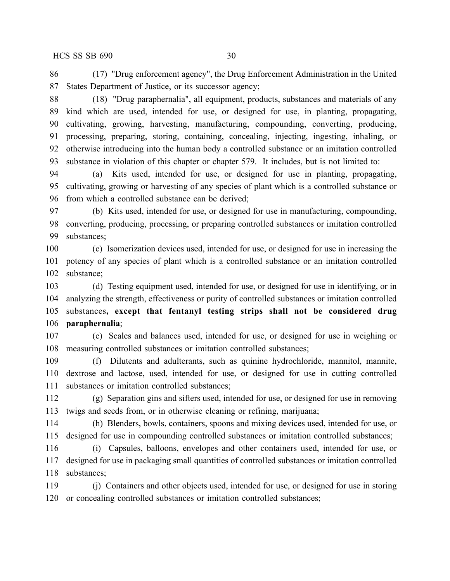(17) "Drug enforcement agency", the Drug Enforcement Administration in the United States Department of Justice, or its successor agency;

 (18) "Drug paraphernalia", all equipment, products, substances and materials of any kind which are used, intended for use, or designed for use, in planting, propagating, cultivating, growing, harvesting, manufacturing, compounding, converting, producing, processing, preparing, storing, containing, concealing, injecting, ingesting, inhaling, or otherwise introducing into the human body a controlled substance or an imitation controlled substance in violation of this chapter or chapter 579. It includes, but is not limited to:

 (a) Kits used, intended for use, or designed for use in planting, propagating, cultivating, growing or harvesting of any species of plant which is a controlled substance or from which a controlled substance can be derived;

 (b) Kits used, intended for use, or designed for use in manufacturing, compounding, converting, producing, processing, or preparing controlled substances or imitation controlled substances;

 (c) Isomerization devices used, intended for use, or designed for use in increasing the potency of any species of plant which is a controlled substance or an imitation controlled substance;

 (d) Testing equipment used, intended for use, or designed for use in identifying, or in analyzing the strength, effectiveness or purity of controlled substances or imitation controlled substances**, except that fentanyl testing strips shall not be considered drug paraphernalia**;

 (e) Scales and balances used, intended for use, or designed for use in weighing or measuring controlled substances or imitation controlled substances;

 (f) Dilutents and adulterants, such as quinine hydrochloride, mannitol, mannite, dextrose and lactose, used, intended for use, or designed for use in cutting controlled substances or imitation controlled substances;

 (g) Separation gins and sifters used, intended for use, or designed for use in removing twigs and seeds from, or in otherwise cleaning or refining, marijuana;

 (h) Blenders, bowls, containers, spoons and mixing devices used, intended for use, or designed for use in compounding controlled substances or imitation controlled substances;

 (i) Capsules, balloons, envelopes and other containers used, intended for use, or designed for use in packaging small quantities of controlled substances or imitation controlled substances;

 (j) Containers and other objects used, intended for use, or designed for use in storing or concealing controlled substances or imitation controlled substances;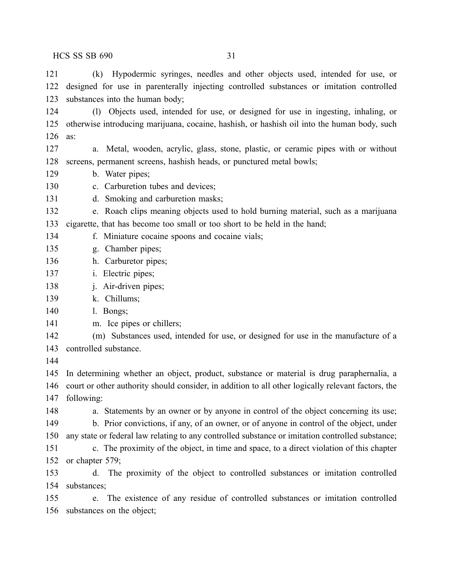(k) Hypodermic syringes, needles and other objects used, intended for use, or designed for use in parenterally injecting controlled substances or imitation controlled substances into the human body; (l) Objects used, intended for use, or designed for use in ingesting, inhaling, or otherwise introducing marijuana, cocaine, hashish, or hashish oil into the human body, such

as:

 a. Metal, wooden, acrylic, glass, stone, plastic, or ceramic pipes with or without screens, permanent screens, hashish heads, or punctured metal bowls;

- b. Water pipes;
- c. Carburetion tubes and devices;
- d. Smoking and carburetion masks;

e. Roach clips meaning objects used to hold burning material, such as a marijuana

cigarette, that has become too small or too short to be held in the hand;

- f. Miniature cocaine spoons and cocaine vials;
- g. Chamber pipes;
- h. Carburetor pipes;
- i. Electric pipes;
- j. Air-driven pipes;
- k. Chillums;
- l. Bongs;
- m. Ice pipes or chillers;
- (m) Substances used, intended for use, or designed for use in the manufacture of a
- controlled substance.
- 

 In determining whether an object, product, substance or material is drug paraphernalia, a court or other authority should consider, in addition to all other logically relevant factors, the following:

148 a. Statements by an owner or by anyone in control of the object concerning its use; b. Prior convictions, if any, of an owner, or of anyone in control of the object, under

 any state or federal law relating to any controlled substance or imitation controlled substance; c. The proximity of the object, in time and space, to a direct violation of this chapter or chapter 579;

 d. The proximity of the object to controlled substances or imitation controlled substances;

 e. The existence of any residue of controlled substances or imitation controlled substances on the object;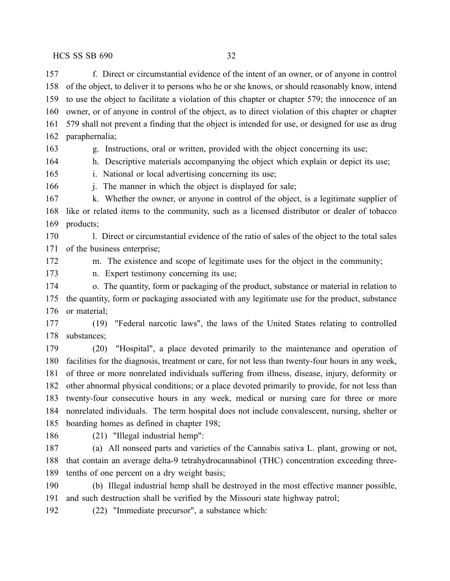f. Direct or circumstantial evidence of the intent of an owner, or of anyone in control of the object, to deliver it to persons who he or she knows, or should reasonably know, intend to use the object to facilitate a violation of this chapter or chapter 579; the innocence of an owner, or of anyone in control of the object, as to direct violation of this chapter or chapter 579 shall not prevent a finding that the object is intended for use, or designed for use as drug paraphernalia;

g. Instructions, oral or written, provided with the object concerning its use;

h. Descriptive materials accompanying the object which explain or depict its use;

i. National or local advertising concerning its use;

166 i. The manner in which the object is displayed for sale;

167 k. Whether the owner, or anyone in control of the object, is a legitimate supplier of like or related items to the community, such as a licensed distributor or dealer of tobacco products;

 l. Direct or circumstantial evidence of the ratio of sales of the object to the total sales of the business enterprise;

m. The existence and scope of legitimate uses for the object in the community;

n. Expert testimony concerning its use;

 o. The quantity, form or packaging of the product, substance or material in relation to the quantity, form or packaging associated with any legitimate use for the product, substance 176 or material;

 (19) "Federal narcotic laws", the laws of the United States relating to controlled substances;

 (20) "Hospital", a place devoted primarily to the maintenance and operation of facilities for the diagnosis, treatment or care, for not less than twenty-four hours in any week, of three or more nonrelated individuals suffering from illness, disease, injury, deformity or other abnormal physical conditions; or a place devoted primarily to provide, for not less than twenty-four consecutive hours in any week, medical or nursing care for three or more nonrelated individuals. The term hospital does not include convalescent, nursing, shelter or boarding homes as defined in chapter 198;

(21) "Illegal industrial hemp":

 (a) All nonseed parts and varieties of the Cannabis sativa L. plant, growing or not, that contain an average delta-9 tetrahydrocannabinol (THC) concentration exceeding three-tenths of one percent on a dry weight basis;

 (b) Illegal industrial hemp shall be destroyed in the most effective manner possible, and such destruction shall be verified by the Missouri state highway patrol;

(22) "Immediate precursor", a substance which: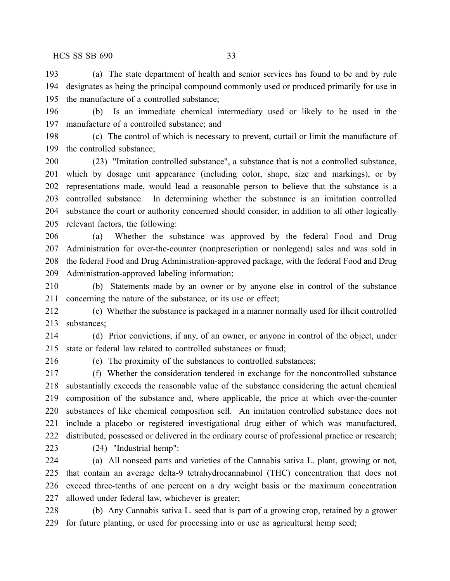(a) The state department of health and senior services has found to be and by rule designates as being the principal compound commonly used or produced primarily for use in the manufacture of a controlled substance;

 (b) Is an immediate chemical intermediary used or likely to be used in the manufacture of a controlled substance; and

 (c) The control of which is necessary to prevent, curtail or limit the manufacture of the controlled substance;

 (23) "Imitation controlled substance", a substance that is not a controlled substance, which by dosage unit appearance (including color, shape, size and markings), or by representations made, would lead a reasonable person to believe that the substance is a controlled substance. In determining whether the substance is an imitation controlled substance the court or authority concerned should consider, in addition to all other logically relevant factors, the following:

 (a) Whether the substance was approved by the federal Food and Drug Administration for over-the-counter (nonprescription or nonlegend) sales and was sold in the federal Food and Drug Administration-approved package, with the federal Food and Drug Administration-approved labeling information;

 (b) Statements made by an owner or by anyone else in control of the substance concerning the nature of the substance, or its use or effect;

 (c) Whether the substance is packaged in a manner normally used for illicit controlled substances;

 (d) Prior convictions, if any, of an owner, or anyone in control of the object, under state or federal law related to controlled substances or fraud;

(e) The proximity of the substances to controlled substances;

 (f) Whether the consideration tendered in exchange for the noncontrolled substance substantially exceeds the reasonable value of the substance considering the actual chemical composition of the substance and, where applicable, the price at which over-the-counter substances of like chemical composition sell. An imitation controlled substance does not include a placebo or registered investigational drug either of which was manufactured, distributed, possessed or delivered in the ordinary course of professional practice or research;

(24) "Industrial hemp":

 (a) All nonseed parts and varieties of the Cannabis sativa L. plant, growing or not, that contain an average delta-9 tetrahydrocannabinol (THC) concentration that does not exceed three-tenths of one percent on a dry weight basis or the maximum concentration allowed under federal law, whichever is greater;

 (b) Any Cannabis sativa L. seed that is part of a growing crop, retained by a grower for future planting, or used for processing into or use as agricultural hemp seed;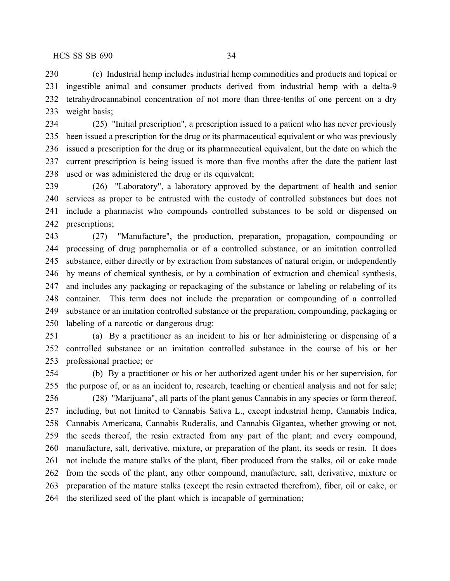(c) Industrial hemp includes industrial hemp commodities and products and topical or ingestible animal and consumer products derived from industrial hemp with a delta-9 tetrahydrocannabinol concentration of not more than three-tenths of one percent on a dry weight basis;

 (25) "Initial prescription", a prescription issued to a patient who has never previously been issued a prescription for the drug or its pharmaceutical equivalent or who was previously issued a prescription for the drug or its pharmaceutical equivalent, but the date on which the current prescription is being issued is more than five months after the date the patient last used or was administered the drug or its equivalent;

 (26) "Laboratory", a laboratory approved by the department of health and senior services as proper to be entrusted with the custody of controlled substances but does not include a pharmacist who compounds controlled substances to be sold or dispensed on prescriptions;

 (27) "Manufacture", the production, preparation, propagation, compounding or processing of drug paraphernalia or of a controlled substance, or an imitation controlled substance, either directly or by extraction from substances of natural origin, or independently by means of chemical synthesis, or by a combination of extraction and chemical synthesis, and includes any packaging or repackaging of the substance or labeling or relabeling of its container. This term does not include the preparation or compounding of a controlled substance or an imitation controlled substance or the preparation, compounding, packaging or labeling of a narcotic or dangerous drug:

 (a) By a practitioner as an incident to his or her administering or dispensing of a controlled substance or an imitation controlled substance in the course of his or her professional practice; or

 (b) By a practitioner or his or her authorized agent under his or her supervision, for the purpose of, or as an incident to, research, teaching or chemical analysis and not for sale; (28) "Marijuana", all parts of the plant genus Cannabis in any species or form thereof, including, but not limited to Cannabis Sativa L., except industrial hemp, Cannabis Indica, Cannabis Americana, Cannabis Ruderalis, and Cannabis Gigantea, whether growing or not, the seeds thereof, the resin extracted from any part of the plant; and every compound, manufacture, salt, derivative, mixture, or preparation of the plant, its seeds or resin. It does not include the mature stalks of the plant, fiber produced from the stalks, oil or cake made from the seeds of the plant, any other compound, manufacture, salt, derivative, mixture or preparation of the mature stalks (except the resin extracted therefrom), fiber, oil or cake, or the sterilized seed of the plant which is incapable of germination;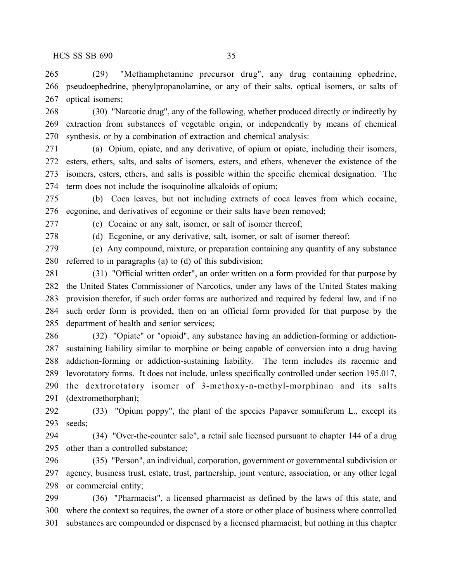(29) "Methamphetamine precursor drug", any drug containing ephedrine, pseudoephedrine, phenylpropanolamine, or any of their salts, optical isomers, or salts of optical isomers;

 (30) "Narcotic drug", any of the following, whether produced directly or indirectly by extraction from substances of vegetable origin, or independently by means of chemical synthesis, or by a combination of extraction and chemical analysis:

 (a) Opium, opiate, and any derivative, of opium or opiate, including their isomers, esters, ethers, salts, and salts of isomers, esters, and ethers, whenever the existence of the isomers, esters, ethers, and salts is possible within the specific chemical designation. The term does not include the isoquinoline alkaloids of opium;

 (b) Coca leaves, but not including extracts of coca leaves from which cocaine, ecgonine, and derivatives of ecgonine or their salts have been removed;

(c) Cocaine or any salt, isomer, or salt of isomer thereof;

(d) Ecgonine, or any derivative, salt, isomer, or salt of isomer thereof;

 (e) Any compound, mixture, or preparation containing any quantity of any substance referred to in paragraphs (a) to (d) of this subdivision;

 (31) "Official written order", an order written on a form provided for that purpose by the United States Commissioner of Narcotics, under any laws of the United States making provision therefor, if such order forms are authorized and required by federal law, and if no such order form is provided, then on an official form provided for that purpose by the department of health and senior services;

 (32) "Opiate" or "opioid", any substance having an addiction-forming or addiction- sustaining liability similar to morphine or being capable of conversion into a drug having addiction-forming or addiction-sustaining liability. The term includes its racemic and levorotatory forms. It does not include, unless specifically controlled under section 195.017, the dextrorotatory isomer of 3-methoxy-n-methyl-morphinan and its salts (dextromethorphan);

 (33) "Opium poppy", the plant of the species Papaver somniferum L., except its seeds;

 (34) "Over-the-counter sale", a retail sale licensed pursuant to chapter 144 of a drug other than a controlled substance;

 (35) "Person", an individual, corporation, government or governmental subdivision or agency, business trust, estate, trust, partnership, joint venture, association, or any other legal or commercial entity;

 (36) "Pharmacist", a licensed pharmacist as defined by the laws of this state, and where the context so requires, the owner of a store or other place of business where controlled substances are compounded or dispensed by a licensed pharmacist; but nothing in this chapter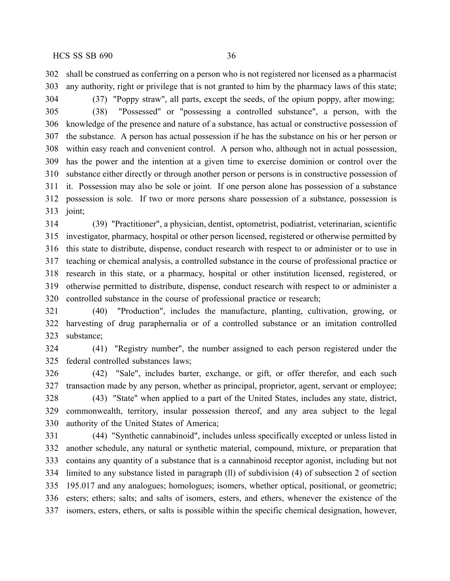shall be construed as conferring on a person who is not registered nor licensed as a pharmacist any authority, right or privilege that is not granted to him by the pharmacy laws of this state;

(37) "Poppy straw", all parts, except the seeds, of the opium poppy, after mowing;

 (38) "Possessed" or "possessing a controlled substance", a person, with the knowledge of the presence and nature of a substance, has actual or constructive possession of the substance. A person has actual possession if he has the substance on his or her person or within easy reach and convenient control. A person who, although not in actual possession, has the power and the intention at a given time to exercise dominion or control over the substance either directly or through another person or persons is in constructive possession of it. Possession may also be sole or joint. If one person alone has possession of a substance possession is sole. If two or more persons share possession of a substance, possession is joint;

 (39) "Practitioner", a physician, dentist, optometrist, podiatrist, veterinarian, scientific investigator, pharmacy, hospital or other person licensed, registered or otherwise permitted by this state to distribute, dispense, conduct research with respect to or administer or to use in teaching or chemical analysis, a controlled substance in the course of professional practice or research in this state, or a pharmacy, hospital or other institution licensed, registered, or otherwise permitted to distribute, dispense, conduct research with respect to or administer a controlled substance in the course of professional practice or research;

 (40) "Production", includes the manufacture, planting, cultivation, growing, or harvesting of drug paraphernalia or of a controlled substance or an imitation controlled substance;

 (41) "Registry number", the number assigned to each person registered under the federal controlled substances laws;

 (42) "Sale", includes barter, exchange, or gift, or offer therefor, and each such transaction made by any person, whether as principal, proprietor, agent, servant or employee; (43) "State" when applied to a part of the United States, includes any state, district, commonwealth, territory, insular possession thereof, and any area subject to the legal authority of the United States of America;

 (44) "Synthetic cannabinoid", includes unless specifically excepted or unless listed in another schedule, any natural or synthetic material, compound, mixture, or preparation that contains any quantity of a substance that is a cannabinoid receptor agonist, including but not limited to any substance listed in paragraph (ll) of subdivision (4) of subsection 2 of section 195.017 and any analogues; homologues; isomers, whether optical, positional, or geometric; esters; ethers; salts; and salts of isomers, esters, and ethers, whenever the existence of the isomers, esters, ethers, or salts is possible within the specific chemical designation, however,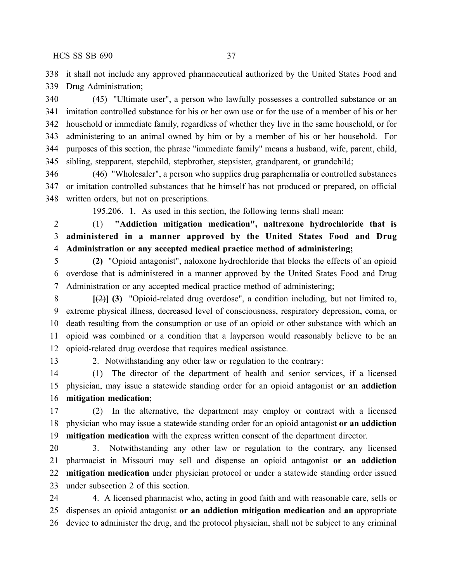it shall not include any approved pharmaceutical authorized by the United States Food and Drug Administration;

 (45) "Ultimate user", a person who lawfully possesses a controlled substance or an imitation controlled substance for his or her own use or for the use of a member of his or her household or immediate family, regardless of whether they live in the same household, or for administering to an animal owned by him or by a member of his or her household. For purposes of this section, the phrase "immediate family" means a husband, wife, parent, child, sibling, stepparent, stepchild, stepbrother, stepsister, grandparent, or grandchild;

 (46) "Wholesaler", a person who supplies drug paraphernalia or controlled substances or imitation controlled substances that he himself has not produced or prepared, on official written orders, but not on prescriptions.

195.206. 1. As used in this section, the following terms shall mean:

 (1) **"Addiction mitigation medication", naltrexone hydrochloride that is administered in a manner approved by the United States Food and Drug Administration or any accepted medical practice method of administering;**

 **(2)** "Opioid antagonist", naloxone hydrochloride that blocks the effects of an opioid overdose that is administered in a manner approved by the United States Food and Drug Administration or any accepted medical practice method of administering;

 **[**(2)**] (3)** "Opioid-related drug overdose", a condition including, but not limited to, extreme physical illness, decreased level of consciousness, respiratory depression, coma, or death resulting from the consumption or use of an opioid or other substance with which an opioid was combined or a condition that a layperson would reasonably believe to be an opioid-related drug overdose that requires medical assistance.

2. Notwithstanding any other law or regulation to the contrary:

 (1) The director of the department of health and senior services, if a licensed physician, may issue a statewide standing order for an opioid antagonist **or an addiction mitigation medication**;

 (2) In the alternative, the department may employ or contract with a licensed physician who may issue a statewide standing order for an opioid antagonist **or an addiction mitigation medication** with the express written consent of the department director.

 3. Notwithstanding any other law or regulation to the contrary, any licensed pharmacist in Missouri may sell and dispense an opioid antagonist **or an addiction mitigation medication** under physician protocol or under a statewide standing order issued under subsection 2 of this section.

 4. A licensed pharmacist who, acting in good faith and with reasonable care, sells or dispenses an opioid antagonist **or an addiction mitigation medication** and **an** appropriate device to administer the drug, and the protocol physician, shall not be subject to any criminal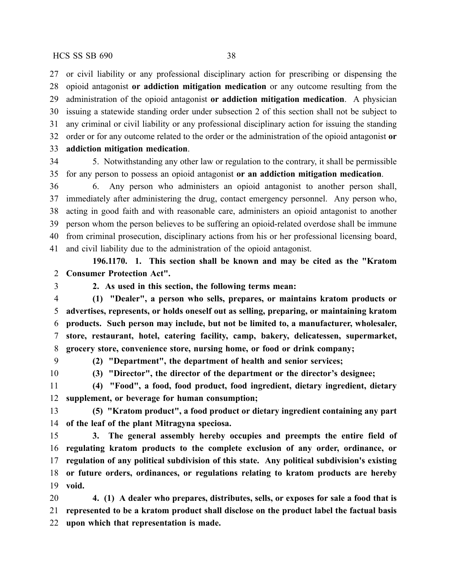or civil liability or any professional disciplinary action for prescribing or dispensing the opioid antagonist **or addiction mitigation medication** or any outcome resulting from the administration of the opioid antagonist **or addiction mitigation medication**. A physician issuing a statewide standing order under subsection 2 of this section shall not be subject to any criminal or civil liability or any professional disciplinary action for issuing the standing order or for any outcome related to the order or the administration of the opioid antagonist **or addiction mitigation medication**.

 5. Notwithstanding any other law or regulation to the contrary, it shall be permissible for any person to possess an opioid antagonist **or an addiction mitigation medication**.

 6. Any person who administers an opioid antagonist to another person shall, immediately after administering the drug, contact emergency personnel. Any person who, acting in good faith and with reasonable care, administers an opioid antagonist to another person whom the person believes to be suffering an opioid-related overdose shall be immune from criminal prosecution, disciplinary actions from his or her professional licensing board, and civil liability due to the administration of the opioid antagonist.

**196.1170. 1. This section shall be known and may be cited as the "Kratom Consumer Protection Act".**

# **2. As used in this section, the following terms mean:**

 **(1) "Dealer", a person who sells, prepares, or maintains kratom products or advertises, represents, or holds oneself out as selling, preparing, or maintaining kratom products. Such person may include, but not be limited to, a manufacturer, wholesaler, store, restaurant, hotel, catering facility, camp, bakery, delicatessen, supermarket, grocery store, convenience store, nursing home, or food or drink company;**

**(2) "Department", the department of health and senior services;**

**(3) "Director", the director of the department or the director's designee;**

 **(4) "Food", a food, food product, food ingredient, dietary ingredient, dietary supplement, or beverage for human consumption;**

 **(5) "Kratom product", a food product or dietary ingredient containing any part of the leaf of the plant Mitragyna speciosa.**

 **3. The general assembly hereby occupies and preempts the entire field of regulating kratom products to the complete exclusion of any order, ordinance, or regulation of any political subdivision of this state. Any political subdivision's existing or future orders, ordinances, or regulations relating to kratom products are hereby void.**

 **4. (1) A dealer who prepares, distributes, sells, or exposes for sale a food that is represented to be a kratom product shall disclose on the product label the factual basis upon which that representation is made.**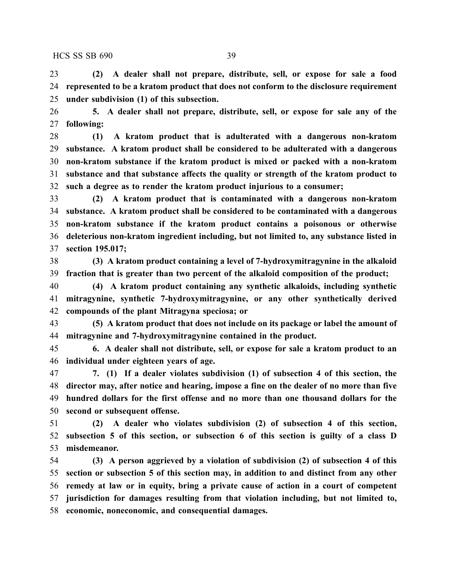**(2) A dealer shall not prepare, distribute, sell, or expose for sale a food represented to be a kratom product that does not conform to the disclosure requirement under subdivision (1) of this subsection.**

 **5. A dealer shall not prepare, distribute, sell, or expose for sale any of the following:**

 **(1) A kratom product that is adulterated with a dangerous non-kratom substance. A kratom product shall be considered to be adulterated with a dangerous non-kratom substance if the kratom product is mixed or packed with a non-kratom substance and that substance affects the quality or strength of the kratom product to such a degree as to render the kratom product injurious to a consumer;**

 **(2) A kratom product that is contaminated with a dangerous non-kratom substance. A kratom product shall be considered to be contaminated with a dangerous non-kratom substance if the kratom product contains a poisonous or otherwise deleterious non-kratom ingredient including, but not limited to, any substance listed in section 195.017;**

 **(3) A kratom product containing a level of 7-hydroxymitragynine in the alkaloid fraction that is greater than two percent of the alkaloid composition of the product;**

 **(4) A kratom product containing any synthetic alkaloids, including synthetic mitragynine, synthetic 7-hydroxymitragynine, or any other synthetically derived compounds of the plant Mitragyna speciosa; or**

 **(5) A kratom product that does not include on its package or label the amount of mitragynine and 7-hydroxymitragynine contained in the product.**

 **6. A dealer shall not distribute, sell, or expose for sale a kratom product to an individual under eighteen years of age.**

 **7. (1) If a dealer violates subdivision (1) of subsection 4 of this section, the director may, after notice and hearing, impose a fine on the dealer of no more than five hundred dollars for the first offense and no more than one thousand dollars for the second or subsequent offense.**

 **(2) A dealer who violates subdivision (2) of subsection 4 of this section, subsection 5 of this section, or subsection 6 of this section is guilty of a class D misdemeanor.**

 **(3) A person aggrieved by a violation of subdivision (2) of subsection 4 of this section or subsection 5 of this section may, in addition to and distinct from any other remedy at law or in equity, bring a private cause of action in a court of competent jurisdiction for damages resulting from that violation including, but not limited to, economic, noneconomic, and consequential damages.**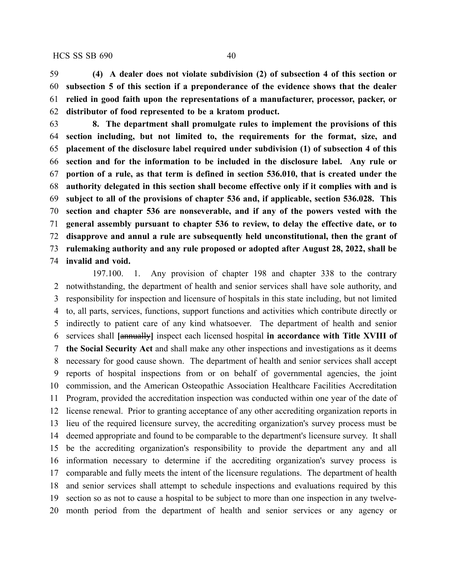**(4) A dealer does not violate subdivision (2) of subsection 4 of this section or subsection 5 of this section if a preponderance of the evidence shows that the dealer relied in good faith upon the representations of a manufacturer, processor, packer, or distributor of food represented to be a kratom product.**

 **8. The department shall promulgate rules to implement the provisions of this section including, but not limited to, the requirements for the format, size, and placement of the disclosure label required under subdivision (1) of subsection 4 of this section and for the information to be included in the disclosure label. Any rule or portion of a rule, as that term is defined in section 536.010, that is created under the authority delegated in this section shall become effective only if it complies with and is subject to all of the provisions of chapter 536 and, if applicable, section 536.028. This section and chapter 536 are nonseverable, and if any of the powers vested with the general assembly pursuant to chapter 536 to review, to delay the effective date, or to disapprove and annul a rule are subsequently held unconstitutional, then the grant of rulemaking authority and any rule proposed or adopted after August 28, 2022, shall be invalid and void.**

197.100. 1. Any provision of chapter 198 and chapter 338 to the contrary notwithstanding, the department of health and senior services shall have sole authority, and responsibility for inspection and licensure of hospitals in this state including, but not limited to, all parts, services, functions, support functions and activities which contribute directly or indirectly to patient care of any kind whatsoever. The department of health and senior services shall **[**annually**]** inspect each licensed hospital **in accordance with Title XVIII of the Social Security Act** and shall make any other inspections and investigations as it deems necessary for good cause shown. The department of health and senior services shall accept reports of hospital inspections from or on behalf of governmental agencies, the joint commission, and the American Osteopathic Association Healthcare Facilities Accreditation Program, provided the accreditation inspection was conducted within one year of the date of license renewal. Prior to granting acceptance of any other accrediting organization reports in lieu of the required licensure survey, the accrediting organization's survey process must be deemed appropriate and found to be comparable to the department's licensure survey. It shall be the accrediting organization's responsibility to provide the department any and all information necessary to determine if the accrediting organization's survey process is comparable and fully meets the intent of the licensure regulations. The department of health and senior services shall attempt to schedule inspections and evaluations required by this section so as not to cause a hospital to be subject to more than one inspection in any twelve-month period from the department of health and senior services or any agency or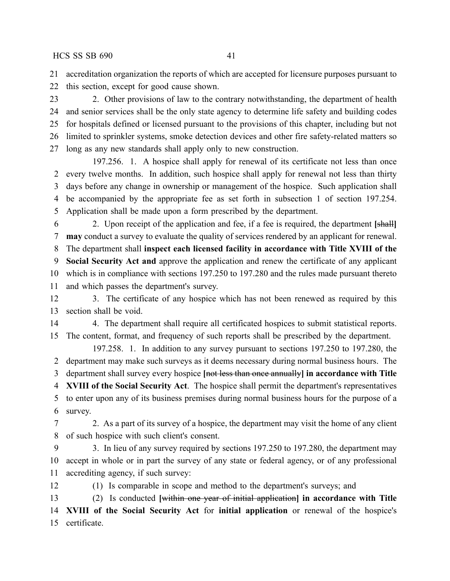accreditation organization the reports of which are accepted for licensure purposes pursuant to

this section, except for good cause shown.

23 2. Other provisions of law to the contrary notwithstanding, the department of health and senior services shall be the only state agency to determine life safety and building codes for hospitals defined or licensed pursuant to the provisions of this chapter, including but not limited to sprinkler systems, smoke detection devices and other fire safety-related matters so long as any new standards shall apply only to new construction.

197.256. 1. A hospice shall apply for renewal of its certificate not less than once every twelve months. In addition, such hospice shall apply for renewal not less than thirty days before any change in ownership or management of the hospice. Such application shall be accompanied by the appropriate fee as set forth in subsection 1 of section 197.254. Application shall be made upon a form prescribed by the department.

 2. Upon receipt of the application and fee, if a fee is required, the department **[**shall**] may** conduct a survey to evaluate the quality of services rendered by an applicant for renewal. The department shall **inspect each licensed facility in accordance with Title XVIII of the**

 **Social Security Act and** approve the application and renew the certificate of any applicant which is in compliance with sections 197.250 to 197.280 and the rules made pursuant thereto

and which passes the department's survey.

 3. The certificate of any hospice which has not been renewed as required by this section shall be void.

 4. The department shall require all certificated hospices to submit statistical reports. The content, format, and frequency of such reports shall be prescribed by the department.

197.258. 1. In addition to any survey pursuant to sections 197.250 to 197.280, the department may make such surveys as it deems necessary during normal business hours. The department shall survey every hospice **[**not less than once annually**] in accordance with Title XVIII of the Social Security Act**. The hospice shall permit the department's representatives to enter upon any of its business premises during normal business hours for the purpose of a survey.

 2. As a part of its survey of a hospice, the department may visit the home of any client of such hospice with such client's consent.

 3. In lieu of any survey required by sections 197.250 to 197.280, the department may accept in whole or in part the survey of any state or federal agency, or of any professional accrediting agency, if such survey:

(1) Is comparable in scope and method to the department's surveys; and

 (2) Is conducted **[**within one year of initial application**] in accordance with Title XVIII of the Social Security Act** for **initial application** or renewal of the hospice's certificate.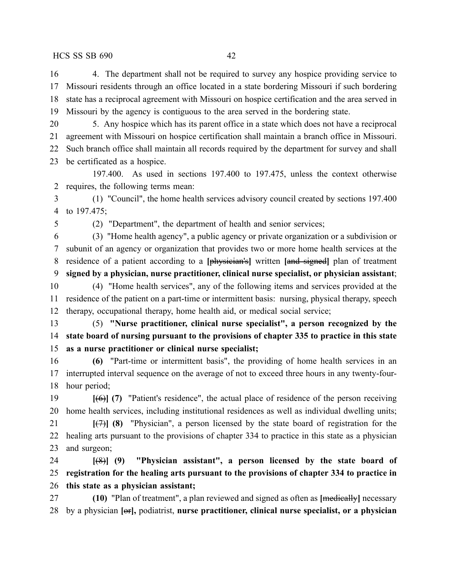4. The department shall not be required to survey any hospice providing service to Missouri residents through an office located in a state bordering Missouri if such bordering state has a reciprocal agreement with Missouri on hospice certification and the area served in Missouri by the agency is contiguous to the area served in the bordering state.

 5. Any hospice which has its parent office in a state which does not have a reciprocal agreement with Missouri on hospice certification shall maintain a branch office in Missouri. Such branch office shall maintain all records required by the department for survey and shall be certificated as a hospice.

197.400. As used in sections 197.400 to 197.475, unless the context otherwise requires, the following terms mean:

 (1) "Council", the home health services advisory council created by sections 197.400 to 197.475;

(2) "Department", the department of health and senior services;

 (3) "Home health agency", a public agency or private organization or a subdivision or subunit of an agency or organization that provides two or more home health services at the residence of a patient according to a **[**physician's**]** written **[**and signed**]** plan of treatment **signed by a physician, nurse practitioner, clinical nurse specialist, or physician assistant**; (4) "Home health services", any of the following items and services provided at the residence of the patient on a part-time or intermittent basis: nursing, physical therapy, speech therapy, occupational therapy, home health aid, or medical social service;

 (5) **"Nurse practitioner, clinical nurse specialist", a person recognized by the state board of nursing pursuant to the provisions of chapter 335 to practice in this state as a nurse practitioner or clinical nurse specialist;**

 **(6)** "Part-time or intermittent basis", the providing of home health services in an interrupted interval sequence on the average of not to exceed three hours in any twenty-four-hour period;

 **[**(6)**] (7)** "Patient's residence", the actual place of residence of the person receiving home health services, including institutional residences as well as individual dwelling units; **[**(7)**] (8)** "Physician", a person licensed by the state board of registration for the

 healing arts pursuant to the provisions of chapter 334 to practice in this state as a physician and surgeon;

 **[**(8)**] (9) "Physician assistant", a person licensed by the state board of registration for the healing arts pursuant to the provisions of chapter 334 to practice in this state as a physician assistant;**

 **(10)** "Plan of treatment", a plan reviewed and signed as often as **[**medically**]** necessary by a physician **[**or**],** podiatrist, **nurse practitioner, clinical nurse specialist, or a physician**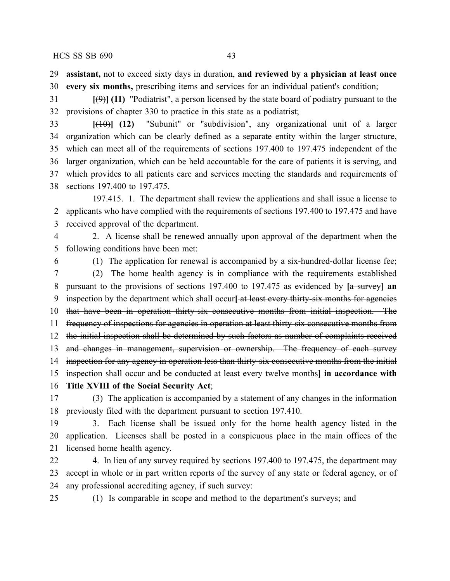**assistant,** not to exceed sixty days in duration, **and reviewed by a physician at least once**

**every six months,** prescribing items and services for an individual patient's condition;

 **[**(9)**] (11)** "Podiatrist", a person licensed by the state board of podiatry pursuant to the provisions of chapter 330 to practice in this state as a podiatrist;

 **[**(10)**] (12)** "Subunit" or "subdivision", any organizational unit of a larger organization which can be clearly defined as a separate entity within the larger structure, which can meet all of the requirements of sections 197.400 to 197.475 independent of the larger organization, which can be held accountable for the care of patients it is serving, and which provides to all patients care and services meeting the standards and requirements of sections 197.400 to 197.475.

197.415. 1. The department shall review the applications and shall issue a license to applicants who have complied with the requirements of sections 197.400 to 197.475 and have received approval of the department.

 2. A license shall be renewed annually upon approval of the department when the following conditions have been met:

 (1) The application for renewal is accompanied by a six-hundred-dollar license fee; (2) The home health agency is in compliance with the requirements established

 pursuant to the provisions of sections 197.400 to 197.475 as evidenced by **[**a survey**] an** inspection by the department which shall occur**[** at least every thirty-six months for agencies 10 that have been in operation thirty-six consecutive months from initial inspection. The 11 frequency of inspections for agencies in operation at least thirty six consecutive months from the initial inspection shall be determined by such factors as number of complaints received and changes in management, supervision or ownership. The frequency of each survey inspection for any agency in operation less than thirty-six consecutive months from the initial

inspection shall occur and be conducted at least every twelve months**] in accordance with**

**Title XVIII of the Social Security Act**;

 (3) The application is accompanied by a statement of any changes in the information previously filed with the department pursuant to section 197.410.

 3. Each license shall be issued only for the home health agency listed in the application. Licenses shall be posted in a conspicuous place in the main offices of the licensed home health agency.

22 4. In lieu of any survey required by sections 197.400 to 197.475, the department may accept in whole or in part written reports of the survey of any state or federal agency, or of any professional accrediting agency, if such survey:

(1) Is comparable in scope and method to the department's surveys; and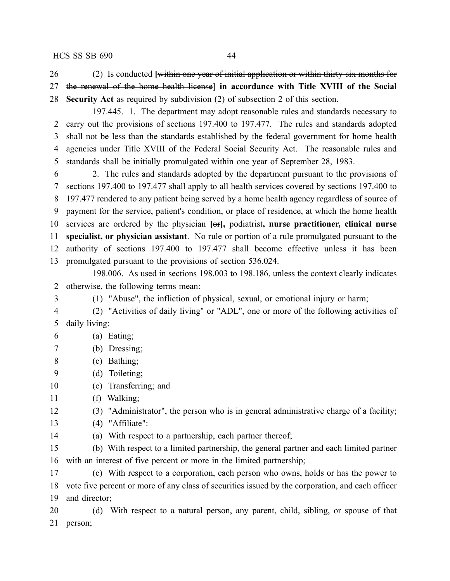(2) Is conducted **[**within one year of initial application or within thirty-six months for the renewal of the home health license**] in accordance with Title XVIII of the Social Security Act** as required by subdivision (2) of subsection 2 of this section.

197.445. 1. The department may adopt reasonable rules and standards necessary to carry out the provisions of sections 197.400 to 197.477. The rules and standards adopted shall not be less than the standards established by the federal government for home health agencies under Title XVIII of the Federal Social Security Act. The reasonable rules and standards shall be initially promulgated within one year of September 28, 1983.

 2. The rules and standards adopted by the department pursuant to the provisions of sections 197.400 to 197.477 shall apply to all health services covered by sections 197.400 to 197.477 rendered to any patient being served by a home health agency regardless of source of payment for the service, patient's condition, or place of residence, at which the home health services are ordered by the physician **[**or**],** podiatrist**, nurse practitioner, clinical nurse specialist, or physician assistant**. No rule or portion of a rule promulgated pursuant to the authority of sections 197.400 to 197.477 shall become effective unless it has been promulgated pursuant to the provisions of section 536.024.

198.006. As used in sections 198.003 to 198.186, unless the context clearly indicates otherwise, the following terms mean:

(1) "Abuse", the infliction of physical, sexual, or emotional injury or harm;

 (2) "Activities of daily living" or "ADL", one or more of the following activities of daily living:

# (a) Eating;

- (b) Dressing;
- (c) Bathing;
- (d) Toileting;
- (e) Transferring; and
- (f) Walking;
- (3) "Administrator", the person who is in general administrative charge of a facility;
- (4) "Affiliate":
- (a) With respect to a partnership, each partner thereof;

 (b) With respect to a limited partnership, the general partner and each limited partner with an interest of five percent or more in the limited partnership;

 (c) With respect to a corporation, each person who owns, holds or has the power to vote five percent or more of any class of securities issued by the corporation, and each officer and director;

 (d) With respect to a natural person, any parent, child, sibling, or spouse of that person;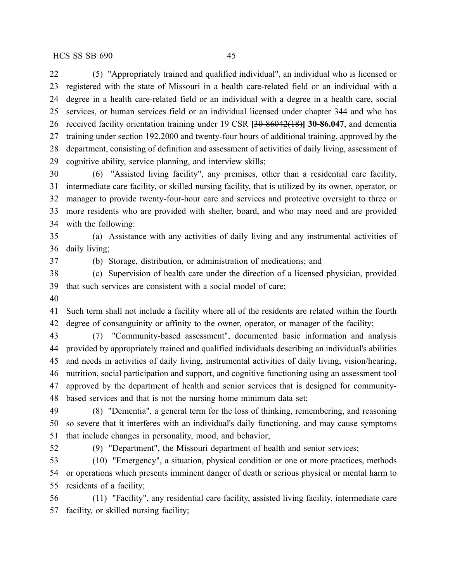(5) "Appropriately trained and qualified individual", an individual who is licensed or registered with the state of Missouri in a health care-related field or an individual with a degree in a health care-related field or an individual with a degree in a health care, social services, or human services field or an individual licensed under chapter 344 and who has received facility orientation training under 19 CSR **[**30-86042(18)**] 30-86.047**, and dementia training under section 192.2000 and twenty-four hours of additional training, approved by the department, consisting of definition and assessment of activities of daily living, assessment of cognitive ability, service planning, and interview skills;

 (6) "Assisted living facility", any premises, other than a residential care facility, intermediate care facility, or skilled nursing facility, that is utilized by its owner, operator, or manager to provide twenty-four-hour care and services and protective oversight to three or more residents who are provided with shelter, board, and who may need and are provided with the following:

 (a) Assistance with any activities of daily living and any instrumental activities of daily living;

(b) Storage, distribution, or administration of medications; and

 (c) Supervision of health care under the direction of a licensed physician, provided that such services are consistent with a social model of care;

 Such term shall not include a facility where all of the residents are related within the fourth degree of consanguinity or affinity to the owner, operator, or manager of the facility;

 (7) "Community-based assessment", documented basic information and analysis provided by appropriately trained and qualified individuals describing an individual's abilities and needs in activities of daily living, instrumental activities of daily living, vision/hearing, nutrition, social participation and support, and cognitive functioning using an assessment tool approved by the department of health and senior services that is designed for community-based services and that is not the nursing home minimum data set;

 (8) "Dementia", a general term for the loss of thinking, remembering, and reasoning so severe that it interferes with an individual's daily functioning, and may cause symptoms that include changes in personality, mood, and behavior;

(9) "Department", the Missouri department of health and senior services;

 (10) "Emergency", a situation, physical condition or one or more practices, methods or operations which presents imminent danger of death or serious physical or mental harm to residents of a facility;

 (11) "Facility", any residential care facility, assisted living facility, intermediate care facility, or skilled nursing facility;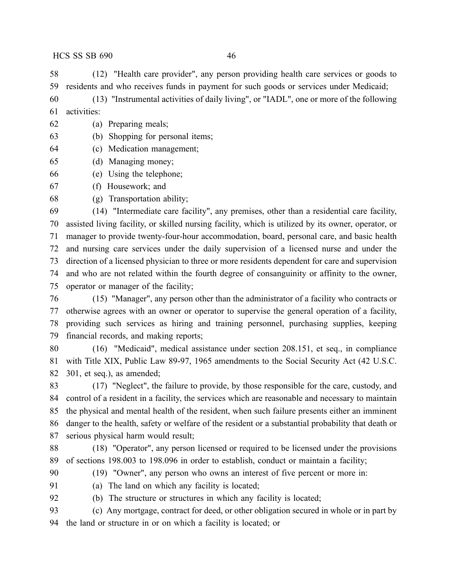(12) "Health care provider", any person providing health care services or goods to residents and who receives funds in payment for such goods or services under Medicaid;

 (13) "Instrumental activities of daily living", or "IADL", one or more of the following activities:

- (a) Preparing meals;
- (b) Shopping for personal items;
- (c) Medication management;
- (d) Managing money;
- (e) Using the telephone;
- (f) Housework; and
- (g) Transportation ability;

 (14) "Intermediate care facility", any premises, other than a residential care facility, assisted living facility, or skilled nursing facility, which is utilized by its owner, operator, or manager to provide twenty-four-hour accommodation, board, personal care, and basic health and nursing care services under the daily supervision of a licensed nurse and under the direction of a licensed physician to three or more residents dependent for care and supervision and who are not related within the fourth degree of consanguinity or affinity to the owner, operator or manager of the facility;

 (15) "Manager", any person other than the administrator of a facility who contracts or otherwise agrees with an owner or operator to supervise the general operation of a facility, providing such services as hiring and training personnel, purchasing supplies, keeping financial records, and making reports;

 (16) "Medicaid", medical assistance under section 208.151, et seq., in compliance with Title XIX, Public Law 89-97, 1965 amendments to the Social Security Act (42 U.S.C. 301, et seq.), as amended;

 (17) "Neglect", the failure to provide, by those responsible for the care, custody, and control of a resident in a facility, the services which are reasonable and necessary to maintain the physical and mental health of the resident, when such failure presents either an imminent danger to the health, safety or welfare of the resident or a substantial probability that death or serious physical harm would result;

 (18) "Operator", any person licensed or required to be licensed under the provisions of sections 198.003 to 198.096 in order to establish, conduct or maintain a facility;

 (19) "Owner", any person who owns an interest of five percent or more in: (a) The land on which any facility is located;

(b) The structure or structures in which any facility is located;

 (c) Any mortgage, contract for deed, or other obligation secured in whole or in part by the land or structure in or on which a facility is located; or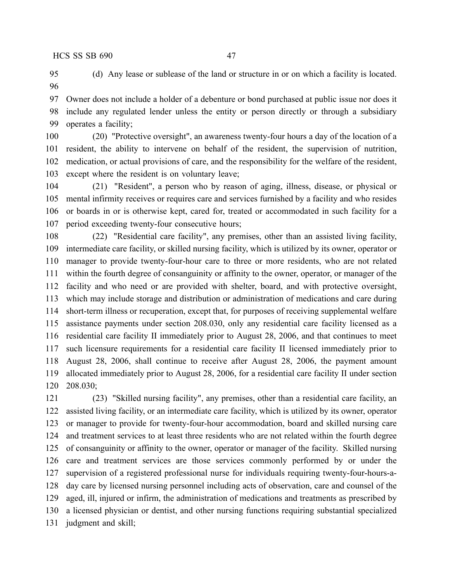(d) Any lease or sublease of the land or structure in or on which a facility is located. 

 Owner does not include a holder of a debenture or bond purchased at public issue nor does it include any regulated lender unless the entity or person directly or through a subsidiary operates a facility;

 (20) "Protective oversight", an awareness twenty-four hours a day of the location of a resident, the ability to intervene on behalf of the resident, the supervision of nutrition, medication, or actual provisions of care, and the responsibility for the welfare of the resident, except where the resident is on voluntary leave;

 (21) "Resident", a person who by reason of aging, illness, disease, or physical or mental infirmity receives or requires care and services furnished by a facility and who resides or boards in or is otherwise kept, cared for, treated or accommodated in such facility for a period exceeding twenty-four consecutive hours;

 (22) "Residential care facility", any premises, other than an assisted living facility, intermediate care facility, or skilled nursing facility, which is utilized by its owner, operator or manager to provide twenty-four-hour care to three or more residents, who are not related within the fourth degree of consanguinity or affinity to the owner, operator, or manager of the facility and who need or are provided with shelter, board, and with protective oversight, which may include storage and distribution or administration of medications and care during short-term illness or recuperation, except that, for purposes of receiving supplemental welfare assistance payments under section 208.030, only any residential care facility licensed as a residential care facility II immediately prior to August 28, 2006, and that continues to meet such licensure requirements for a residential care facility II licensed immediately prior to August 28, 2006, shall continue to receive after August 28, 2006, the payment amount allocated immediately prior to August 28, 2006, for a residential care facility II under section 208.030;

 (23) "Skilled nursing facility", any premises, other than a residential care facility, an assisted living facility, or an intermediate care facility, which is utilized by its owner, operator or manager to provide for twenty-four-hour accommodation, board and skilled nursing care and treatment services to at least three residents who are not related within the fourth degree of consanguinity or affinity to the owner, operator or manager of the facility. Skilled nursing care and treatment services are those services commonly performed by or under the supervision of a registered professional nurse for individuals requiring twenty-four-hours-a- day care by licensed nursing personnel including acts of observation, care and counsel of the aged, ill, injured or infirm, the administration of medications and treatments as prescribed by a licensed physician or dentist, and other nursing functions requiring substantial specialized judgment and skill;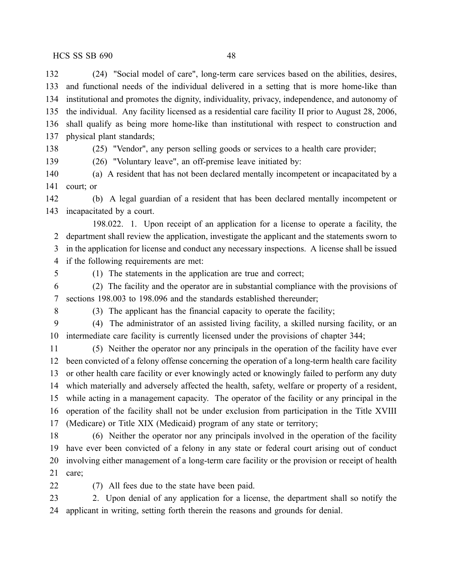(24) "Social model of care", long-term care services based on the abilities, desires, and functional needs of the individual delivered in a setting that is more home-like than institutional and promotes the dignity, individuality, privacy, independence, and autonomy of the individual. Any facility licensed as a residential care facility II prior to August 28, 2006, shall qualify as being more home-like than institutional with respect to construction and physical plant standards;

(25) "Vendor", any person selling goods or services to a health care provider;

(26) "Voluntary leave", an off-premise leave initiated by:

 (a) A resident that has not been declared mentally incompetent or incapacitated by a court; or

 (b) A legal guardian of a resident that has been declared mentally incompetent or incapacitated by a court.

198.022. 1. Upon receipt of an application for a license to operate a facility, the department shall review the application, investigate the applicant and the statements sworn to in the application for license and conduct any necessary inspections. A license shall be issued if the following requirements are met:

(1) The statements in the application are true and correct;

 (2) The facility and the operator are in substantial compliance with the provisions of sections 198.003 to 198.096 and the standards established thereunder;

(3) The applicant has the financial capacity to operate the facility;

 (4) The administrator of an assisted living facility, a skilled nursing facility, or an intermediate care facility is currently licensed under the provisions of chapter 344;

 (5) Neither the operator nor any principals in the operation of the facility have ever been convicted of a felony offense concerning the operation of a long-term health care facility or other health care facility or ever knowingly acted or knowingly failed to perform any duty which materially and adversely affected the health, safety, welfare or property of a resident, while acting in a management capacity. The operator of the facility or any principal in the operation of the facility shall not be under exclusion from participation in the Title XVIII (Medicare) or Title XIX (Medicaid) program of any state or territory;

 (6) Neither the operator nor any principals involved in the operation of the facility have ever been convicted of a felony in any state or federal court arising out of conduct involving either management of a long-term care facility or the provision or receipt of health care;

(7) All fees due to the state have been paid.

 2. Upon denial of any application for a license, the department shall so notify the applicant in writing, setting forth therein the reasons and grounds for denial.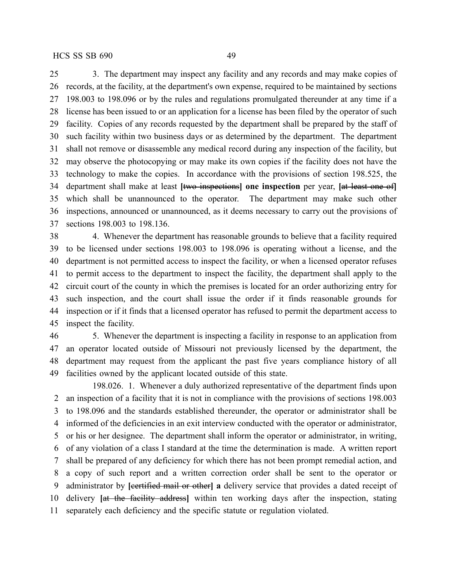3. The department may inspect any facility and any records and may make copies of records, at the facility, at the department's own expense, required to be maintained by sections 198.003 to 198.096 or by the rules and regulations promulgated thereunder at any time if a license has been issued to or an application for a license has been filed by the operator of such facility. Copies of any records requested by the department shall be prepared by the staff of such facility within two business days or as determined by the department. The department shall not remove or disassemble any medical record during any inspection of the facility, but may observe the photocopying or may make its own copies if the facility does not have the technology to make the copies. In accordance with the provisions of section 198.525, the department shall make at least **[**two inspections**] one inspection** per year, **[**at least one of**]** which shall be unannounced to the operator. The department may make such other inspections, announced or unannounced, as it deems necessary to carry out the provisions of sections 198.003 to 198.136.

 4. Whenever the department has reasonable grounds to believe that a facility required to be licensed under sections 198.003 to 198.096 is operating without a license, and the department is not permitted access to inspect the facility, or when a licensed operator refuses to permit access to the department to inspect the facility, the department shall apply to the circuit court of the county in which the premises is located for an order authorizing entry for such inspection, and the court shall issue the order if it finds reasonable grounds for inspection or if it finds that a licensed operator has refused to permit the department access to inspect the facility.

 5. Whenever the department is inspecting a facility in response to an application from an operator located outside of Missouri not previously licensed by the department, the department may request from the applicant the past five years compliance history of all facilities owned by the applicant located outside of this state.

198.026. 1. Whenever a duly authorized representative of the department finds upon an inspection of a facility that it is not in compliance with the provisions of sections 198.003 to 198.096 and the standards established thereunder, the operator or administrator shall be informed of the deficiencies in an exit interview conducted with the operator or administrator, or his or her designee. The department shall inform the operator or administrator, in writing, of any violation of a class I standard at the time the determination is made. A written report shall be prepared of any deficiency for which there has not been prompt remedial action, and a copy of such report and a written correction order shall be sent to the operator or administrator by **[**certified mail or other**] a** delivery service that provides a dated receipt of delivery **[**at the facility address**]** within ten working days after the inspection, stating separately each deficiency and the specific statute or regulation violated.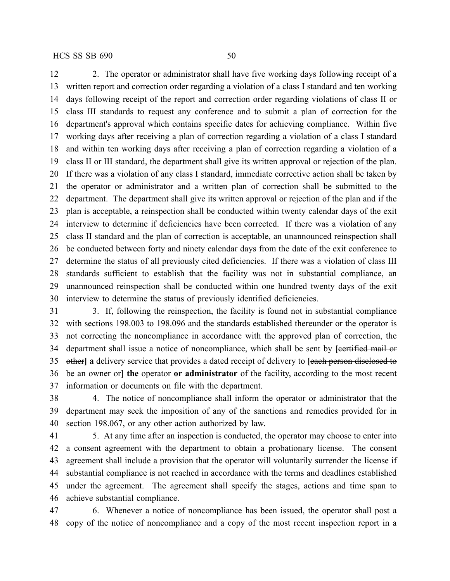12 2. The operator or administrator shall have five working days following receipt of a written report and correction order regarding a violation of a class I standard and ten working days following receipt of the report and correction order regarding violations of class II or class III standards to request any conference and to submit a plan of correction for the department's approval which contains specific dates for achieving compliance. Within five working days after receiving a plan of correction regarding a violation of a class I standard and within ten working days after receiving a plan of correction regarding a violation of a class II or III standard, the department shall give its written approval or rejection of the plan. If there was a violation of any class I standard, immediate corrective action shall be taken by the operator or administrator and a written plan of correction shall be submitted to the department. The department shall give its written approval or rejection of the plan and if the plan is acceptable, a reinspection shall be conducted within twenty calendar days of the exit interview to determine if deficiencies have been corrected. If there was a violation of any class II standard and the plan of correction is acceptable, an unannounced reinspection shall be conducted between forty and ninety calendar days from the date of the exit conference to determine the status of all previously cited deficiencies. If there was a violation of class III standards sufficient to establish that the facility was not in substantial compliance, an unannounced reinspection shall be conducted within one hundred twenty days of the exit interview to determine the status of previously identified deficiencies.

 3. If, following the reinspection, the facility is found not in substantial compliance with sections 198.003 to 198.096 and the standards established thereunder or the operator is not correcting the noncompliance in accordance with the approved plan of correction, the 34 department shall issue a notice of noncompliance, which shall be sent by [eertified mail or other**] a** delivery service that provides a dated receipt of delivery to **[**each person disclosed to be an owner or**] the** operator **or administrator** of the facility, according to the most recent information or documents on file with the department.

 4. The notice of noncompliance shall inform the operator or administrator that the department may seek the imposition of any of the sanctions and remedies provided for in section 198.067, or any other action authorized by law.

 5. At any time after an inspection is conducted, the operator may choose to enter into a consent agreement with the department to obtain a probationary license. The consent agreement shall include a provision that the operator will voluntarily surrender the license if substantial compliance is not reached in accordance with the terms and deadlines established under the agreement. The agreement shall specify the stages, actions and time span to achieve substantial compliance.

 6. Whenever a notice of noncompliance has been issued, the operator shall post a copy of the notice of noncompliance and a copy of the most recent inspection report in a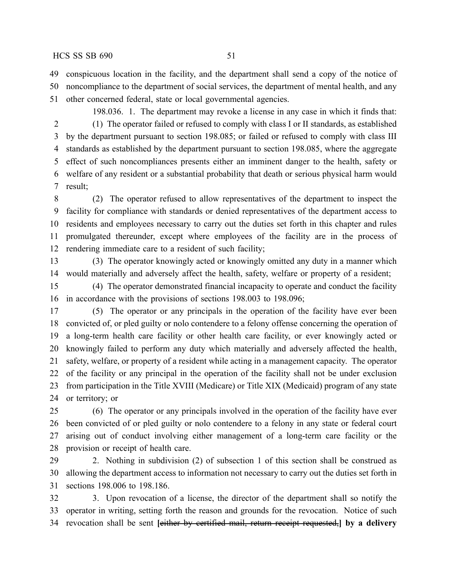conspicuous location in the facility, and the department shall send a copy of the notice of noncompliance to the department of social services, the department of mental health, and any other concerned federal, state or local governmental agencies.

198.036. 1. The department may revoke a license in any case in which it finds that: (1) The operator failed or refused to comply with class I or II standards, as established by the department pursuant to section 198.085; or failed or refused to comply with class III standards as established by the department pursuant to section 198.085, where the aggregate effect of such noncompliances presents either an imminent danger to the health, safety or welfare of any resident or a substantial probability that death or serious physical harm would result;

 (2) The operator refused to allow representatives of the department to inspect the facility for compliance with standards or denied representatives of the department access to residents and employees necessary to carry out the duties set forth in this chapter and rules promulgated thereunder, except where employees of the facility are in the process of rendering immediate care to a resident of such facility;

 (3) The operator knowingly acted or knowingly omitted any duty in a manner which would materially and adversely affect the health, safety, welfare or property of a resident;

 (4) The operator demonstrated financial incapacity to operate and conduct the facility in accordance with the provisions of sections 198.003 to 198.096;

 (5) The operator or any principals in the operation of the facility have ever been convicted of, or pled guilty or nolo contendere to a felony offense concerning the operation of a long-term health care facility or other health care facility, or ever knowingly acted or knowingly failed to perform any duty which materially and adversely affected the health, safety, welfare, or property of a resident while acting in a management capacity. The operator of the facility or any principal in the operation of the facility shall not be under exclusion from participation in the Title XVIII (Medicare) or Title XIX (Medicaid) program of any state or territory; or

 (6) The operator or any principals involved in the operation of the facility have ever been convicted of or pled guilty or nolo contendere to a felony in any state or federal court arising out of conduct involving either management of a long-term care facility or the provision or receipt of health care.

 2. Nothing in subdivision (2) of subsection 1 of this section shall be construed as allowing the department access to information not necessary to carry out the duties set forth in sections 198.006 to 198.186.

 3. Upon revocation of a license, the director of the department shall so notify the operator in writing, setting forth the reason and grounds for the revocation. Notice of such revocation shall be sent **[**either by certified mail, return receipt requested,**] by a delivery**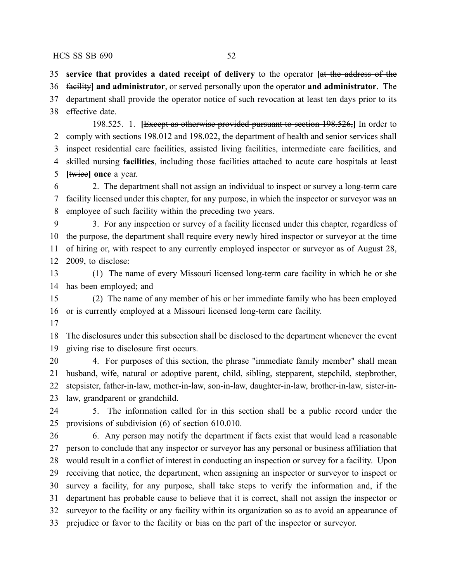**service that provides a dated receipt of delivery** to the operator **[**at the address of the

 facility**] and administrator**, or served personally upon the operator **and administrator**. The department shall provide the operator notice of such revocation at least ten days prior to its

effective date.

198.525. 1. **[**Except as otherwise provided pursuant to section 198.526,**]** In order to comply with sections 198.012 and 198.022, the department of health and senior services shall inspect residential care facilities, assisted living facilities, intermediate care facilities, and skilled nursing **facilities**, including those facilities attached to acute care hospitals at least **[**twice**] once** a year.

 2. The department shall not assign an individual to inspect or survey a long-term care facility licensed under this chapter, for any purpose, in which the inspector or surveyor was an employee of such facility within the preceding two years.

 3. For any inspection or survey of a facility licensed under this chapter, regardless of the purpose, the department shall require every newly hired inspector or surveyor at the time of hiring or, with respect to any currently employed inspector or surveyor as of August 28, 2009, to disclose:

 (1) The name of every Missouri licensed long-term care facility in which he or she has been employed; and

 (2) The name of any member of his or her immediate family who has been employed or is currently employed at a Missouri licensed long-term care facility.

 The disclosures under this subsection shall be disclosed to the department whenever the event giving rise to disclosure first occurs.

 4. For purposes of this section, the phrase "immediate family member" shall mean husband, wife, natural or adoptive parent, child, sibling, stepparent, stepchild, stepbrother, stepsister, father-in-law, mother-in-law, son-in-law, daughter-in-law, brother-in-law, sister-in-law, grandparent or grandchild.

 5. The information called for in this section shall be a public record under the provisions of subdivision (6) of section 610.010.

 6. Any person may notify the department if facts exist that would lead a reasonable person to conclude that any inspector or surveyor has any personal or business affiliation that would result in a conflict of interest in conducting an inspection or survey for a facility. Upon receiving that notice, the department, when assigning an inspector or surveyor to inspect or survey a facility, for any purpose, shall take steps to verify the information and, if the department has probable cause to believe that it is correct, shall not assign the inspector or surveyor to the facility or any facility within its organization so as to avoid an appearance of prejudice or favor to the facility or bias on the part of the inspector or surveyor.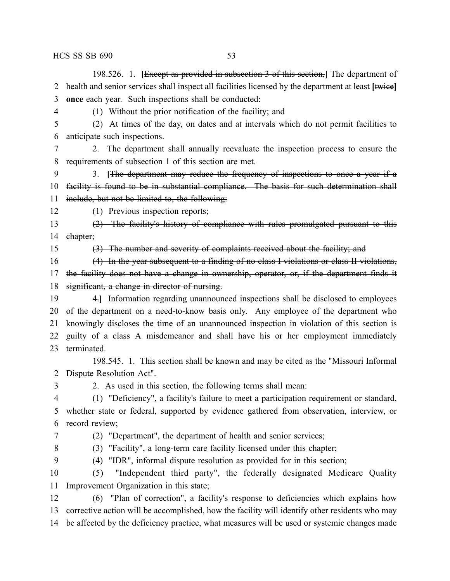198.526. 1. **[**Except as provided in subsection 3 of this section,**]** The department of health and senior services shall inspect all facilities licensed by the department at least **[**twice**] once** each year. Such inspections shall be conducted:

(1) Without the prior notification of the facility; and

 (2) At times of the day, on dates and at intervals which do not permit facilities to anticipate such inspections.

 2. The department shall annually reevaluate the inspection process to ensure the requirements of subsection 1 of this section are met.

 3. **[**The department may reduce the frequency of inspections to once a year if a 10 facility is found to be in substantial compliance. The basis for such determination shall include, but not be limited to, the following:

12 (1) Previous inspection reports;

 (2) The facility's history of compliance with rules promulgated pursuant to this 14 chapter;

(3) The number and severity of complaints received about the facility; and

(4) In the year subsequent to a finding of no class I violations or class II violations,

17 the facility does not have a change in ownership, operator, or, if the department finds it 18 significant, a change in director of nursing.

 4.**]** Information regarding unannounced inspections shall be disclosed to employees of the department on a need-to-know basis only. Any employee of the department who knowingly discloses the time of an unannounced inspection in violation of this section is guilty of a class A misdemeanor and shall have his or her employment immediately terminated.

198.545. 1. This section shall be known and may be cited as the "Missouri Informal Dispute Resolution Act".

2. As used in this section, the following terms shall mean:

 (1) "Deficiency", a facility's failure to meet a participation requirement or standard, whether state or federal, supported by evidence gathered from observation, interview, or record review;

(2) "Department", the department of health and senior services;

(3) "Facility", a long-term care facility licensed under this chapter;

(4) "IDR", informal dispute resolution as provided for in this section;

 (5) "Independent third party", the federally designated Medicare Quality Improvement Organization in this state;

 (6) "Plan of correction", a facility's response to deficiencies which explains how corrective action will be accomplished, how the facility will identify other residents who may be affected by the deficiency practice, what measures will be used or systemic changes made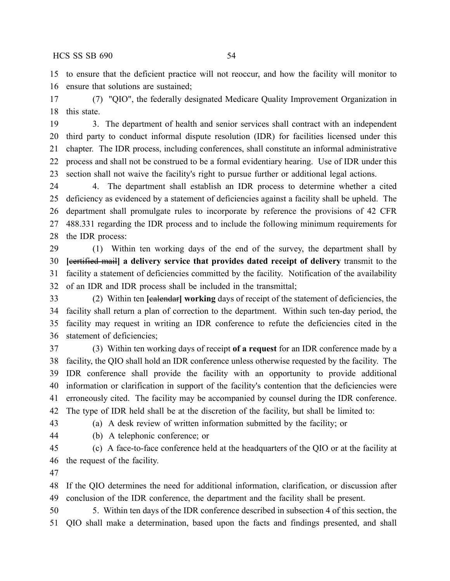to ensure that the deficient practice will not reoccur, and how the facility will monitor to ensure that solutions are sustained;

 (7) "QIO", the federally designated Medicare Quality Improvement Organization in this state.

 3. The department of health and senior services shall contract with an independent third party to conduct informal dispute resolution (IDR) for facilities licensed under this chapter. The IDR process, including conferences, shall constitute an informal administrative process and shall not be construed to be a formal evidentiary hearing. Use of IDR under this section shall not waive the facility's right to pursue further or additional legal actions.

 4. The department shall establish an IDR process to determine whether a cited deficiency as evidenced by a statement of deficiencies against a facility shall be upheld. The department shall promulgate rules to incorporate by reference the provisions of 42 CFR 488.331 regarding the IDR process and to include the following minimum requirements for the IDR process:

 (1) Within ten working days of the end of the survey, the department shall by **[**certified mail**] a delivery service that provides dated receipt of delivery** transmit to the facility a statement of deficiencies committed by the facility. Notification of the availability of an IDR and IDR process shall be included in the transmittal;

 (2) Within ten **[**calendar**] working** days of receipt of the statement of deficiencies, the facility shall return a plan of correction to the department. Within such ten-day period, the facility may request in writing an IDR conference to refute the deficiencies cited in the statement of deficiencies;

 (3) Within ten working days of receipt **of a request** for an IDR conference made by a facility, the QIO shall hold an IDR conference unless otherwise requested by the facility. The IDR conference shall provide the facility with an opportunity to provide additional information or clarification in support of the facility's contention that the deficiencies were erroneously cited. The facility may be accompanied by counsel during the IDR conference. The type of IDR held shall be at the discretion of the facility, but shall be limited to:

(a) A desk review of written information submitted by the facility; or

(b) A telephonic conference; or

 (c) A face-to-face conference held at the headquarters of the QIO or at the facility at the request of the facility.

 If the QIO determines the need for additional information, clarification, or discussion after conclusion of the IDR conference, the department and the facility shall be present.

 5. Within ten days of the IDR conference described in subsection 4 of this section, the QIO shall make a determination, based upon the facts and findings presented, and shall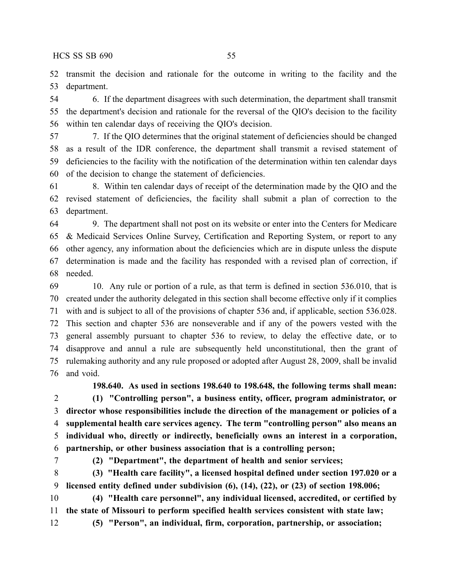transmit the decision and rationale for the outcome in writing to the facility and the department.

 6. If the department disagrees with such determination, the department shall transmit the department's decision and rationale for the reversal of the QIO's decision to the facility within ten calendar days of receiving the QIO's decision.

 7. If the QIO determines that the original statement of deficiencies should be changed as a result of the IDR conference, the department shall transmit a revised statement of deficiencies to the facility with the notification of the determination within ten calendar days of the decision to change the statement of deficiencies.

 8. Within ten calendar days of receipt of the determination made by the QIO and the revised statement of deficiencies, the facility shall submit a plan of correction to the department.

 9. The department shall not post on its website or enter into the Centers for Medicare & Medicaid Services Online Survey, Certification and Reporting System, or report to any other agency, any information about the deficiencies which are in dispute unless the dispute determination is made and the facility has responded with a revised plan of correction, if needed.

 10. Any rule or portion of a rule, as that term is defined in section 536.010, that is created under the authority delegated in this section shall become effective only if it complies with and is subject to all of the provisions of chapter 536 and, if applicable, section 536.028. This section and chapter 536 are nonseverable and if any of the powers vested with the general assembly pursuant to chapter 536 to review, to delay the effective date, or to disapprove and annul a rule are subsequently held unconstitutional, then the grant of rulemaking authority and any rule proposed or adopted after August 28, 2009, shall be invalid and void.

**198.640. As used in sections 198.640 to 198.648, the following terms shall mean: (1) "Controlling person", a business entity, officer, program administrator, or director whose responsibilities include the direction of the management or policies of a supplemental health care services agency. The term "controlling person" also means an individual who, directly or indirectly, beneficially owns an interest in a corporation, partnership, or other business association that is a controlling person;**

**(2) "Department", the department of health and senior services;**

 **(3) "Health care facility", a licensed hospital defined under section 197.020 or a licensed entity defined under subdivision (6), (14), (22), or (23) of section 198.006;**

 **(4) "Health care personnel", any individual licensed, accredited, or certified by the state of Missouri to perform specified health services consistent with state law; (5) "Person", an individual, firm, corporation, partnership, or association;**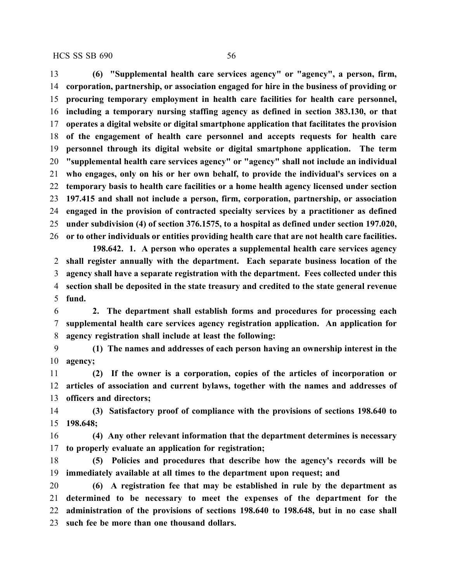**(6) "Supplemental health care services agency" or "agency", a person, firm, corporation, partnership, or association engaged for hire in the business of providing or procuring temporary employment in health care facilities for health care personnel, including a temporary nursing staffing agency as defined in section 383.130, or that operates a digital website or digital smartphone application that facilitates the provision of the engagement of health care personnel and accepts requests for health care personnel through its digital website or digital smartphone application. The term "supplemental health care services agency" or "agency" shall not include an individual who engages, only on his or her own behalf, to provide the individual's services on a temporary basis to health care facilities or a home health agency licensed under section 197.415 and shall not include a person, firm, corporation, partnership, or association engaged in the provision of contracted specialty services by a practitioner as defined under subdivision (4) of section 376.1575, to a hospital as defined under section 197.020, or to other individuals or entities providing health care that are not health care facilities.**

**198.642. 1. A person who operates a supplemental health care services agency shall register annually with the department. Each separate business location of the agency shall have a separate registration with the department. Fees collected under this section shall be deposited in the state treasury and credited to the state general revenue fund.**

 **2. The department shall establish forms and procedures for processing each supplemental health care services agency registration application. An application for agency registration shall include at least the following:**

 **(1) The names and addresses of each person having an ownership interest in the agency;**

 **(2) If the owner is a corporation, copies of the articles of incorporation or articles of association and current bylaws, together with the names and addresses of officers and directors;**

 **(3) Satisfactory proof of compliance with the provisions of sections 198.640 to 198.648;**

 **(4) Any other relevant information that the department determines is necessary to properly evaluate an application for registration;**

 **(5) Policies and procedures that describe how the agency's records will be immediately available at all times to the department upon request; and**

 **(6) A registration fee that may be established in rule by the department as determined to be necessary to meet the expenses of the department for the administration of the provisions of sections 198.640 to 198.648, but in no case shall such fee be more than one thousand dollars.**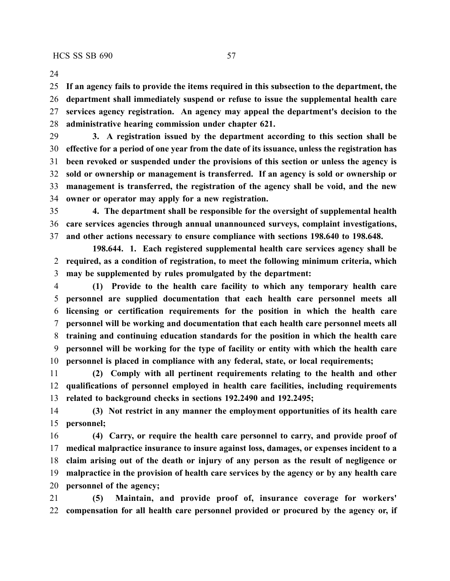**If an agency fails to provide the items required in this subsection to the department, the department shall immediately suspend or refuse to issue the supplemental health care services agency registration. An agency may appeal the department's decision to the administrative hearing commission under chapter 621.**

 **3. A registration issued by the department according to this section shall be effective for a period of one year from the date of its issuance, unless the registration has been revoked or suspended under the provisions of this section or unless the agency is sold or ownership or management is transferred. If an agency is sold or ownership or management is transferred, the registration of the agency shall be void, and the new owner or operator may apply for a new registration.**

 **4. The department shall be responsible for the oversight of supplemental health care services agencies through annual unannounced surveys, complaint investigations, and other actions necessary to ensure compliance with sections 198.640 to 198.648.**

**198.644. 1. Each registered supplemental health care services agency shall be required, as a condition of registration, to meet the following minimum criteria, which may be supplemented by rules promulgated by the department:**

 **(1) Provide to the health care facility to which any temporary health care personnel are supplied documentation that each health care personnel meets all licensing or certification requirements for the position in which the health care personnel will be working and documentation that each health care personnel meets all training and continuing education standards for the position in which the health care personnel will be working for the type of facility or entity with which the health care personnel is placed in compliance with any federal, state, or local requirements;**

 **(2) Comply with all pertinent requirements relating to the health and other qualifications of personnel employed in health care facilities, including requirements related to background checks in sections 192.2490 and 192.2495;**

 **(3) Not restrict in any manner the employment opportunities of its health care personnel;**

 **(4) Carry, or require the health care personnel to carry, and provide proof of medical malpractice insurance to insure against loss, damages, or expenses incident to a claim arising out of the death or injury of any person as the result of negligence or malpractice in the provision of health care services by the agency or by any health care personnel of the agency;**

 **(5) Maintain, and provide proof of, insurance coverage for workers' compensation for all health care personnel provided or procured by the agency or, if**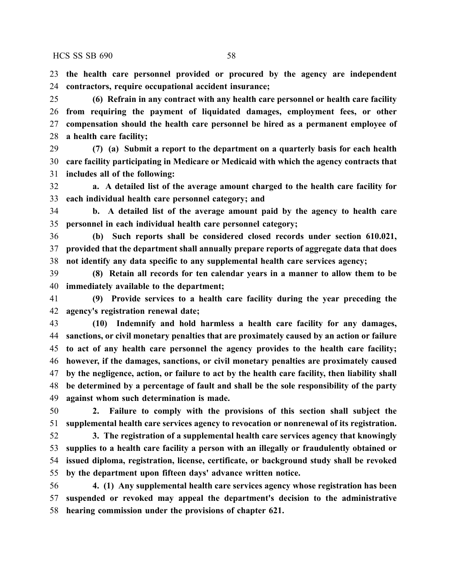**the health care personnel provided or procured by the agency are independent contractors, require occupational accident insurance;**

 **(6) Refrain in any contract with any health care personnel or health care facility from requiring the payment of liquidated damages, employment fees, or other compensation should the health care personnel be hired as a permanent employee of a health care facility;**

 **(7) (a) Submit a report to the department on a quarterly basis for each health care facility participating in Medicare or Medicaid with which the agency contracts that includes all of the following:**

 **a. A detailed list of the average amount charged to the health care facility for each individual health care personnel category; and**

 **b. A detailed list of the average amount paid by the agency to health care personnel in each individual health care personnel category;**

 **(b) Such reports shall be considered closed records under section 610.021, provided that the department shall annually prepare reports of aggregate data that does not identify any data specific to any supplemental health care services agency;**

 **(8) Retain all records for ten calendar years in a manner to allow them to be immediately available to the department;**

 **(9) Provide services to a health care facility during the year preceding the agency's registration renewal date;**

 **(10) Indemnify and hold harmless a health care facility for any damages, sanctions, or civil monetary penalties that are proximately caused by an action or failure to act of any health care personnel the agency provides to the health care facility; however, if the damages, sanctions, or civil monetary penalties are proximately caused by the negligence, action, or failure to act by the health care facility, then liability shall be determined by a percentage of fault and shall be the sole responsibility of the party against whom such determination is made.**

 **2. Failure to comply with the provisions of this section shall subject the supplemental health care services agency to revocation or nonrenewal of its registration.**

 **3. The registration of a supplemental health care services agency that knowingly supplies to a health care facility a person with an illegally or fraudulently obtained or issued diploma, registration, license, certificate, or background study shall be revoked by the department upon fifteen days' advance written notice.**

 **4. (1) Any supplemental health care services agency whose registration has been suspended or revoked may appeal the department's decision to the administrative hearing commission under the provisions of chapter 621.**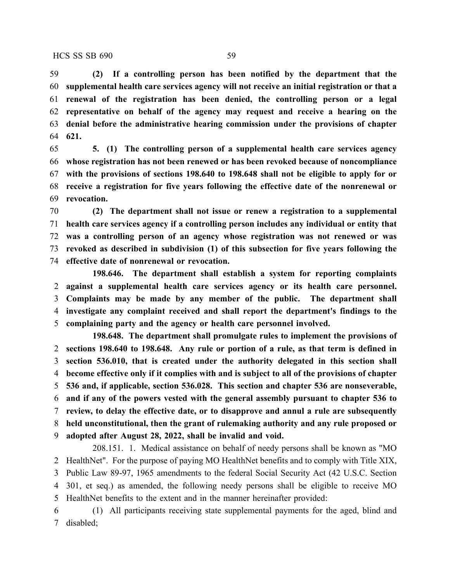**(2) If a controlling person has been notified by the department that the supplemental health care services agency will not receive an initial registration or that a renewal of the registration has been denied, the controlling person or a legal representative on behalf of the agency may request and receive a hearing on the denial before the administrative hearing commission under the provisions of chapter 621.**

 **5. (1) The controlling person of a supplemental health care services agency whose registration has not been renewed or has been revoked because of noncompliance with the provisions of sections 198.640 to 198.648 shall not be eligible to apply for or receive a registration for five years following the effective date of the nonrenewal or revocation.**

 **(2) The department shall not issue or renew a registration to a supplemental health care services agency if a controlling person includes any individual or entity that was a controlling person of an agency whose registration was not renewed or was revoked as described in subdivision (1) of this subsection for five years following the effective date of nonrenewal or revocation.**

**198.646. The department shall establish a system for reporting complaints against a supplemental health care services agency or its health care personnel. Complaints may be made by any member of the public. The department shall investigate any complaint received and shall report the department's findings to the complaining party and the agency or health care personnel involved.**

**198.648. The department shall promulgate rules to implement the provisions of sections 198.640 to 198.648. Any rule or portion of a rule, as that term is defined in section 536.010, that is created under the authority delegated in this section shall become effective only if it complies with and is subject to all of the provisions of chapter 536 and, if applicable, section 536.028. This section and chapter 536 are nonseverable, and if any of the powers vested with the general assembly pursuant to chapter 536 to review, to delay the effective date, or to disapprove and annul a rule are subsequently held unconstitutional, then the grant of rulemaking authority and any rule proposed or adopted after August 28, 2022, shall be invalid and void.**

208.151. 1. Medical assistance on behalf of needy persons shall be known as "MO HealthNet". For the purpose of paying MO HealthNet benefits and to comply with Title XIX, Public Law 89-97, 1965 amendments to the federal Social Security Act (42 U.S.C. Section 301, et seq.) as amended, the following needy persons shall be eligible to receive MO HealthNet benefits to the extent and in the manner hereinafter provided:

 (1) All participants receiving state supplemental payments for the aged, blind and disabled;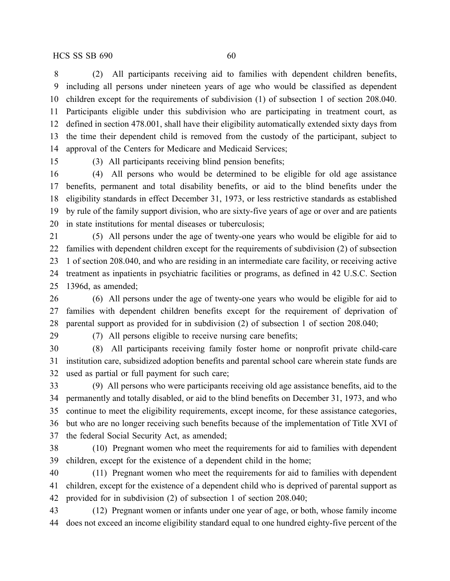(2) All participants receiving aid to families with dependent children benefits, including all persons under nineteen years of age who would be classified as dependent children except for the requirements of subdivision (1) of subsection 1 of section 208.040. Participants eligible under this subdivision who are participating in treatment court, as defined in section 478.001, shall have their eligibility automatically extended sixty days from the time their dependent child is removed from the custody of the participant, subject to approval of the Centers for Medicare and Medicaid Services;

(3) All participants receiving blind pension benefits;

 (4) All persons who would be determined to be eligible for old age assistance benefits, permanent and total disability benefits, or aid to the blind benefits under the eligibility standards in effect December 31, 1973, or less restrictive standards as established by rule of the family support division, who are sixty-five years of age or over and are patients in state institutions for mental diseases or tuberculosis;

 (5) All persons under the age of twenty-one years who would be eligible for aid to families with dependent children except for the requirements of subdivision (2) of subsection 1 of section 208.040, and who are residing in an intermediate care facility, or receiving active treatment as inpatients in psychiatric facilities or programs, as defined in 42 U.S.C. Section 1396d, as amended;

 (6) All persons under the age of twenty-one years who would be eligible for aid to families with dependent children benefits except for the requirement of deprivation of parental support as provided for in subdivision (2) of subsection 1 of section 208.040;

(7) All persons eligible to receive nursing care benefits;

 (8) All participants receiving family foster home or nonprofit private child-care institution care, subsidized adoption benefits and parental school care wherein state funds are used as partial or full payment for such care;

 (9) All persons who were participants receiving old age assistance benefits, aid to the permanently and totally disabled, or aid to the blind benefits on December 31, 1973, and who continue to meet the eligibility requirements, except income, for these assistance categories, but who are no longer receiving such benefits because of the implementation of Title XVI of the federal Social Security Act, as amended;

 (10) Pregnant women who meet the requirements for aid to families with dependent children, except for the existence of a dependent child in the home;

 (11) Pregnant women who meet the requirements for aid to families with dependent children, except for the existence of a dependent child who is deprived of parental support as provided for in subdivision (2) of subsection 1 of section 208.040;

 (12) Pregnant women or infants under one year of age, or both, whose family income does not exceed an income eligibility standard equal to one hundred eighty-five percent of the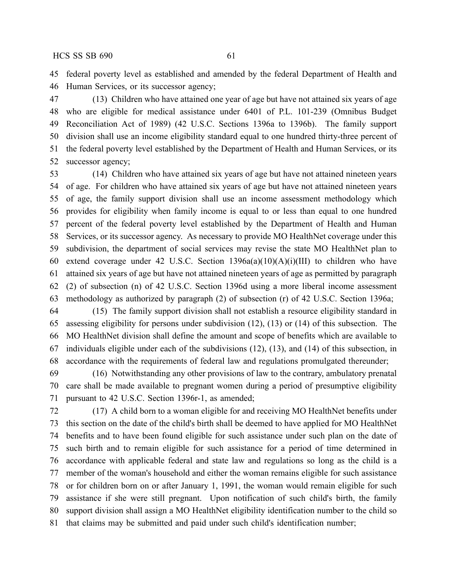federal poverty level as established and amended by the federal Department of Health and Human Services, or its successor agency;

 (13) Children who have attained one year of age but have not attained six years of age who are eligible for medical assistance under 6401 of P.L. 101-239 (Omnibus Budget Reconciliation Act of 1989) (42 U.S.C. Sections 1396a to 1396b). The family support division shall use an income eligibility standard equal to one hundred thirty-three percent of the federal poverty level established by the Department of Health and Human Services, or its successor agency;

 (14) Children who have attained six years of age but have not attained nineteen years of age. For children who have attained six years of age but have not attained nineteen years of age, the family support division shall use an income assessment methodology which provides for eligibility when family income is equal to or less than equal to one hundred percent of the federal poverty level established by the Department of Health and Human Services, or its successor agency. As necessary to provide MO HealthNet coverage under this subdivision, the department of social services may revise the state MO HealthNet plan to 60 extend coverage under 42 U.S.C. Section  $1396a(a)(10)(A)(i)(III)$  to children who have attained six years of age but have not attained nineteen years of age as permitted by paragraph (2) of subsection (n) of 42 U.S.C. Section 1396d using a more liberal income assessment methodology as authorized by paragraph (2) of subsection (r) of 42 U.S.C. Section 1396a;

 (15) The family support division shall not establish a resource eligibility standard in assessing eligibility for persons under subdivision (12), (13) or (14) of this subsection. The MO HealthNet division shall define the amount and scope of benefits which are available to individuals eligible under each of the subdivisions (12), (13), and (14) of this subsection, in accordance with the requirements of federal law and regulations promulgated thereunder;

 (16) Notwithstanding any other provisions of law to the contrary, ambulatory prenatal care shall be made available to pregnant women during a period of presumptive eligibility pursuant to 42 U.S.C. Section 1396r-1, as amended;

 (17) A child born to a woman eligible for and receiving MO HealthNet benefits under this section on the date of the child's birth shall be deemed to have applied for MO HealthNet benefits and to have been found eligible for such assistance under such plan on the date of such birth and to remain eligible for such assistance for a period of time determined in accordance with applicable federal and state law and regulations so long as the child is a member of the woman's household and either the woman remains eligible for such assistance or for children born on or after January 1, 1991, the woman would remain eligible for such assistance if she were still pregnant. Upon notification of such child's birth, the family support division shall assign a MO HealthNet eligibility identification number to the child so that claims may be submitted and paid under such child's identification number;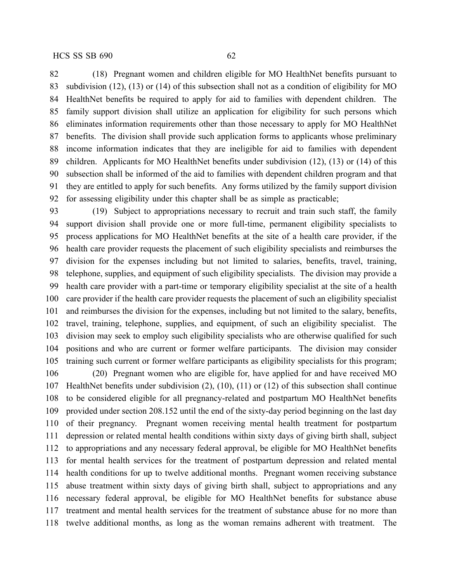(18) Pregnant women and children eligible for MO HealthNet benefits pursuant to subdivision (12), (13) or (14) of this subsection shall not as a condition of eligibility for MO HealthNet benefits be required to apply for aid to families with dependent children. The family support division shall utilize an application for eligibility for such persons which eliminates information requirements other than those necessary to apply for MO HealthNet benefits. The division shall provide such application forms to applicants whose preliminary income information indicates that they are ineligible for aid to families with dependent children. Applicants for MO HealthNet benefits under subdivision (12), (13) or (14) of this subsection shall be informed of the aid to families with dependent children program and that they are entitled to apply for such benefits. Any forms utilized by the family support division for assessing eligibility under this chapter shall be as simple as practicable;

 (19) Subject to appropriations necessary to recruit and train such staff, the family support division shall provide one or more full-time, permanent eligibility specialists to process applications for MO HealthNet benefits at the site of a health care provider, if the health care provider requests the placement of such eligibility specialists and reimburses the division for the expenses including but not limited to salaries, benefits, travel, training, telephone, supplies, and equipment of such eligibility specialists. The division may provide a health care provider with a part-time or temporary eligibility specialist at the site of a health care provider if the health care provider requests the placement of such an eligibility specialist and reimburses the division for the expenses, including but not limited to the salary, benefits, travel, training, telephone, supplies, and equipment, of such an eligibility specialist. The division may seek to employ such eligibility specialists who are otherwise qualified for such positions and who are current or former welfare participants. The division may consider training such current or former welfare participants as eligibility specialists for this program;

 (20) Pregnant women who are eligible for, have applied for and have received MO HealthNet benefits under subdivision (2), (10), (11) or (12) of this subsection shall continue to be considered eligible for all pregnancy-related and postpartum MO HealthNet benefits provided under section 208.152 until the end of the sixty-day period beginning on the last day of their pregnancy. Pregnant women receiving mental health treatment for postpartum depression or related mental health conditions within sixty days of giving birth shall, subject to appropriations and any necessary federal approval, be eligible for MO HealthNet benefits for mental health services for the treatment of postpartum depression and related mental health conditions for up to twelve additional months. Pregnant women receiving substance abuse treatment within sixty days of giving birth shall, subject to appropriations and any necessary federal approval, be eligible for MO HealthNet benefits for substance abuse treatment and mental health services for the treatment of substance abuse for no more than twelve additional months, as long as the woman remains adherent with treatment. The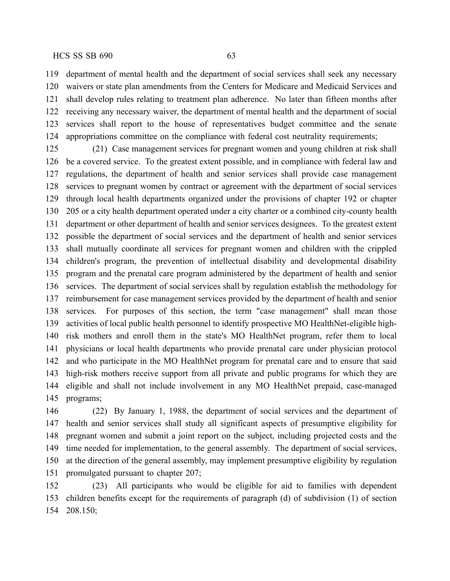department of mental health and the department of social services shall seek any necessary waivers or state plan amendments from the Centers for Medicare and Medicaid Services and shall develop rules relating to treatment plan adherence. No later than fifteen months after receiving any necessary waiver, the department of mental health and the department of social services shall report to the house of representatives budget committee and the senate appropriations committee on the compliance with federal cost neutrality requirements;

 (21) Case management services for pregnant women and young children at risk shall be a covered service. To the greatest extent possible, and in compliance with federal law and regulations, the department of health and senior services shall provide case management services to pregnant women by contract or agreement with the department of social services through local health departments organized under the provisions of chapter 192 or chapter 205 or a city health department operated under a city charter or a combined city-county health department or other department of health and senior services designees. To the greatest extent possible the department of social services and the department of health and senior services shall mutually coordinate all services for pregnant women and children with the crippled children's program, the prevention of intellectual disability and developmental disability program and the prenatal care program administered by the department of health and senior services. The department of social services shall by regulation establish the methodology for reimbursement for case management services provided by the department of health and senior services. For purposes of this section, the term "case management" shall mean those activities of local public health personnel to identify prospective MO HealthNet-eligible high- risk mothers and enroll them in the state's MO HealthNet program, refer them to local physicians or local health departments who provide prenatal care under physician protocol and who participate in the MO HealthNet program for prenatal care and to ensure that said high-risk mothers receive support from all private and public programs for which they are eligible and shall not include involvement in any MO HealthNet prepaid, case-managed programs;

 (22) By January 1, 1988, the department of social services and the department of health and senior services shall study all significant aspects of presumptive eligibility for pregnant women and submit a joint report on the subject, including projected costs and the time needed for implementation, to the general assembly. The department of social services, at the direction of the general assembly, may implement presumptive eligibility by regulation promulgated pursuant to chapter 207;

 (23) All participants who would be eligible for aid to families with dependent children benefits except for the requirements of paragraph (d) of subdivision (1) of section 208.150;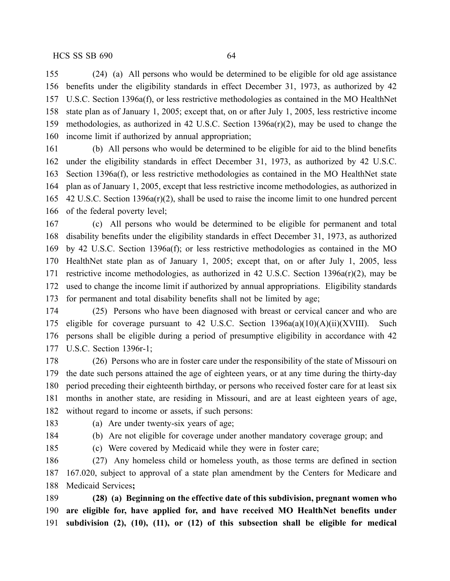(24) (a) All persons who would be determined to be eligible for old age assistance benefits under the eligibility standards in effect December 31, 1973, as authorized by 42 U.S.C. Section 1396a(f), or less restrictive methodologies as contained in the MO HealthNet state plan as of January 1, 2005; except that, on or after July 1, 2005, less restrictive income methodologies, as authorized in 42 U.S.C. Section 1396a(r)(2), may be used to change the income limit if authorized by annual appropriation;

 (b) All persons who would be determined to be eligible for aid to the blind benefits under the eligibility standards in effect December 31, 1973, as authorized by 42 U.S.C. Section 1396a(f), or less restrictive methodologies as contained in the MO HealthNet state plan as of January 1, 2005, except that less restrictive income methodologies, as authorized in 42 U.S.C. Section 1396a(r)(2), shall be used to raise the income limit to one hundred percent of the federal poverty level;

 (c) All persons who would be determined to be eligible for permanent and total disability benefits under the eligibility standards in effect December 31, 1973, as authorized by 42 U.S.C. Section 1396a(f); or less restrictive methodologies as contained in the MO HealthNet state plan as of January 1, 2005; except that, on or after July 1, 2005, less restrictive income methodologies, as authorized in 42 U.S.C. Section 1396a(r)(2), may be used to change the income limit if authorized by annual appropriations. Eligibility standards for permanent and total disability benefits shall not be limited by age;

 (25) Persons who have been diagnosed with breast or cervical cancer and who are eligible for coverage pursuant to 42 U.S.C. Section 1396a(a)(10)(A)(ii)(XVIII). Such persons shall be eligible during a period of presumptive eligibility in accordance with 42 U.S.C. Section 1396r-1;

 (26) Persons who are in foster care under the responsibility of the state of Missouri on the date such persons attained the age of eighteen years, or at any time during the thirty-day period preceding their eighteenth birthday, or persons who received foster care for at least six months in another state, are residing in Missouri, and are at least eighteen years of age, without regard to income or assets, if such persons:

(a) Are under twenty-six years of age;

(b) Are not eligible for coverage under another mandatory coverage group; and

(c) Were covered by Medicaid while they were in foster care;

 (27) Any homeless child or homeless youth, as those terms are defined in section 167.020, subject to approval of a state plan amendment by the Centers for Medicare and Medicaid Services**;**

 **(28) (a) Beginning on the effective date of this subdivision, pregnant women who are eligible for, have applied for, and have received MO HealthNet benefits under subdivision (2), (10), (11), or (12) of this subsection shall be eligible for medical**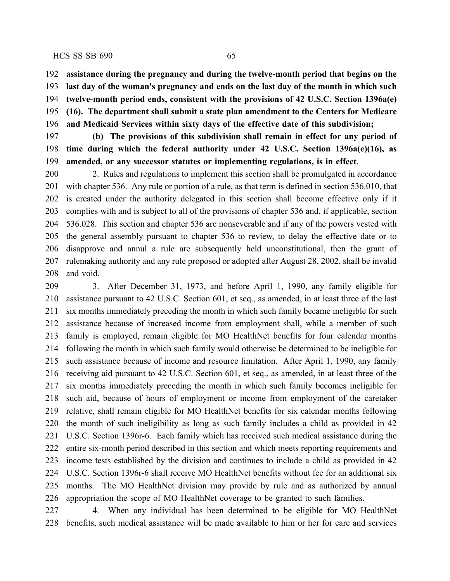**assistance during the pregnancy and during the twelve-month period that begins on the last day of the woman's pregnancy and ends on the last day of the month in which such twelve-month period ends, consistent with the provisions of 42 U.S.C. Section 1396a(e) (16). The department shall submit a state plan amendment to the Centers for Medicare and Medicaid Services within sixty days of the effective date of this subdivision;**

 **(b) The provisions of this subdivision shall remain in effect for any period of time during which the federal authority under 42 U.S.C. Section 1396a(e)(16), as amended, or any successor statutes or implementing regulations, is in effect**.

 2. Rules and regulations to implement this section shall be promulgated in accordance with chapter 536. Any rule or portion of a rule, as that term is defined in section 536.010, that is created under the authority delegated in this section shall become effective only if it complies with and is subject to all of the provisions of chapter 536 and, if applicable, section 536.028. This section and chapter 536 are nonseverable and if any of the powers vested with the general assembly pursuant to chapter 536 to review, to delay the effective date or to disapprove and annul a rule are subsequently held unconstitutional, then the grant of rulemaking authority and any rule proposed or adopted after August 28, 2002, shall be invalid and void.

 3. After December 31, 1973, and before April 1, 1990, any family eligible for assistance pursuant to 42 U.S.C. Section 601, et seq., as amended, in at least three of the last six months immediately preceding the month in which such family became ineligible for such assistance because of increased income from employment shall, while a member of such family is employed, remain eligible for MO HealthNet benefits for four calendar months following the month in which such family would otherwise be determined to be ineligible for such assistance because of income and resource limitation. After April 1, 1990, any family receiving aid pursuant to 42 U.S.C. Section 601, et seq., as amended, in at least three of the six months immediately preceding the month in which such family becomes ineligible for such aid, because of hours of employment or income from employment of the caretaker relative, shall remain eligible for MO HealthNet benefits for six calendar months following the month of such ineligibility as long as such family includes a child as provided in 42 U.S.C. Section 1396r-6. Each family which has received such medical assistance during the entire six-month period described in this section and which meets reporting requirements and income tests established by the division and continues to include a child as provided in 42 U.S.C. Section 1396r-6 shall receive MO HealthNet benefits without fee for an additional six months. The MO HealthNet division may provide by rule and as authorized by annual appropriation the scope of MO HealthNet coverage to be granted to such families.

 4. When any individual has been determined to be eligible for MO HealthNet benefits, such medical assistance will be made available to him or her for care and services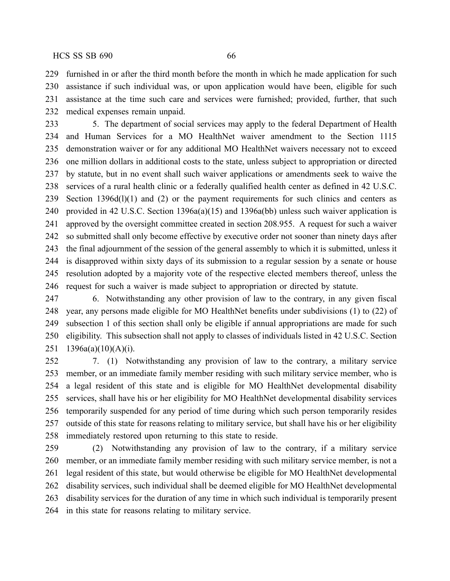furnished in or after the third month before the month in which he made application for such assistance if such individual was, or upon application would have been, eligible for such assistance at the time such care and services were furnished; provided, further, that such medical expenses remain unpaid.

 5. The department of social services may apply to the federal Department of Health and Human Services for a MO HealthNet waiver amendment to the Section 1115 demonstration waiver or for any additional MO HealthNet waivers necessary not to exceed one million dollars in additional costs to the state, unless subject to appropriation or directed by statute, but in no event shall such waiver applications or amendments seek to waive the services of a rural health clinic or a federally qualified health center as defined in 42 U.S.C. Section 1396d(l)(1) and (2) or the payment requirements for such clinics and centers as provided in 42 U.S.C. Section 1396a(a)(15) and 1396a(bb) unless such waiver application is approved by the oversight committee created in section 208.955. A request for such a waiver so submitted shall only become effective by executive order not sooner than ninety days after the final adjournment of the session of the general assembly to which it is submitted, unless it is disapproved within sixty days of its submission to a regular session by a senate or house resolution adopted by a majority vote of the respective elected members thereof, unless the request for such a waiver is made subject to appropriation or directed by statute.

 6. Notwithstanding any other provision of law to the contrary, in any given fiscal year, any persons made eligible for MO HealthNet benefits under subdivisions (1) to (22) of subsection 1 of this section shall only be eligible if annual appropriations are made for such eligibility. This subsection shall not apply to classes of individuals listed in 42 U.S.C. Section 1396a(a)(10)(A)(i).

 7. (1) Notwithstanding any provision of law to the contrary, a military service member, or an immediate family member residing with such military service member, who is a legal resident of this state and is eligible for MO HealthNet developmental disability services, shall have his or her eligibility for MO HealthNet developmental disability services temporarily suspended for any period of time during which such person temporarily resides outside of this state for reasons relating to military service, but shall have his or her eligibility immediately restored upon returning to this state to reside.

 (2) Notwithstanding any provision of law to the contrary, if a military service member, or an immediate family member residing with such military service member, is not a legal resident of this state, but would otherwise be eligible for MO HealthNet developmental disability services, such individual shall be deemed eligible for MO HealthNet developmental disability services for the duration of any time in which such individual is temporarily present in this state for reasons relating to military service.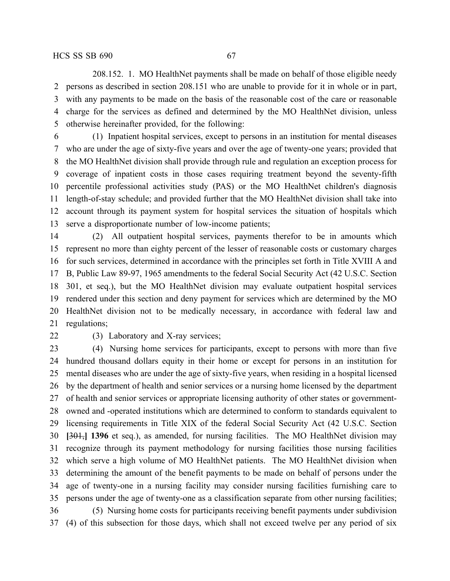208.152. 1. MO HealthNet payments shall be made on behalf of those eligible needy persons as described in section 208.151 who are unable to provide for it in whole or in part, with any payments to be made on the basis of the reasonable cost of the care or reasonable charge for the services as defined and determined by the MO HealthNet division, unless otherwise hereinafter provided, for the following:

 (1) Inpatient hospital services, except to persons in an institution for mental diseases who are under the age of sixty-five years and over the age of twenty-one years; provided that the MO HealthNet division shall provide through rule and regulation an exception process for coverage of inpatient costs in those cases requiring treatment beyond the seventy-fifth percentile professional activities study (PAS) or the MO HealthNet children's diagnosis length-of-stay schedule; and provided further that the MO HealthNet division shall take into account through its payment system for hospital services the situation of hospitals which serve a disproportionate number of low-income patients;

 (2) All outpatient hospital services, payments therefor to be in amounts which represent no more than eighty percent of the lesser of reasonable costs or customary charges for such services, determined in accordance with the principles set forth in Title XVIII A and B, Public Law 89-97, 1965 amendments to the federal Social Security Act (42 U.S.C. Section 301, et seq.), but the MO HealthNet division may evaluate outpatient hospital services rendered under this section and deny payment for services which are determined by the MO HealthNet division not to be medically necessary, in accordance with federal law and regulations;

22 (3) Laboratory and X-ray services;

 (4) Nursing home services for participants, except to persons with more than five hundred thousand dollars equity in their home or except for persons in an institution for mental diseases who are under the age of sixty-five years, when residing in a hospital licensed by the department of health and senior services or a nursing home licensed by the department of health and senior services or appropriate licensing authority of other states or government- owned and -operated institutions which are determined to conform to standards equivalent to licensing requirements in Title XIX of the federal Social Security Act (42 U.S.C. Section **[**301,**] 1396** et seq.), as amended, for nursing facilities. The MO HealthNet division may recognize through its payment methodology for nursing facilities those nursing facilities which serve a high volume of MO HealthNet patients. The MO HealthNet division when determining the amount of the benefit payments to be made on behalf of persons under the age of twenty-one in a nursing facility may consider nursing facilities furnishing care to persons under the age of twenty-one as a classification separate from other nursing facilities; (5) Nursing home costs for participants receiving benefit payments under subdivision (4) of this subsection for those days, which shall not exceed twelve per any period of six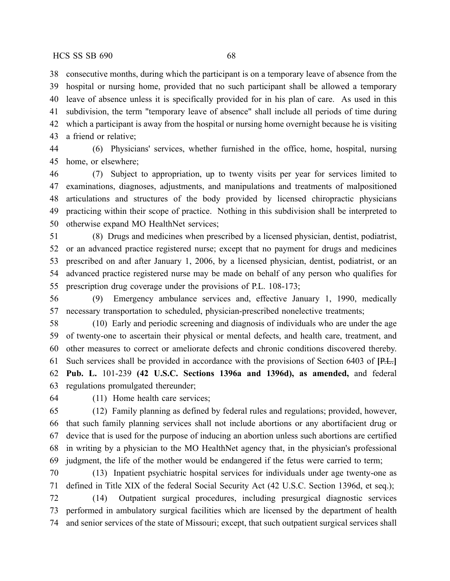consecutive months, during which the participant is on a temporary leave of absence from the hospital or nursing home, provided that no such participant shall be allowed a temporary leave of absence unless it is specifically provided for in his plan of care. As used in this subdivision, the term "temporary leave of absence" shall include all periods of time during which a participant is away from the hospital or nursing home overnight because he is visiting a friend or relative;

 (6) Physicians' services, whether furnished in the office, home, hospital, nursing home, or elsewhere;

 (7) Subject to appropriation, up to twenty visits per year for services limited to examinations, diagnoses, adjustments, and manipulations and treatments of malpositioned articulations and structures of the body provided by licensed chiropractic physicians practicing within their scope of practice. Nothing in this subdivision shall be interpreted to otherwise expand MO HealthNet services;

 (8) Drugs and medicines when prescribed by a licensed physician, dentist, podiatrist, or an advanced practice registered nurse; except that no payment for drugs and medicines prescribed on and after January 1, 2006, by a licensed physician, dentist, podiatrist, or an advanced practice registered nurse may be made on behalf of any person who qualifies for prescription drug coverage under the provisions of P.L. 108-173;

 (9) Emergency ambulance services and, effective January 1, 1990, medically necessary transportation to scheduled, physician-prescribed nonelective treatments;

 (10) Early and periodic screening and diagnosis of individuals who are under the age of twenty-one to ascertain their physical or mental defects, and health care, treatment, and other measures to correct or ameliorate defects and chronic conditions discovered thereby. Such services shall be provided in accordance with the provisions of Section 6403 of **[**P.L.**] Pub. L.** 101-239 **(42 U.S.C. Sections 1396a and 1396d), as amended,** and federal regulations promulgated thereunder;

(11) Home health care services;

 (12) Family planning as defined by federal rules and regulations; provided, however, that such family planning services shall not include abortions or any abortifacient drug or device that is used for the purpose of inducing an abortion unless such abortions are certified in writing by a physician to the MO HealthNet agency that, in the physician's professional judgment, the life of the mother would be endangered if the fetus were carried to term;

 (13) Inpatient psychiatric hospital services for individuals under age twenty-one as defined in Title XIX of the federal Social Security Act (42 U.S.C. Section 1396d, et seq.);

 (14) Outpatient surgical procedures, including presurgical diagnostic services performed in ambulatory surgical facilities which are licensed by the department of health and senior services of the state of Missouri; except, that such outpatient surgical services shall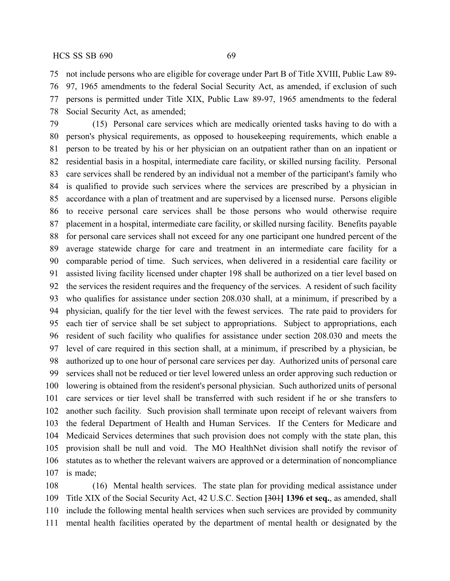not include persons who are eligible for coverage under Part B of Title XVIII, Public Law 89-

 97, 1965 amendments to the federal Social Security Act, as amended, if exclusion of such persons is permitted under Title XIX, Public Law 89-97, 1965 amendments to the federal Social Security Act, as amended;

 (15) Personal care services which are medically oriented tasks having to do with a person's physical requirements, as opposed to housekeeping requirements, which enable a person to be treated by his or her physician on an outpatient rather than on an inpatient or residential basis in a hospital, intermediate care facility, or skilled nursing facility. Personal care services shall be rendered by an individual not a member of the participant's family who is qualified to provide such services where the services are prescribed by a physician in accordance with a plan of treatment and are supervised by a licensed nurse. Persons eligible to receive personal care services shall be those persons who would otherwise require placement in a hospital, intermediate care facility, or skilled nursing facility. Benefits payable for personal care services shall not exceed for any one participant one hundred percent of the average statewide charge for care and treatment in an intermediate care facility for a comparable period of time. Such services, when delivered in a residential care facility or assisted living facility licensed under chapter 198 shall be authorized on a tier level based on the services the resident requires and the frequency of the services. A resident of such facility who qualifies for assistance under section 208.030 shall, at a minimum, if prescribed by a physician, qualify for the tier level with the fewest services. The rate paid to providers for each tier of service shall be set subject to appropriations. Subject to appropriations, each resident of such facility who qualifies for assistance under section 208.030 and meets the level of care required in this section shall, at a minimum, if prescribed by a physician, be authorized up to one hour of personal care services per day. Authorized units of personal care services shall not be reduced or tier level lowered unless an order approving such reduction or lowering is obtained from the resident's personal physician. Such authorized units of personal care services or tier level shall be transferred with such resident if he or she transfers to another such facility. Such provision shall terminate upon receipt of relevant waivers from the federal Department of Health and Human Services. If the Centers for Medicare and Medicaid Services determines that such provision does not comply with the state plan, this provision shall be null and void. The MO HealthNet division shall notify the revisor of statutes as to whether the relevant waivers are approved or a determination of noncompliance is made;

 (16) Mental health services. The state plan for providing medical assistance under Title XIX of the Social Security Act, 42 U.S.C. Section **[**301**] 1396 et seq.**, as amended, shall include the following mental health services when such services are provided by community mental health facilities operated by the department of mental health or designated by the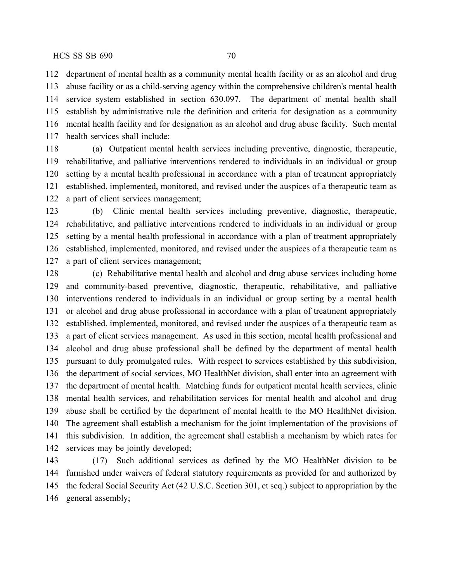department of mental health as a community mental health facility or as an alcohol and drug abuse facility or as a child-serving agency within the comprehensive children's mental health service system established in section 630.097. The department of mental health shall establish by administrative rule the definition and criteria for designation as a community mental health facility and for designation as an alcohol and drug abuse facility. Such mental health services shall include:

 (a) Outpatient mental health services including preventive, diagnostic, therapeutic, rehabilitative, and palliative interventions rendered to individuals in an individual or group setting by a mental health professional in accordance with a plan of treatment appropriately established, implemented, monitored, and revised under the auspices of a therapeutic team as a part of client services management;

 (b) Clinic mental health services including preventive, diagnostic, therapeutic, rehabilitative, and palliative interventions rendered to individuals in an individual or group setting by a mental health professional in accordance with a plan of treatment appropriately established, implemented, monitored, and revised under the auspices of a therapeutic team as a part of client services management;

 (c) Rehabilitative mental health and alcohol and drug abuse services including home and community-based preventive, diagnostic, therapeutic, rehabilitative, and palliative interventions rendered to individuals in an individual or group setting by a mental health or alcohol and drug abuse professional in accordance with a plan of treatment appropriately established, implemented, monitored, and revised under the auspices of a therapeutic team as a part of client services management. As used in this section, mental health professional and alcohol and drug abuse professional shall be defined by the department of mental health pursuant to duly promulgated rules. With respect to services established by this subdivision, the department of social services, MO HealthNet division, shall enter into an agreement with the department of mental health. Matching funds for outpatient mental health services, clinic mental health services, and rehabilitation services for mental health and alcohol and drug abuse shall be certified by the department of mental health to the MO HealthNet division. The agreement shall establish a mechanism for the joint implementation of the provisions of this subdivision. In addition, the agreement shall establish a mechanism by which rates for services may be jointly developed;

 (17) Such additional services as defined by the MO HealthNet division to be furnished under waivers of federal statutory requirements as provided for and authorized by the federal Social Security Act (42 U.S.C. Section 301, et seq.) subject to appropriation by the general assembly;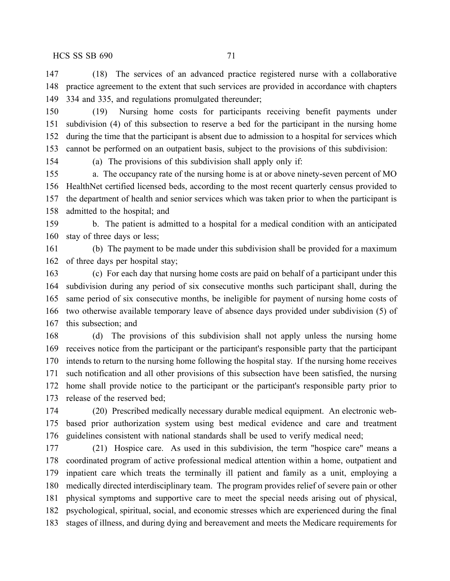(18) The services of an advanced practice registered nurse with a collaborative practice agreement to the extent that such services are provided in accordance with chapters 334 and 335, and regulations promulgated thereunder;

 (19) Nursing home costs for participants receiving benefit payments under subdivision (4) of this subsection to reserve a bed for the participant in the nursing home during the time that the participant is absent due to admission to a hospital for services which cannot be performed on an outpatient basis, subject to the provisions of this subdivision:

(a) The provisions of this subdivision shall apply only if:

 a. The occupancy rate of the nursing home is at or above ninety-seven percent of MO HealthNet certified licensed beds, according to the most recent quarterly census provided to the department of health and senior services which was taken prior to when the participant is admitted to the hospital; and

 b. The patient is admitted to a hospital for a medical condition with an anticipated stay of three days or less;

 (b) The payment to be made under this subdivision shall be provided for a maximum of three days per hospital stay;

 (c) For each day that nursing home costs are paid on behalf of a participant under this subdivision during any period of six consecutive months such participant shall, during the same period of six consecutive months, be ineligible for payment of nursing home costs of two otherwise available temporary leave of absence days provided under subdivision (5) of this subsection; and

 (d) The provisions of this subdivision shall not apply unless the nursing home receives notice from the participant or the participant's responsible party that the participant intends to return to the nursing home following the hospital stay. If the nursing home receives such notification and all other provisions of this subsection have been satisfied, the nursing home shall provide notice to the participant or the participant's responsible party prior to release of the reserved bed;

 (20) Prescribed medically necessary durable medical equipment. An electronic web- based prior authorization system using best medical evidence and care and treatment guidelines consistent with national standards shall be used to verify medical need;

 (21) Hospice care. As used in this subdivision, the term "hospice care" means a coordinated program of active professional medical attention within a home, outpatient and inpatient care which treats the terminally ill patient and family as a unit, employing a medically directed interdisciplinary team. The program provides relief of severe pain or other physical symptoms and supportive care to meet the special needs arising out of physical, psychological, spiritual, social, and economic stresses which are experienced during the final stages of illness, and during dying and bereavement and meets the Medicare requirements for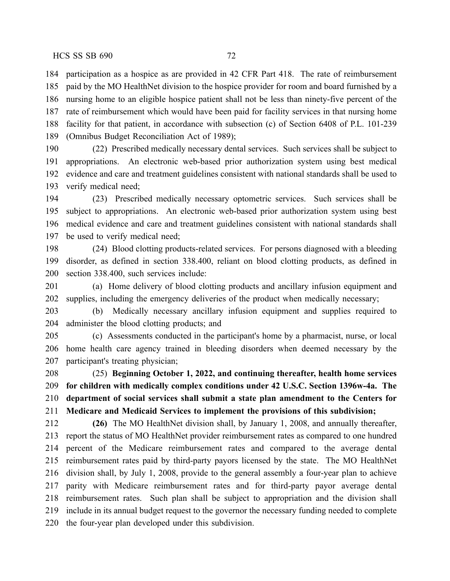participation as a hospice as are provided in 42 CFR Part 418. The rate of reimbursement paid by the MO HealthNet division to the hospice provider for room and board furnished by a nursing home to an eligible hospice patient shall not be less than ninety-five percent of the rate of reimbursement which would have been paid for facility services in that nursing home facility for that patient, in accordance with subsection (c) of Section 6408 of P.L. 101-239 (Omnibus Budget Reconciliation Act of 1989);

 (22) Prescribed medically necessary dental services. Such services shall be subject to appropriations. An electronic web-based prior authorization system using best medical evidence and care and treatment guidelines consistent with national standards shall be used to verify medical need;

 (23) Prescribed medically necessary optometric services. Such services shall be subject to appropriations. An electronic web-based prior authorization system using best medical evidence and care and treatment guidelines consistent with national standards shall be used to verify medical need;

 (24) Blood clotting products-related services. For persons diagnosed with a bleeding disorder, as defined in section 338.400, reliant on blood clotting products, as defined in section 338.400, such services include:

 (a) Home delivery of blood clotting products and ancillary infusion equipment and supplies, including the emergency deliveries of the product when medically necessary;

 (b) Medically necessary ancillary infusion equipment and supplies required to administer the blood clotting products; and

 (c) Assessments conducted in the participant's home by a pharmacist, nurse, or local home health care agency trained in bleeding disorders when deemed necessary by the participant's treating physician;

 (25) **Beginning October 1, 2022, and continuing thereafter, health home services for children with medically complex conditions under 42 U.S.C. Section 1396w-4a. The department of social services shall submit a state plan amendment to the Centers for Medicare and Medicaid Services to implement the provisions of this subdivision;**

 **(26)** The MO HealthNet division shall, by January 1, 2008, and annually thereafter, report the status of MO HealthNet provider reimbursement rates as compared to one hundred percent of the Medicare reimbursement rates and compared to the average dental reimbursement rates paid by third-party payors licensed by the state. The MO HealthNet division shall, by July 1, 2008, provide to the general assembly a four-year plan to achieve parity with Medicare reimbursement rates and for third-party payor average dental reimbursement rates. Such plan shall be subject to appropriation and the division shall include in its annual budget request to the governor the necessary funding needed to complete the four-year plan developed under this subdivision.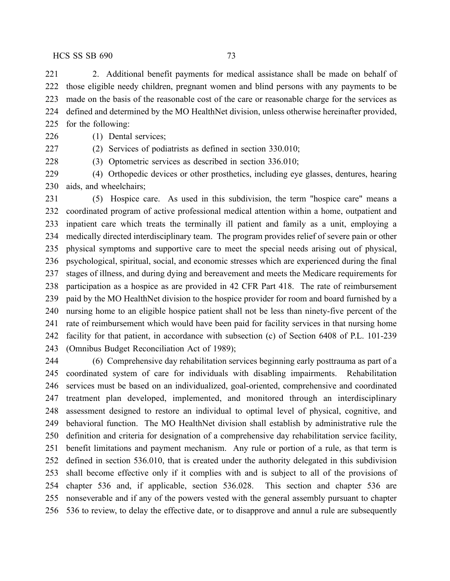2. Additional benefit payments for medical assistance shall be made on behalf of those eligible needy children, pregnant women and blind persons with any payments to be made on the basis of the reasonable cost of the care or reasonable charge for the services as defined and determined by the MO HealthNet division, unless otherwise hereinafter provided, for the following:

(1) Dental services;

(2) Services of podiatrists as defined in section 330.010;

(3) Optometric services as described in section 336.010;

 (4) Orthopedic devices or other prosthetics, including eye glasses, dentures, hearing aids, and wheelchairs;

 (5) Hospice care. As used in this subdivision, the term "hospice care" means a coordinated program of active professional medical attention within a home, outpatient and inpatient care which treats the terminally ill patient and family as a unit, employing a medically directed interdisciplinary team. The program provides relief of severe pain or other physical symptoms and supportive care to meet the special needs arising out of physical, psychological, spiritual, social, and economic stresses which are experienced during the final stages of illness, and during dying and bereavement and meets the Medicare requirements for participation as a hospice as are provided in 42 CFR Part 418. The rate of reimbursement paid by the MO HealthNet division to the hospice provider for room and board furnished by a nursing home to an eligible hospice patient shall not be less than ninety-five percent of the rate of reimbursement which would have been paid for facility services in that nursing home facility for that patient, in accordance with subsection (c) of Section 6408 of P.L. 101-239 (Omnibus Budget Reconciliation Act of 1989);

 (6) Comprehensive day rehabilitation services beginning early posttrauma as part of a coordinated system of care for individuals with disabling impairments. Rehabilitation services must be based on an individualized, goal-oriented, comprehensive and coordinated treatment plan developed, implemented, and monitored through an interdisciplinary assessment designed to restore an individual to optimal level of physical, cognitive, and behavioral function. The MO HealthNet division shall establish by administrative rule the definition and criteria for designation of a comprehensive day rehabilitation service facility, benefit limitations and payment mechanism. Any rule or portion of a rule, as that term is defined in section 536.010, that is created under the authority delegated in this subdivision shall become effective only if it complies with and is subject to all of the provisions of chapter 536 and, if applicable, section 536.028. This section and chapter 536 are nonseverable and if any of the powers vested with the general assembly pursuant to chapter 536 to review, to delay the effective date, or to disapprove and annul a rule are subsequently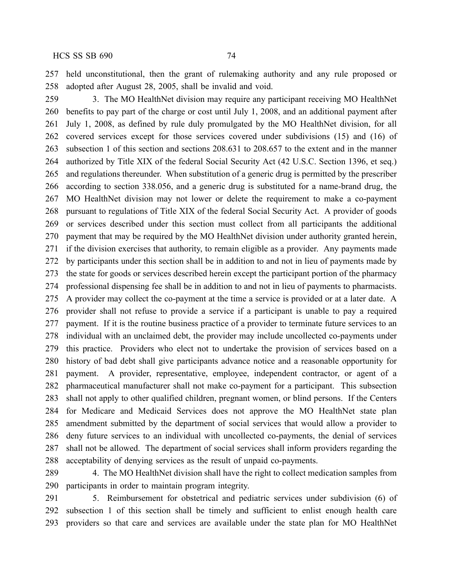held unconstitutional, then the grant of rulemaking authority and any rule proposed or adopted after August 28, 2005, shall be invalid and void.

 3. The MO HealthNet division may require any participant receiving MO HealthNet benefits to pay part of the charge or cost until July 1, 2008, and an additional payment after July 1, 2008, as defined by rule duly promulgated by the MO HealthNet division, for all covered services except for those services covered under subdivisions (15) and (16) of subsection 1 of this section and sections 208.631 to 208.657 to the extent and in the manner authorized by Title XIX of the federal Social Security Act (42 U.S.C. Section 1396, et seq.) and regulations thereunder. When substitution of a generic drug is permitted by the prescriber according to section 338.056, and a generic drug is substituted for a name-brand drug, the MO HealthNet division may not lower or delete the requirement to make a co-payment pursuant to regulations of Title XIX of the federal Social Security Act. A provider of goods or services described under this section must collect from all participants the additional payment that may be required by the MO HealthNet division under authority granted herein, if the division exercises that authority, to remain eligible as a provider. Any payments made by participants under this section shall be in addition to and not in lieu of payments made by the state for goods or services described herein except the participant portion of the pharmacy professional dispensing fee shall be in addition to and not in lieu of payments to pharmacists. A provider may collect the co-payment at the time a service is provided or at a later date. A provider shall not refuse to provide a service if a participant is unable to pay a required payment. If it is the routine business practice of a provider to terminate future services to an individual with an unclaimed debt, the provider may include uncollected co-payments under this practice. Providers who elect not to undertake the provision of services based on a history of bad debt shall give participants advance notice and a reasonable opportunity for payment. A provider, representative, employee, independent contractor, or agent of a pharmaceutical manufacturer shall not make co-payment for a participant. This subsection shall not apply to other qualified children, pregnant women, or blind persons. If the Centers for Medicare and Medicaid Services does not approve the MO HealthNet state plan amendment submitted by the department of social services that would allow a provider to deny future services to an individual with uncollected co-payments, the denial of services shall not be allowed. The department of social services shall inform providers regarding the acceptability of denying services as the result of unpaid co-payments.

289 4. The MO HealthNet division shall have the right to collect medication samples from participants in order to maintain program integrity.

 5. Reimbursement for obstetrical and pediatric services under subdivision (6) of subsection 1 of this section shall be timely and sufficient to enlist enough health care providers so that care and services are available under the state plan for MO HealthNet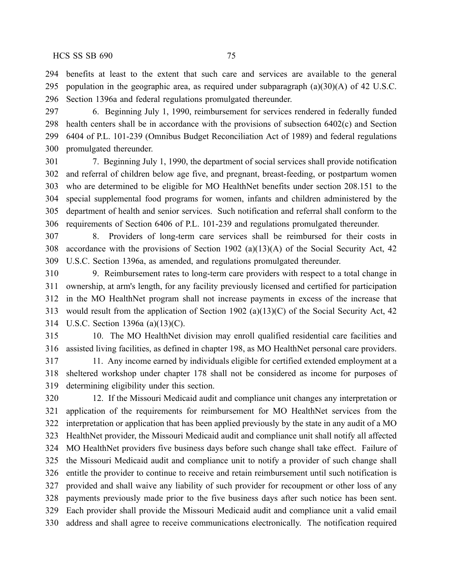benefits at least to the extent that such care and services are available to the general population in the geographic area, as required under subparagraph (a)(30)(A) of 42 U.S.C. Section 1396a and federal regulations promulgated thereunder.

 6. Beginning July 1, 1990, reimbursement for services rendered in federally funded health centers shall be in accordance with the provisions of subsection 6402(c) and Section 6404 of P.L. 101-239 (Omnibus Budget Reconciliation Act of 1989) and federal regulations promulgated thereunder.

 7. Beginning July 1, 1990, the department of social services shall provide notification and referral of children below age five, and pregnant, breast-feeding, or postpartum women who are determined to be eligible for MO HealthNet benefits under section 208.151 to the special supplemental food programs for women, infants and children administered by the department of health and senior services. Such notification and referral shall conform to the requirements of Section 6406 of P.L. 101-239 and regulations promulgated thereunder.

 8. Providers of long-term care services shall be reimbursed for their costs in accordance with the provisions of Section 1902 (a)(13)(A) of the Social Security Act, 42 U.S.C. Section 1396a, as amended, and regulations promulgated thereunder.

 9. Reimbursement rates to long-term care providers with respect to a total change in ownership, at arm's length, for any facility previously licensed and certified for participation in the MO HealthNet program shall not increase payments in excess of the increase that would result from the application of Section 1902 (a)(13)(C) of the Social Security Act, 42 U.S.C. Section 1396a (a)(13)(C).

 10. The MO HealthNet division may enroll qualified residential care facilities and assisted living facilities, as defined in chapter 198, as MO HealthNet personal care providers. 11. Any income earned by individuals eligible for certified extended employment at a sheltered workshop under chapter 178 shall not be considered as income for purposes of determining eligibility under this section.

 12. If the Missouri Medicaid audit and compliance unit changes any interpretation or application of the requirements for reimbursement for MO HealthNet services from the interpretation or application that has been applied previously by the state in any audit of a MO HealthNet provider, the Missouri Medicaid audit and compliance unit shall notify all affected MO HealthNet providers five business days before such change shall take effect. Failure of the Missouri Medicaid audit and compliance unit to notify a provider of such change shall entitle the provider to continue to receive and retain reimbursement until such notification is provided and shall waive any liability of such provider for recoupment or other loss of any payments previously made prior to the five business days after such notice has been sent. Each provider shall provide the Missouri Medicaid audit and compliance unit a valid email address and shall agree to receive communications electronically. The notification required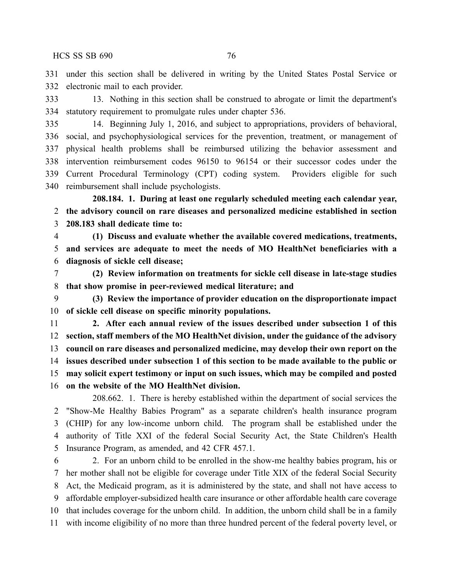under this section shall be delivered in writing by the United States Postal Service or electronic mail to each provider.

 13. Nothing in this section shall be construed to abrogate or limit the department's statutory requirement to promulgate rules under chapter 536.

 14. Beginning July 1, 2016, and subject to appropriations, providers of behavioral, social, and psychophysiological services for the prevention, treatment, or management of physical health problems shall be reimbursed utilizing the behavior assessment and intervention reimbursement codes 96150 to 96154 or their successor codes under the Current Procedural Terminology (CPT) coding system. Providers eligible for such reimbursement shall include psychologists.

**208.184. 1. During at least one regularly scheduled meeting each calendar year, the advisory council on rare diseases and personalized medicine established in section 208.183 shall dedicate time to:**

 **(1) Discuss and evaluate whether the available covered medications, treatments, and services are adequate to meet the needs of MO HealthNet beneficiaries with a diagnosis of sickle cell disease;**

 **(2) Review information on treatments for sickle cell disease in late-stage studies that show promise in peer-reviewed medical literature; and**

 **(3) Review the importance of provider education on the disproportionate impact of sickle cell disease on specific minority populations.**

 **2. After each annual review of the issues described under subsection 1 of this section, staff members of the MO HealthNet division, under the guidance of the advisory council on rare diseases and personalized medicine, may develop their own report on the issues described under subsection 1 of this section to be made available to the public or may solicit expert testimony or input on such issues, which may be compiled and posted on the website of the MO HealthNet division.**

208.662. 1. There is hereby established within the department of social services the "Show-Me Healthy Babies Program" as a separate children's health insurance program (CHIP) for any low-income unborn child. The program shall be established under the authority of Title XXI of the federal Social Security Act, the State Children's Health Insurance Program, as amended, and 42 CFR 457.1.

 2. For an unborn child to be enrolled in the show-me healthy babies program, his or her mother shall not be eligible for coverage under Title XIX of the federal Social Security Act, the Medicaid program, as it is administered by the state, and shall not have access to affordable employer-subsidized health care insurance or other affordable health care coverage that includes coverage for the unborn child. In addition, the unborn child shall be in a family with income eligibility of no more than three hundred percent of the federal poverty level, or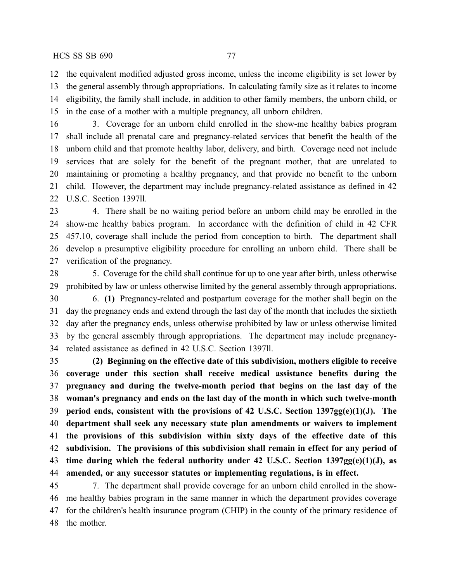the equivalent modified adjusted gross income, unless the income eligibility is set lower by the general assembly through appropriations. In calculating family size as it relates to income eligibility, the family shall include, in addition to other family members, the unborn child, or in the case of a mother with a multiple pregnancy, all unborn children.

 3. Coverage for an unborn child enrolled in the show-me healthy babies program shall include all prenatal care and pregnancy-related services that benefit the health of the unborn child and that promote healthy labor, delivery, and birth. Coverage need not include services that are solely for the benefit of the pregnant mother, that are unrelated to maintaining or promoting a healthy pregnancy, and that provide no benefit to the unborn child. However, the department may include pregnancy-related assistance as defined in 42 U.S.C. Section 1397ll.

 4. There shall be no waiting period before an unborn child may be enrolled in the show-me healthy babies program. In accordance with the definition of child in 42 CFR 457.10, coverage shall include the period from conception to birth. The department shall develop a presumptive eligibility procedure for enrolling an unborn child. There shall be verification of the pregnancy.

 5. Coverage for the child shall continue for up to one year after birth, unless otherwise prohibited by law or unless otherwise limited by the general assembly through appropriations.

 6. **(1)** Pregnancy-related and postpartum coverage for the mother shall begin on the day the pregnancy ends and extend through the last day of the month that includes the sixtieth day after the pregnancy ends, unless otherwise prohibited by law or unless otherwise limited by the general assembly through appropriations. The department may include pregnancy-related assistance as defined in 42 U.S.C. Section 1397ll.

 **(2) Beginning on the effective date of this subdivision, mothers eligible to receive coverage under this section shall receive medical assistance benefits during the pregnancy and during the twelve-month period that begins on the last day of the woman's pregnancy and ends on the last day of the month in which such twelve-month period ends, consistent with the provisions of 42 U.S.C. Section 1397gg(e)(1)(J). The department shall seek any necessary state plan amendments or waivers to implement the provisions of this subdivision within sixty days of the effective date of this subdivision. The provisions of this subdivision shall remain in effect for any period of time during which the federal authority under 42 U.S.C. Section 1397gg(e)(1)(J), as amended, or any successor statutes or implementing regulations, is in effect.**

 7. The department shall provide coverage for an unborn child enrolled in the show- me healthy babies program in the same manner in which the department provides coverage for the children's health insurance program (CHIP) in the county of the primary residence of the mother.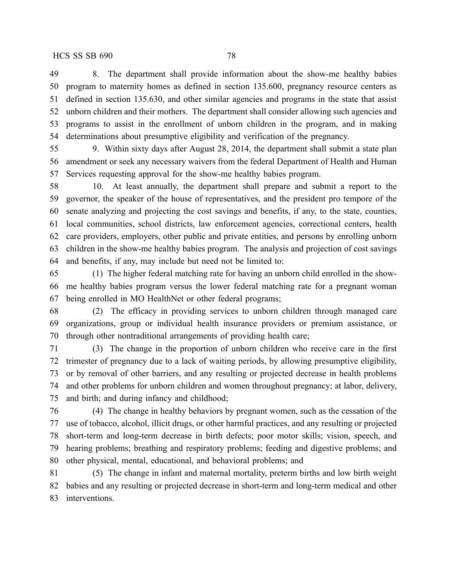8. The department shall provide information about the show-me healthy babies program to maternity homes as defined in section 135.600, pregnancy resource centers as defined in section 135.630, and other similar agencies and programs in the state that assist unborn children and their mothers. The department shall consider allowing such agencies and programs to assist in the enrollment of unborn children in the program, and in making determinations about presumptive eligibility and verification of the pregnancy.

 9. Within sixty days after August 28, 2014, the department shall submit a state plan amendment or seek any necessary waivers from the federal Department of Health and Human Services requesting approval for the show-me healthy babies program.

 10. At least annually, the department shall prepare and submit a report to the governor, the speaker of the house of representatives, and the president pro tempore of the senate analyzing and projecting the cost savings and benefits, if any, to the state, counties, local communities, school districts, law enforcement agencies, correctional centers, health care providers, employers, other public and private entities, and persons by enrolling unborn children in the show-me healthy babies program. The analysis and projection of cost savings and benefits, if any, may include but need not be limited to:

 (1) The higher federal matching rate for having an unborn child enrolled in the show- me healthy babies program versus the lower federal matching rate for a pregnant woman being enrolled in MO HealthNet or other federal programs;

 (2) The efficacy in providing services to unborn children through managed care organizations, group or individual health insurance providers or premium assistance, or through other nontraditional arrangements of providing health care;

 (3) The change in the proportion of unborn children who receive care in the first trimester of pregnancy due to a lack of waiting periods, by allowing presumptive eligibility, or by removal of other barriers, and any resulting or projected decrease in health problems and other problems for unborn children and women throughout pregnancy; at labor, delivery, and birth; and during infancy and childhood;

 (4) The change in healthy behaviors by pregnant women, such as the cessation of the use of tobacco, alcohol, illicit drugs, or other harmful practices, and any resulting or projected short-term and long-term decrease in birth defects; poor motor skills; vision, speech, and hearing problems; breathing and respiratory problems; feeding and digestive problems; and other physical, mental, educational, and behavioral problems; and

 (5) The change in infant and maternal mortality, preterm births and low birth weight babies and any resulting or projected decrease in short-term and long-term medical and other interventions.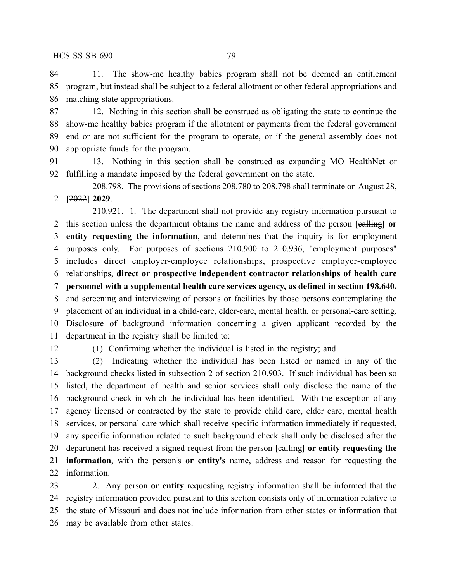11. The show-me healthy babies program shall not be deemed an entitlement program, but instead shall be subject to a federal allotment or other federal appropriations and matching state appropriations.

 12. Nothing in this section shall be construed as obligating the state to continue the show-me healthy babies program if the allotment or payments from the federal government end or are not sufficient for the program to operate, or if the general assembly does not appropriate funds for the program.

 13. Nothing in this section shall be construed as expanding MO HealthNet or fulfilling a mandate imposed by the federal government on the state.

208.798. The provisions of sections 208.780 to 208.798 shall terminate on August 28, **[**2022**] 2029**.

210.921. 1. The department shall not provide any registry information pursuant to this section unless the department obtains the name and address of the person **[**calling**] or entity requesting the information**, and determines that the inquiry is for employment purposes only. For purposes of sections 210.900 to 210.936, "employment purposes" includes direct employer-employee relationships, prospective employer-employee relationships, **direct or prospective independent contractor relationships of health care personnel with a supplemental health care services agency, as defined in section 198.640,** and screening and interviewing of persons or facilities by those persons contemplating the placement of an individual in a child-care, elder-care, mental health, or personal-care setting. Disclosure of background information concerning a given applicant recorded by the department in the registry shall be limited to:

(1) Confirming whether the individual is listed in the registry; and

 (2) Indicating whether the individual has been listed or named in any of the background checks listed in subsection 2 of section 210.903. If such individual has been so listed, the department of health and senior services shall only disclose the name of the background check in which the individual has been identified. With the exception of any agency licensed or contracted by the state to provide child care, elder care, mental health services, or personal care which shall receive specific information immediately if requested, any specific information related to such background check shall only be disclosed after the department has received a signed request from the person **[**calling**] or entity requesting the information**, with the person's **or entity's** name, address and reason for requesting the information.

 2. Any person **or entity** requesting registry information shall be informed that the registry information provided pursuant to this section consists only of information relative to the state of Missouri and does not include information from other states or information that may be available from other states.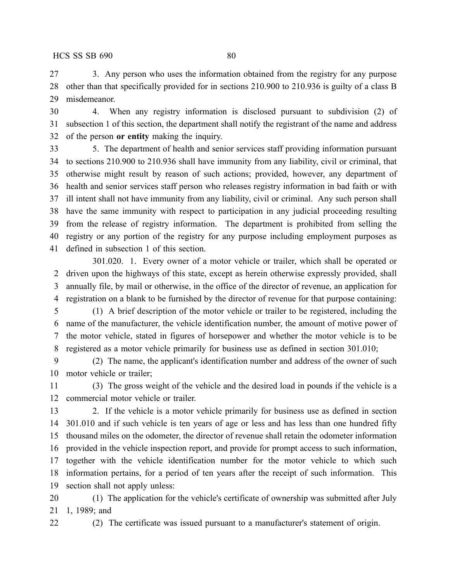3. Any person who uses the information obtained from the registry for any purpose other than that specifically provided for in sections 210.900 to 210.936 is guilty of a class B misdemeanor.

 4. When any registry information is disclosed pursuant to subdivision (2) of subsection 1 of this section, the department shall notify the registrant of the name and address of the person **or entity** making the inquiry.

 5. The department of health and senior services staff providing information pursuant to sections 210.900 to 210.936 shall have immunity from any liability, civil or criminal, that otherwise might result by reason of such actions; provided, however, any department of health and senior services staff person who releases registry information in bad faith or with ill intent shall not have immunity from any liability, civil or criminal. Any such person shall have the same immunity with respect to participation in any judicial proceeding resulting from the release of registry information. The department is prohibited from selling the registry or any portion of the registry for any purpose including employment purposes as defined in subsection 1 of this section.

301.020. 1. Every owner of a motor vehicle or trailer, which shall be operated or driven upon the highways of this state, except as herein otherwise expressly provided, shall annually file, by mail or otherwise, in the office of the director of revenue, an application for registration on a blank to be furnished by the director of revenue for that purpose containing:

 (1) A brief description of the motor vehicle or trailer to be registered, including the name of the manufacturer, the vehicle identification number, the amount of motive power of the motor vehicle, stated in figures of horsepower and whether the motor vehicle is to be registered as a motor vehicle primarily for business use as defined in section 301.010;

 (2) The name, the applicant's identification number and address of the owner of such motor vehicle or trailer;

 (3) The gross weight of the vehicle and the desired load in pounds if the vehicle is a commercial motor vehicle or trailer.

 2. If the vehicle is a motor vehicle primarily for business use as defined in section 301.010 and if such vehicle is ten years of age or less and has less than one hundred fifty thousand miles on the odometer, the director of revenue shall retain the odometer information provided in the vehicle inspection report, and provide for prompt access to such information, together with the vehicle identification number for the motor vehicle to which such information pertains, for a period of ten years after the receipt of such information. This section shall not apply unless:

 (1) The application for the vehicle's certificate of ownership was submitted after July 1, 1989; and

(2) The certificate was issued pursuant to a manufacturer's statement of origin.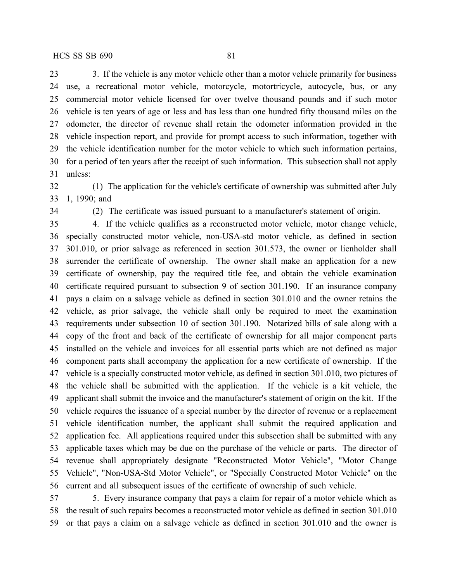23 3. If the vehicle is any motor vehicle other than a motor vehicle primarily for business use, a recreational motor vehicle, motorcycle, motortricycle, autocycle, bus, or any commercial motor vehicle licensed for over twelve thousand pounds and if such motor vehicle is ten years of age or less and has less than one hundred fifty thousand miles on the odometer, the director of revenue shall retain the odometer information provided in the vehicle inspection report, and provide for prompt access to such information, together with the vehicle identification number for the motor vehicle to which such information pertains, for a period of ten years after the receipt of such information. This subsection shall not apply unless:

 (1) The application for the vehicle's certificate of ownership was submitted after July 1, 1990; and

(2) The certificate was issued pursuant to a manufacturer's statement of origin.

 4. If the vehicle qualifies as a reconstructed motor vehicle, motor change vehicle, specially constructed motor vehicle, non-USA-std motor vehicle, as defined in section 301.010, or prior salvage as referenced in section 301.573, the owner or lienholder shall surrender the certificate of ownership. The owner shall make an application for a new certificate of ownership, pay the required title fee, and obtain the vehicle examination certificate required pursuant to subsection 9 of section 301.190. If an insurance company pays a claim on a salvage vehicle as defined in section 301.010 and the owner retains the vehicle, as prior salvage, the vehicle shall only be required to meet the examination requirements under subsection 10 of section 301.190. Notarized bills of sale along with a copy of the front and back of the certificate of ownership for all major component parts installed on the vehicle and invoices for all essential parts which are not defined as major component parts shall accompany the application for a new certificate of ownership. If the vehicle is a specially constructed motor vehicle, as defined in section 301.010, two pictures of the vehicle shall be submitted with the application. If the vehicle is a kit vehicle, the applicant shall submit the invoice and the manufacturer's statement of origin on the kit. If the vehicle requires the issuance of a special number by the director of revenue or a replacement vehicle identification number, the applicant shall submit the required application and application fee. All applications required under this subsection shall be submitted with any applicable taxes which may be due on the purchase of the vehicle or parts. The director of revenue shall appropriately designate "Reconstructed Motor Vehicle", "Motor Change Vehicle", "Non-USA-Std Motor Vehicle", or "Specially Constructed Motor Vehicle" on the current and all subsequent issues of the certificate of ownership of such vehicle.

 5. Every insurance company that pays a claim for repair of a motor vehicle which as the result of such repairs becomes a reconstructed motor vehicle as defined in section 301.010 or that pays a claim on a salvage vehicle as defined in section 301.010 and the owner is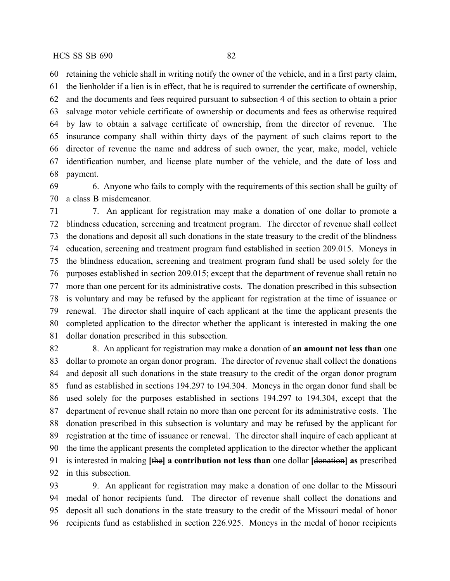retaining the vehicle shall in writing notify the owner of the vehicle, and in a first party claim,

 the lienholder if a lien is in effect, that he is required to surrender the certificate of ownership, and the documents and fees required pursuant to subsection 4 of this section to obtain a prior salvage motor vehicle certificate of ownership or documents and fees as otherwise required by law to obtain a salvage certificate of ownership, from the director of revenue. The insurance company shall within thirty days of the payment of such claims report to the director of revenue the name and address of such owner, the year, make, model, vehicle identification number, and license plate number of the vehicle, and the date of loss and payment.

 6. Anyone who fails to comply with the requirements of this section shall be guilty of a class B misdemeanor.

 7. An applicant for registration may make a donation of one dollar to promote a blindness education, screening and treatment program. The director of revenue shall collect the donations and deposit all such donations in the state treasury to the credit of the blindness education, screening and treatment program fund established in section 209.015. Moneys in the blindness education, screening and treatment program fund shall be used solely for the purposes established in section 209.015; except that the department of revenue shall retain no more than one percent for its administrative costs. The donation prescribed in this subsection is voluntary and may be refused by the applicant for registration at the time of issuance or renewal. The director shall inquire of each applicant at the time the applicant presents the completed application to the director whether the applicant is interested in making the one dollar donation prescribed in this subsection.

 8. An applicant for registration may make a donation of **an amount not less than** one dollar to promote an organ donor program. The director of revenue shall collect the donations and deposit all such donations in the state treasury to the credit of the organ donor program fund as established in sections 194.297 to 194.304. Moneys in the organ donor fund shall be used solely for the purposes established in sections 194.297 to 194.304, except that the department of revenue shall retain no more than one percent for its administrative costs. The donation prescribed in this subsection is voluntary and may be refused by the applicant for registration at the time of issuance or renewal. The director shall inquire of each applicant at the time the applicant presents the completed application to the director whether the applicant is interested in making **[**the**] a contribution not less than** one dollar **[**donation**] as** prescribed in this subsection.

 9. An applicant for registration may make a donation of one dollar to the Missouri medal of honor recipients fund. The director of revenue shall collect the donations and deposit all such donations in the state treasury to the credit of the Missouri medal of honor recipients fund as established in section 226.925. Moneys in the medal of honor recipients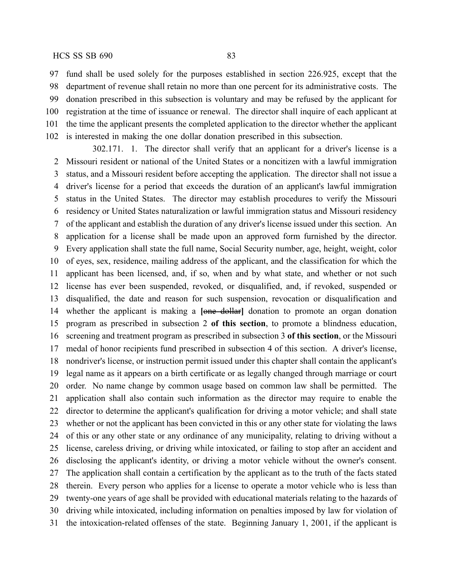fund shall be used solely for the purposes established in section 226.925, except that the department of revenue shall retain no more than one percent for its administrative costs. The donation prescribed in this subsection is voluntary and may be refused by the applicant for registration at the time of issuance or renewal. The director shall inquire of each applicant at the time the applicant presents the completed application to the director whether the applicant is interested in making the one dollar donation prescribed in this subsection.

302.171. 1. The director shall verify that an applicant for a driver's license is a Missouri resident or national of the United States or a noncitizen with a lawful immigration status, and a Missouri resident before accepting the application. The director shall not issue a driver's license for a period that exceeds the duration of an applicant's lawful immigration status in the United States. The director may establish procedures to verify the Missouri residency or United States naturalization or lawful immigration status and Missouri residency of the applicant and establish the duration of any driver's license issued under this section. An application for a license shall be made upon an approved form furnished by the director. Every application shall state the full name, Social Security number, age, height, weight, color of eyes, sex, residence, mailing address of the applicant, and the classification for which the applicant has been licensed, and, if so, when and by what state, and whether or not such license has ever been suspended, revoked, or disqualified, and, if revoked, suspended or disqualified, the date and reason for such suspension, revocation or disqualification and whether the applicant is making a **[**one dollar**]** donation to promote an organ donation program as prescribed in subsection 2 **of this section**, to promote a blindness education, screening and treatment program as prescribed in subsection 3 **of this section**, or the Missouri medal of honor recipients fund prescribed in subsection 4 of this section. A driver's license, nondriver's license, or instruction permit issued under this chapter shall contain the applicant's legal name as it appears on a birth certificate or as legally changed through marriage or court order. No name change by common usage based on common law shall be permitted. The application shall also contain such information as the director may require to enable the director to determine the applicant's qualification for driving a motor vehicle; and shall state whether or not the applicant has been convicted in this or any other state for violating the laws of this or any other state or any ordinance of any municipality, relating to driving without a license, careless driving, or driving while intoxicated, or failing to stop after an accident and disclosing the applicant's identity, or driving a motor vehicle without the owner's consent. The application shall contain a certification by the applicant as to the truth of the facts stated therein. Every person who applies for a license to operate a motor vehicle who is less than twenty-one years of age shall be provided with educational materials relating to the hazards of driving while intoxicated, including information on penalties imposed by law for violation of the intoxication-related offenses of the state. Beginning January 1, 2001, if the applicant is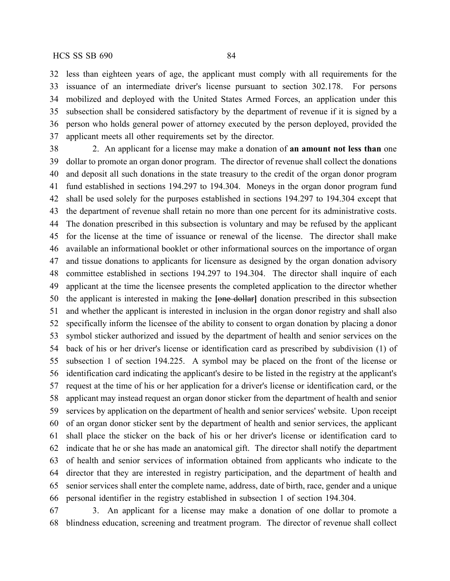less than eighteen years of age, the applicant must comply with all requirements for the issuance of an intermediate driver's license pursuant to section 302.178. For persons mobilized and deployed with the United States Armed Forces, an application under this subsection shall be considered satisfactory by the department of revenue if it is signed by a person who holds general power of attorney executed by the person deployed, provided the applicant meets all other requirements set by the director.

 2. An applicant for a license may make a donation of **an amount not less than** one dollar to promote an organ donor program. The director of revenue shall collect the donations and deposit all such donations in the state treasury to the credit of the organ donor program fund established in sections 194.297 to 194.304. Moneys in the organ donor program fund shall be used solely for the purposes established in sections 194.297 to 194.304 except that the department of revenue shall retain no more than one percent for its administrative costs. The donation prescribed in this subsection is voluntary and may be refused by the applicant for the license at the time of issuance or renewal of the license. The director shall make available an informational booklet or other informational sources on the importance of organ and tissue donations to applicants for licensure as designed by the organ donation advisory committee established in sections 194.297 to 194.304. The director shall inquire of each applicant at the time the licensee presents the completed application to the director whether the applicant is interested in making the **[**one dollar**]** donation prescribed in this subsection and whether the applicant is interested in inclusion in the organ donor registry and shall also specifically inform the licensee of the ability to consent to organ donation by placing a donor symbol sticker authorized and issued by the department of health and senior services on the back of his or her driver's license or identification card as prescribed by subdivision (1) of subsection 1 of section 194.225. A symbol may be placed on the front of the license or identification card indicating the applicant's desire to be listed in the registry at the applicant's request at the time of his or her application for a driver's license or identification card, or the applicant may instead request an organ donor sticker from the department of health and senior services by application on the department of health and senior services' website. Upon receipt of an organ donor sticker sent by the department of health and senior services, the applicant shall place the sticker on the back of his or her driver's license or identification card to indicate that he or she has made an anatomical gift. The director shall notify the department of health and senior services of information obtained from applicants who indicate to the director that they are interested in registry participation, and the department of health and senior services shall enter the complete name, address, date of birth, race, gender and a unique personal identifier in the registry established in subsection 1 of section 194.304.

 3. An applicant for a license may make a donation of one dollar to promote a blindness education, screening and treatment program. The director of revenue shall collect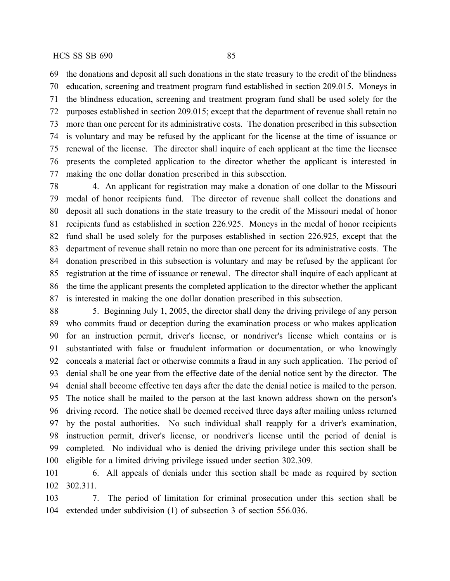the donations and deposit all such donations in the state treasury to the credit of the blindness education, screening and treatment program fund established in section 209.015. Moneys in the blindness education, screening and treatment program fund shall be used solely for the purposes established in section 209.015; except that the department of revenue shall retain no more than one percent for its administrative costs. The donation prescribed in this subsection is voluntary and may be refused by the applicant for the license at the time of issuance or

 renewal of the license. The director shall inquire of each applicant at the time the licensee presents the completed application to the director whether the applicant is interested in making the one dollar donation prescribed in this subsection.

 4. An applicant for registration may make a donation of one dollar to the Missouri medal of honor recipients fund. The director of revenue shall collect the donations and deposit all such donations in the state treasury to the credit of the Missouri medal of honor recipients fund as established in section 226.925. Moneys in the medal of honor recipients fund shall be used solely for the purposes established in section 226.925, except that the department of revenue shall retain no more than one percent for its administrative costs. The donation prescribed in this subsection is voluntary and may be refused by the applicant for registration at the time of issuance or renewal. The director shall inquire of each applicant at the time the applicant presents the completed application to the director whether the applicant is interested in making the one dollar donation prescribed in this subsection.

 5. Beginning July 1, 2005, the director shall deny the driving privilege of any person who commits fraud or deception during the examination process or who makes application for an instruction permit, driver's license, or nondriver's license which contains or is substantiated with false or fraudulent information or documentation, or who knowingly conceals a material fact or otherwise commits a fraud in any such application. The period of denial shall be one year from the effective date of the denial notice sent by the director. The denial shall become effective ten days after the date the denial notice is mailed to the person. The notice shall be mailed to the person at the last known address shown on the person's driving record. The notice shall be deemed received three days after mailing unless returned by the postal authorities. No such individual shall reapply for a driver's examination, instruction permit, driver's license, or nondriver's license until the period of denial is completed. No individual who is denied the driving privilege under this section shall be eligible for a limited driving privilege issued under section 302.309.

 6. All appeals of denials under this section shall be made as required by section 302.311.

 7. The period of limitation for criminal prosecution under this section shall be extended under subdivision (1) of subsection 3 of section 556.036.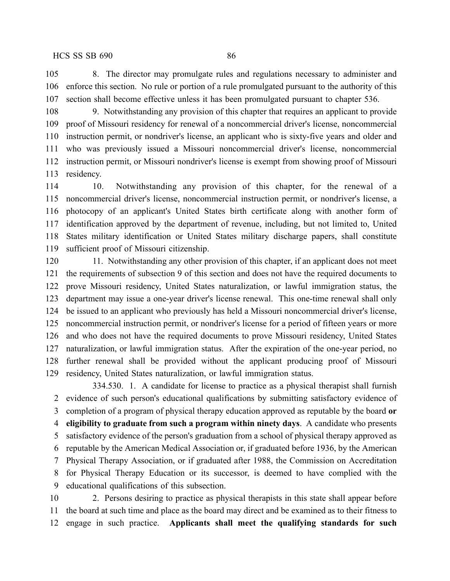8. The director may promulgate rules and regulations necessary to administer and enforce this section. No rule or portion of a rule promulgated pursuant to the authority of this section shall become effective unless it has been promulgated pursuant to chapter 536.

 9. Notwithstanding any provision of this chapter that requires an applicant to provide proof of Missouri residency for renewal of a noncommercial driver's license, noncommercial instruction permit, or nondriver's license, an applicant who is sixty-five years and older and who was previously issued a Missouri noncommercial driver's license, noncommercial instruction permit, or Missouri nondriver's license is exempt from showing proof of Missouri residency.

 10. Notwithstanding any provision of this chapter, for the renewal of a noncommercial driver's license, noncommercial instruction permit, or nondriver's license, a photocopy of an applicant's United States birth certificate along with another form of identification approved by the department of revenue, including, but not limited to, United States military identification or United States military discharge papers, shall constitute sufficient proof of Missouri citizenship.

 11. Notwithstanding any other provision of this chapter, if an applicant does not meet the requirements of subsection 9 of this section and does not have the required documents to prove Missouri residency, United States naturalization, or lawful immigration status, the department may issue a one-year driver's license renewal. This one-time renewal shall only be issued to an applicant who previously has held a Missouri noncommercial driver's license, noncommercial instruction permit, or nondriver's license for a period of fifteen years or more and who does not have the required documents to prove Missouri residency, United States naturalization, or lawful immigration status. After the expiration of the one-year period, no further renewal shall be provided without the applicant producing proof of Missouri residency, United States naturalization, or lawful immigration status.

334.530. 1. A candidate for license to practice as a physical therapist shall furnish evidence of such person's educational qualifications by submitting satisfactory evidence of completion of a program of physical therapy education approved as reputable by the board **or eligibility to graduate from such a program within ninety days**. A candidate who presents satisfactory evidence of the person's graduation from a school of physical therapy approved as reputable by the American Medical Association or, if graduated before 1936, by the American Physical Therapy Association, or if graduated after 1988, the Commission on Accreditation for Physical Therapy Education or its successor, is deemed to have complied with the educational qualifications of this subsection.

 2. Persons desiring to practice as physical therapists in this state shall appear before the board at such time and place as the board may direct and be examined as to their fitness to engage in such practice. **Applicants shall meet the qualifying standards for such**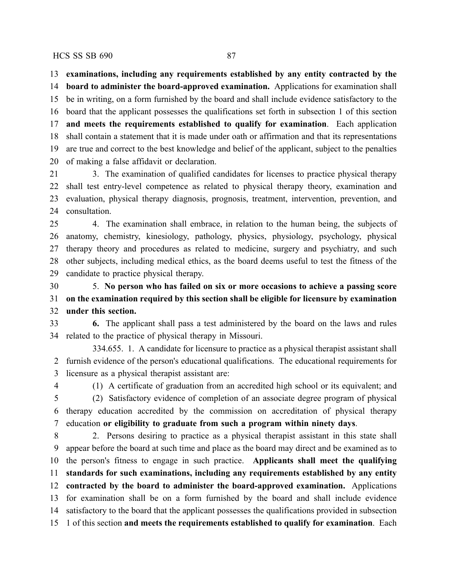**examinations, including any requirements established by any entity contracted by the**

 **board to administer the board-approved examination.** Applications for examination shall be in writing, on a form furnished by the board and shall include evidence satisfactory to the board that the applicant possesses the qualifications set forth in subsection 1 of this section **and meets the requirements established to qualify for examination**. Each application shall contain a statement that it is made under oath or affirmation and that its representations are true and correct to the best knowledge and belief of the applicant, subject to the penalties of making a false affidavit or declaration.

 3. The examination of qualified candidates for licenses to practice physical therapy shall test entry-level competence as related to physical therapy theory, examination and evaluation, physical therapy diagnosis, prognosis, treatment, intervention, prevention, and 24 consultation.

 4. The examination shall embrace, in relation to the human being, the subjects of anatomy, chemistry, kinesiology, pathology, physics, physiology, psychology, physical therapy theory and procedures as related to medicine, surgery and psychiatry, and such other subjects, including medical ethics, as the board deems useful to test the fitness of the candidate to practice physical therapy.

 5. **No person who has failed on six or more occasions to achieve a passing score on the examination required by this section shall be eligible for licensure by examination under this section.**

 **6.** The applicant shall pass a test administered by the board on the laws and rules related to the practice of physical therapy in Missouri.

334.655. 1. A candidate for licensure to practice as a physical therapist assistant shall furnish evidence of the person's educational qualifications. The educational requirements for licensure as a physical therapist assistant are:

(1) A certificate of graduation from an accredited high school or its equivalent; and

 (2) Satisfactory evidence of completion of an associate degree program of physical therapy education accredited by the commission on accreditation of physical therapy education **or eligibility to graduate from such a program within ninety days**.

 2. Persons desiring to practice as a physical therapist assistant in this state shall appear before the board at such time and place as the board may direct and be examined as to the person's fitness to engage in such practice. **Applicants shall meet the qualifying standards for such examinations, including any requirements established by any entity contracted by the board to administer the board-approved examination.** Applications for examination shall be on a form furnished by the board and shall include evidence satisfactory to the board that the applicant possesses the qualifications provided in subsection 1 of this section **and meets the requirements established to qualify for examination**. Each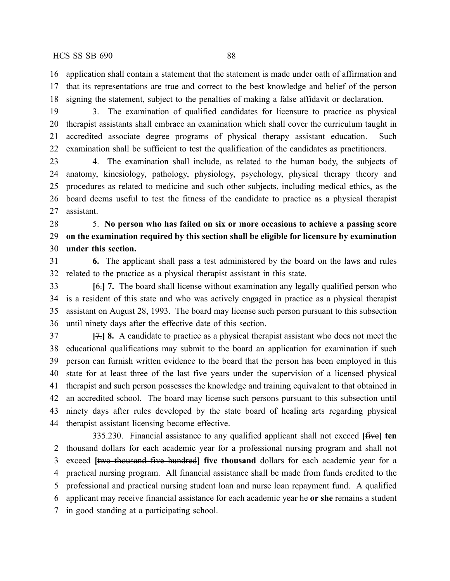application shall contain a statement that the statement is made under oath of affirmation and that its representations are true and correct to the best knowledge and belief of the person signing the statement, subject to the penalties of making a false affidavit or declaration.

 3. The examination of qualified candidates for licensure to practice as physical therapist assistants shall embrace an examination which shall cover the curriculum taught in accredited associate degree programs of physical therapy assistant education. Such examination shall be sufficient to test the qualification of the candidates as practitioners.

 4. The examination shall include, as related to the human body, the subjects of anatomy, kinesiology, pathology, physiology, psychology, physical therapy theory and procedures as related to medicine and such other subjects, including medical ethics, as the board deems useful to test the fitness of the candidate to practice as a physical therapist assistant.

 5. **No person who has failed on six or more occasions to achieve a passing score on the examination required by this section shall be eligible for licensure by examination under this section.**

 **6.** The applicant shall pass a test administered by the board on the laws and rules related to the practice as a physical therapist assistant in this state.

 **[**6.**] 7.** The board shall license without examination any legally qualified person who is a resident of this state and who was actively engaged in practice as a physical therapist assistant on August 28, 1993. The board may license such person pursuant to this subsection until ninety days after the effective date of this section.

 **[**7.**] 8.** A candidate to practice as a physical therapist assistant who does not meet the educational qualifications may submit to the board an application for examination if such person can furnish written evidence to the board that the person has been employed in this state for at least three of the last five years under the supervision of a licensed physical therapist and such person possesses the knowledge and training equivalent to that obtained in an accredited school. The board may license such persons pursuant to this subsection until ninety days after rules developed by the state board of healing arts regarding physical therapist assistant licensing become effective.

335.230. Financial assistance to any qualified applicant shall not exceed **[**five**] ten** thousand dollars for each academic year for a professional nursing program and shall not exceed **[**two thousand five hundred**] five thousand** dollars for each academic year for a practical nursing program. All financial assistance shall be made from funds credited to the professional and practical nursing student loan and nurse loan repayment fund. A qualified applicant may receive financial assistance for each academic year he **or she** remains a student in good standing at a participating school.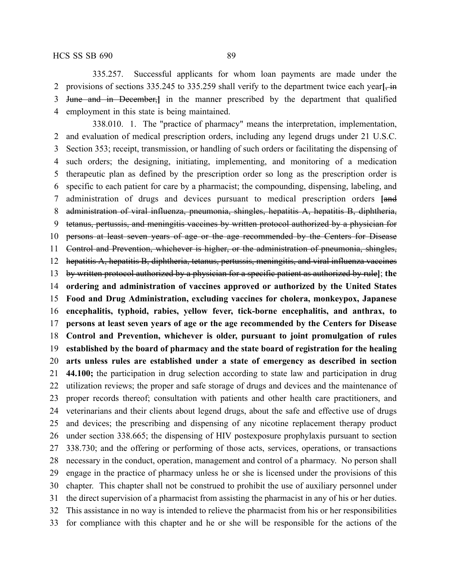335.257. Successful applicants for whom loan payments are made under the provisions of sections 335.245 to 335.259 shall verify to the department twice each year**[**, in June and in December,**]** in the manner prescribed by the department that qualified employment in this state is being maintained.

338.010. 1. The "practice of pharmacy" means the interpretation, implementation, and evaluation of medical prescription orders, including any legend drugs under 21 U.S.C. Section 353; receipt, transmission, or handling of such orders or facilitating the dispensing of such orders; the designing, initiating, implementing, and monitoring of a medication therapeutic plan as defined by the prescription order so long as the prescription order is specific to each patient for care by a pharmacist; the compounding, dispensing, labeling, and administration of drugs and devices pursuant to medical prescription orders **[**and administration of viral influenza, pneumonia, shingles, hepatitis A, hepatitis B, diphtheria, tetanus, pertussis, and meningitis vaccines by written protocol authorized by a physician for persons at least seven years of age or the age recommended by the Centers for Disease Control and Prevention, whichever is higher, or the administration of pneumonia, shingles, hepatitis A, hepatitis B, diphtheria, tetanus, pertussis, meningitis, and viral influenza vaccines by written protocol authorized by a physician for a specific patient as authorized by rule**]**; **the ordering and administration of vaccines approved or authorized by the United States Food and Drug Administration, excluding vaccines for cholera, monkeypox, Japanese encephalitis, typhoid, rabies, yellow fever, tick-borne encephalitis, and anthrax, to persons at least seven years of age or the age recommended by the Centers for Disease Control and Prevention, whichever is older, pursuant to joint promulgation of rules established by the board of pharmacy and the state board of registration for the healing arts unless rules are established under a state of emergency as described in section 44.100;** the participation in drug selection according to state law and participation in drug utilization reviews; the proper and safe storage of drugs and devices and the maintenance of proper records thereof; consultation with patients and other health care practitioners, and veterinarians and their clients about legend drugs, about the safe and effective use of drugs and devices; the prescribing and dispensing of any nicotine replacement therapy product under section 338.665; the dispensing of HIV postexposure prophylaxis pursuant to section 338.730; and the offering or performing of those acts, services, operations, or transactions necessary in the conduct, operation, management and control of a pharmacy. No person shall engage in the practice of pharmacy unless he or she is licensed under the provisions of this chapter. This chapter shall not be construed to prohibit the use of auxiliary personnel under the direct supervision of a pharmacist from assisting the pharmacist in any of his or her duties. This assistance in no way is intended to relieve the pharmacist from his or her responsibilities for compliance with this chapter and he or she will be responsible for the actions of the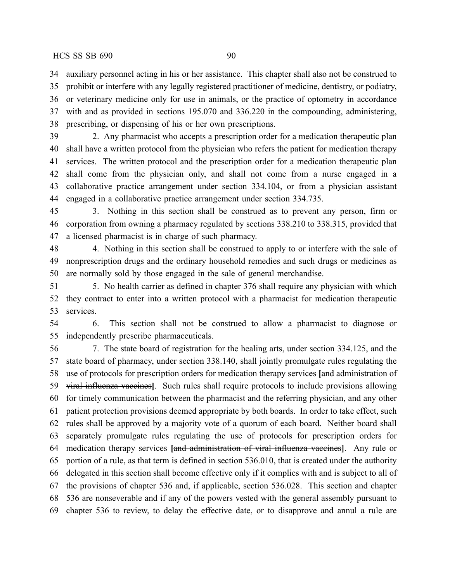auxiliary personnel acting in his or her assistance. This chapter shall also not be construed to prohibit or interfere with any legally registered practitioner of medicine, dentistry, or podiatry, or veterinary medicine only for use in animals, or the practice of optometry in accordance

 with and as provided in sections 195.070 and 336.220 in the compounding, administering, prescribing, or dispensing of his or her own prescriptions.

 2. Any pharmacist who accepts a prescription order for a medication therapeutic plan shall have a written protocol from the physician who refers the patient for medication therapy services. The written protocol and the prescription order for a medication therapeutic plan shall come from the physician only, and shall not come from a nurse engaged in a collaborative practice arrangement under section 334.104, or from a physician assistant engaged in a collaborative practice arrangement under section 334.735.

 3. Nothing in this section shall be construed as to prevent any person, firm or corporation from owning a pharmacy regulated by sections 338.210 to 338.315, provided that a licensed pharmacist is in charge of such pharmacy.

48 48 4. Nothing in this section shall be construed to apply to or interfere with the sale of nonprescription drugs and the ordinary household remedies and such drugs or medicines as are normally sold by those engaged in the sale of general merchandise.

 5. No health carrier as defined in chapter 376 shall require any physician with which they contract to enter into a written protocol with a pharmacist for medication therapeutic services.

 6. This section shall not be construed to allow a pharmacist to diagnose or independently prescribe pharmaceuticals.

 7. The state board of registration for the healing arts, under section 334.125, and the state board of pharmacy, under section 338.140, shall jointly promulgate rules regulating the use of protocols for prescription orders for medication therapy services **[**and administration of viral influenza vaccines**]**. Such rules shall require protocols to include provisions allowing for timely communication between the pharmacist and the referring physician, and any other patient protection provisions deemed appropriate by both boards. In order to take effect, such rules shall be approved by a majority vote of a quorum of each board. Neither board shall separately promulgate rules regulating the use of protocols for prescription orders for medication therapy services **[**and administration of viral influenza vaccines**]**. Any rule or portion of a rule, as that term is defined in section 536.010, that is created under the authority delegated in this section shall become effective only if it complies with and is subject to all of the provisions of chapter 536 and, if applicable, section 536.028. This section and chapter 536 are nonseverable and if any of the powers vested with the general assembly pursuant to chapter 536 to review, to delay the effective date, or to disapprove and annul a rule are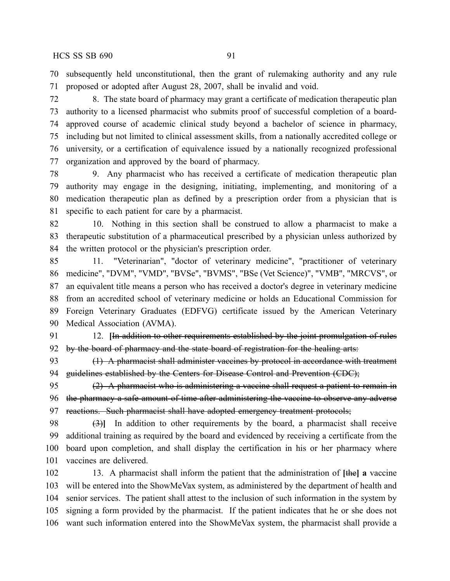subsequently held unconstitutional, then the grant of rulemaking authority and any rule proposed or adopted after August 28, 2007, shall be invalid and void.

 8. The state board of pharmacy may grant a certificate of medication therapeutic plan authority to a licensed pharmacist who submits proof of successful completion of a board- approved course of academic clinical study beyond a bachelor of science in pharmacy, including but not limited to clinical assessment skills, from a nationally accredited college or university, or a certification of equivalence issued by a nationally recognized professional organization and approved by the board of pharmacy.

 9. Any pharmacist who has received a certificate of medication therapeutic plan authority may engage in the designing, initiating, implementing, and monitoring of a medication therapeutic plan as defined by a prescription order from a physician that is specific to each patient for care by a pharmacist.

 10. Nothing in this section shall be construed to allow a pharmacist to make a therapeutic substitution of a pharmaceutical prescribed by a physician unless authorized by the written protocol or the physician's prescription order.

 11. "Veterinarian", "doctor of veterinary medicine", "practitioner of veterinary medicine", "DVM", "VMD", "BVSe", "BVMS", "BSe (Vet Science)", "VMB", "MRCVS", or an equivalent title means a person who has received a doctor's degree in veterinary medicine from an accredited school of veterinary medicine or holds an Educational Commission for Foreign Veterinary Graduates (EDFVG) certificate issued by the American Veterinary Medical Association (AVMA).

 12. **[**In addition to other requirements established by the joint promulgation of rules 92 by the board of pharmacy and the state board of registration for the healing arts:

93 (1) A pharmacist shall administer vaccines by protocol in accordance with treatment 94 guidelines established by the Centers for Disease Control and Prevention (CDC);

95 (2) A pharmacist who is administering a vaccine shall request a patient to remain in 96 the pharmacy a safe amount of time after administering the vaccine to observe any adverse 97 reactions. Such pharmacist shall have adopted emergency treatment protocols;

 (3)**]** In addition to other requirements by the board, a pharmacist shall receive additional training as required by the board and evidenced by receiving a certificate from the board upon completion, and shall display the certification in his or her pharmacy where vaccines are delivered.

 13. A pharmacist shall inform the patient that the administration of **[**the**] a** vaccine will be entered into the ShowMeVax system, as administered by the department of health and senior services. The patient shall attest to the inclusion of such information in the system by signing a form provided by the pharmacist. If the patient indicates that he or she does not want such information entered into the ShowMeVax system, the pharmacist shall provide a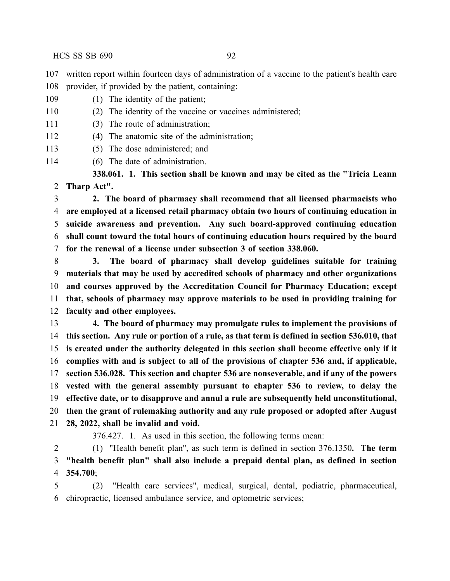written report within fourteen days of administration of a vaccine to the patient's health care provider, if provided by the patient, containing:

- 109 (1) The identity of the patient;
- 110 (2) The identity of the vaccine or vaccines administered;
- (3) The route of administration;
- (4) The anatomic site of the administration;
- (5) The dose administered; and
- 114 (6) The date of administration.

**338.061. 1. This section shall be known and may be cited as the "Tricia Leann Tharp Act".**

 **2. The board of pharmacy shall recommend that all licensed pharmacists who are employed at a licensed retail pharmacy obtain two hours of continuing education in suicide awareness and prevention. Any such board-approved continuing education shall count toward the total hours of continuing education hours required by the board for the renewal of a license under subsection 3 of section 338.060.**

 **3. The board of pharmacy shall develop guidelines suitable for training materials that may be used by accredited schools of pharmacy and other organizations and courses approved by the Accreditation Council for Pharmacy Education; except that, schools of pharmacy may approve materials to be used in providing training for faculty and other employees.**

 **4. The board of pharmacy may promulgate rules to implement the provisions of this section. Any rule or portion of a rule, as that term is defined in section 536.010, that is created under the authority delegated in this section shall become effective only if it complies with and is subject to all of the provisions of chapter 536 and, if applicable, section 536.028. This section and chapter 536 are nonseverable, and if any of the powers vested with the general assembly pursuant to chapter 536 to review, to delay the effective date, or to disapprove and annul a rule are subsequently held unconstitutional, then the grant of rulemaking authority and any rule proposed or adopted after August 28, 2022, shall be invalid and void.**

376.427. 1. As used in this section, the following terms mean:

 (1) "Health benefit plan", as such term is defined in section 376.1350**. The term "health benefit plan" shall also include a prepaid dental plan, as defined in section 354.700**;

 (2) "Health care services", medical, surgical, dental, podiatric, pharmaceutical, chiropractic, licensed ambulance service, and optometric services;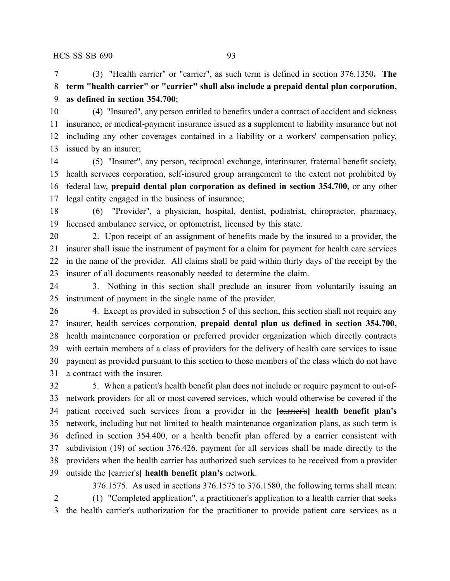(3) "Health carrier" or "carrier", as such term is defined in section 376.1350**. The term "health carrier" or "carrier" shall also include a prepaid dental plan corporation, as defined in section 354.700**;

 (4) "Insured", any person entitled to benefits under a contract of accident and sickness insurance, or medical-payment insurance issued as a supplement to liability insurance but not including any other coverages contained in a liability or a workers' compensation policy, issued by an insurer;

 (5) "Insurer", any person, reciprocal exchange, interinsurer, fraternal benefit society, health services corporation, self-insured group arrangement to the extent not prohibited by federal law, **prepaid dental plan corporation as defined in section 354.700,** or any other legal entity engaged in the business of insurance;

 (6) "Provider", a physician, hospital, dentist, podiatrist, chiropractor, pharmacy, licensed ambulance service, or optometrist, licensed by this state.

 2. Upon receipt of an assignment of benefits made by the insured to a provider, the insurer shall issue the instrument of payment for a claim for payment for health care services in the name of the provider. All claims shall be paid within thirty days of the receipt by the insurer of all documents reasonably needed to determine the claim.

 3. Nothing in this section shall preclude an insurer from voluntarily issuing an instrument of payment in the single name of the provider.

26 4. Except as provided in subsection 5 of this section, this section shall not require any insurer, health services corporation, **prepaid dental plan as defined in section 354.700,** health maintenance corporation or preferred provider organization which directly contracts with certain members of a class of providers for the delivery of health care services to issue payment as provided pursuant to this section to those members of the class which do not have a contract with the insurer.

 5. When a patient's health benefit plan does not include or require payment to out-of- network providers for all or most covered services, which would otherwise be covered if the patient received such services from a provider in the **[**carrier's**] health benefit plan's** network, including but not limited to health maintenance organization plans, as such term is defined in section 354.400, or a health benefit plan offered by a carrier consistent with subdivision (19) of section 376.426, payment for all services shall be made directly to the providers when the health carrier has authorized such services to be received from a provider outside the **[**carrier's**] health benefit plan's** network.

376.1575. As used in sections 376.1575 to 376.1580, the following terms shall mean: (1) "Completed application", a practitioner's application to a health carrier that seeks the health carrier's authorization for the practitioner to provide patient care services as a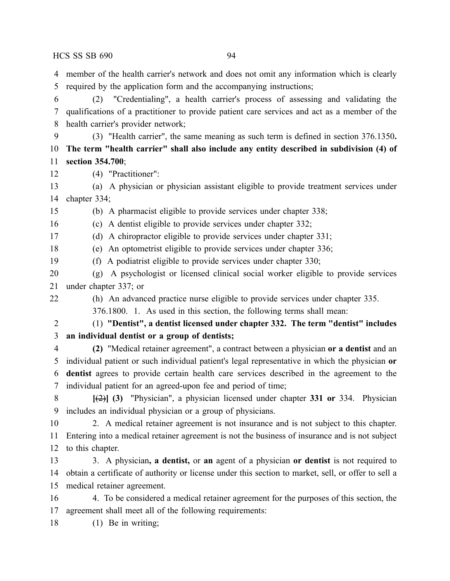member of the health carrier's network and does not omit any information which is clearly required by the application form and the accompanying instructions;

 (2) "Credentialing", a health carrier's process of assessing and validating the qualifications of a practitioner to provide patient care services and act as a member of the health carrier's provider network;

 (3) "Health carrier", the same meaning as such term is defined in section 376.1350**. The term "health carrier" shall also include any entity described in subdivision (4) of section 354.700**;

(4) "Practitioner":

 (a) A physician or physician assistant eligible to provide treatment services under chapter 334;

(b) A pharmacist eligible to provide services under chapter 338;

(c) A dentist eligible to provide services under chapter 332;

(d) A chiropractor eligible to provide services under chapter 331;

(e) An optometrist eligible to provide services under chapter 336;

(f) A podiatrist eligible to provide services under chapter 330;

- (g) A psychologist or licensed clinical social worker eligible to provide services under chapter 337; or
- 

(h) An advanced practice nurse eligible to provide services under chapter 335.

376.1800. 1. As used in this section, the following terms shall mean:

 (1) **"Dentist", a dentist licensed under chapter 332. The term "dentist" includes an individual dentist or a group of dentists;**

 **(2)** "Medical retainer agreement", a contract between a physician **or a dentist** and an individual patient or such individual patient's legal representative in which the physician **or dentist** agrees to provide certain health care services described in the agreement to the individual patient for an agreed-upon fee and period of time;

 **[**(2)**] (3)** "Physician", a physician licensed under chapter **331 or** 334. Physician includes an individual physician or a group of physicians.

 2. A medical retainer agreement is not insurance and is not subject to this chapter. Entering into a medical retainer agreement is not the business of insurance and is not subject to this chapter.

 3. A physician**, a dentist,** or **an** agent of a physician **or dentist** is not required to obtain a certificate of authority or license under this section to market, sell, or offer to sell a medical retainer agreement.

 4. To be considered a medical retainer agreement for the purposes of this section, the agreement shall meet all of the following requirements:

18 (1) Be in writing;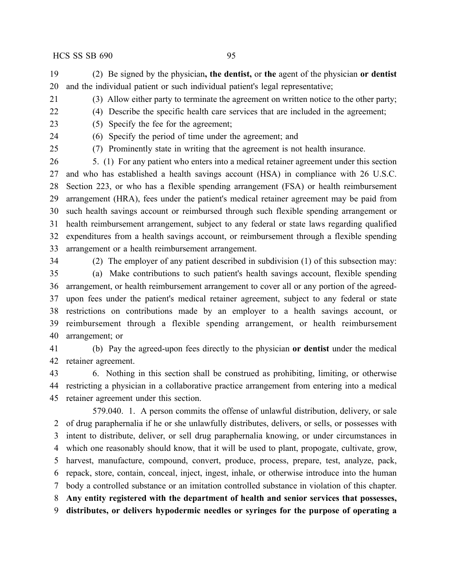(2) Be signed by the physician**, the dentist,** or **the** agent of the physician **or dentist** and the individual patient or such individual patient's legal representative;

- (3) Allow either party to terminate the agreement on written notice to the other party;
- (4) Describe the specific health care services that are included in the agreement;
- (5) Specify the fee for the agreement;

(6) Specify the period of time under the agreement; and

(7) Prominently state in writing that the agreement is not health insurance.

 5. (1) For any patient who enters into a medical retainer agreement under this section and who has established a health savings account (HSA) in compliance with 26 U.S.C. Section 223, or who has a flexible spending arrangement (FSA) or health reimbursement arrangement (HRA), fees under the patient's medical retainer agreement may be paid from such health savings account or reimbursed through such flexible spending arrangement or health reimbursement arrangement, subject to any federal or state laws regarding qualified expenditures from a health savings account, or reimbursement through a flexible spending arrangement or a health reimbursement arrangement.

(2) The employer of any patient described in subdivision (1) of this subsection may:

 (a) Make contributions to such patient's health savings account, flexible spending arrangement, or health reimbursement arrangement to cover all or any portion of the agreed- upon fees under the patient's medical retainer agreement, subject to any federal or state restrictions on contributions made by an employer to a health savings account, or reimbursement through a flexible spending arrangement, or health reimbursement arrangement; or

 (b) Pay the agreed-upon fees directly to the physician **or dentist** under the medical retainer agreement.

 6. Nothing in this section shall be construed as prohibiting, limiting, or otherwise restricting a physician in a collaborative practice arrangement from entering into a medical retainer agreement under this section.

579.040. 1. A person commits the offense of unlawful distribution, delivery, or sale of drug paraphernalia if he or she unlawfully distributes, delivers, or sells, or possesses with intent to distribute, deliver, or sell drug paraphernalia knowing, or under circumstances in which one reasonably should know, that it will be used to plant, propogate, cultivate, grow, harvest, manufacture, compound, convert, produce, process, prepare, test, analyze, pack, repack, store, contain, conceal, inject, ingest, inhale, or otherwise introduce into the human body a controlled substance or an imitation controlled substance in violation of this chapter. **Any entity registered with the department of health and senior services that possesses,**

**distributes, or delivers hypodermic needles or syringes for the purpose of operating a**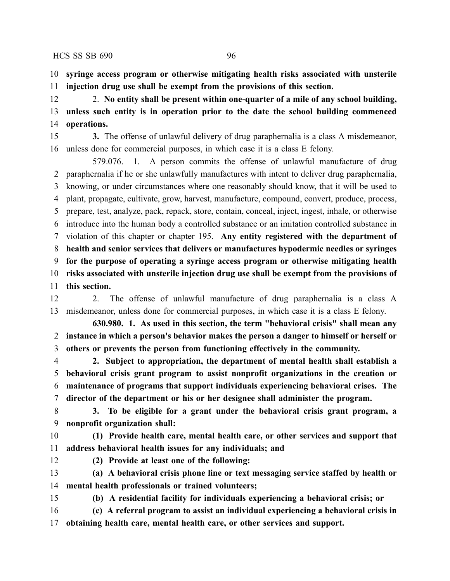**syringe access program or otherwise mitigating health risks associated with unsterile injection drug use shall be exempt from the provisions of this section.**

 2. **No entity shall be present within one-quarter of a mile of any school building, unless such entity is in operation prior to the date the school building commenced operations.**

 **3.** The offense of unlawful delivery of drug paraphernalia is a class A misdemeanor, unless done for commercial purposes, in which case it is a class E felony.

579.076. 1. A person commits the offense of unlawful manufacture of drug paraphernalia if he or she unlawfully manufactures with intent to deliver drug paraphernalia, knowing, or under circumstances where one reasonably should know, that it will be used to plant, propagate, cultivate, grow, harvest, manufacture, compound, convert, produce, process, prepare, test, analyze, pack, repack, store, contain, conceal, inject, ingest, inhale, or otherwise introduce into the human body a controlled substance or an imitation controlled substance in violation of this chapter or chapter 195. **Any entity registered with the department of health and senior services that delivers or manufactures hypodermic needles or syringes for the purpose of operating a syringe access program or otherwise mitigating health risks associated with unsterile injection drug use shall be exempt from the provisions of this section.**

 2. The offense of unlawful manufacture of drug paraphernalia is a class A misdemeanor, unless done for commercial purposes, in which case it is a class E felony.

**630.980. 1. As used in this section, the term "behavioral crisis" shall mean any instance in which a person's behavior makes the person a danger to himself or herself or others or prevents the person from functioning effectively in the community.**

 **2. Subject to appropriation, the department of mental health shall establish a behavioral crisis grant program to assist nonprofit organizations in the creation or maintenance of programs that support individuals experiencing behavioral crises. The director of the department or his or her designee shall administer the program.**

 **3. To be eligible for a grant under the behavioral crisis grant program, a nonprofit organization shall:**

 **(1) Provide health care, mental health care, or other services and support that address behavioral health issues for any individuals; and**

**(2) Provide at least one of the following:**

 **(a) A behavioral crisis phone line or text messaging service staffed by health or mental health professionals or trained volunteers;**

**(b) A residential facility for individuals experiencing a behavioral crisis; or**

 **(c) A referral program to assist an individual experiencing a behavioral crisis in obtaining health care, mental health care, or other services and support.**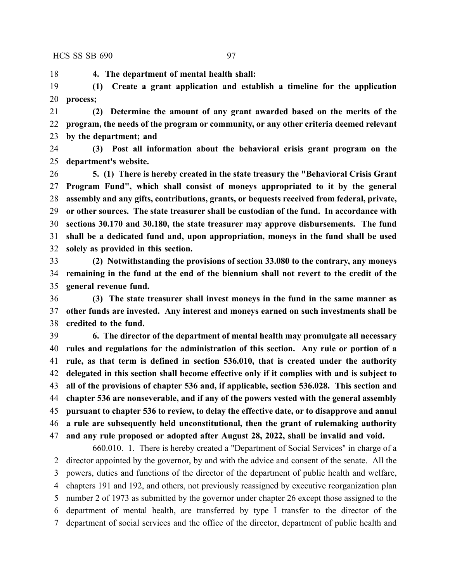**4. The department of mental health shall:**

 **(1) Create a grant application and establish a timeline for the application process;**

 **(2) Determine the amount of any grant awarded based on the merits of the program, the needs of the program or community, or any other criteria deemed relevant by the department; and**

 **(3) Post all information about the behavioral crisis grant program on the department's website.**

 **5. (1) There is hereby created in the state treasury the "Behavioral Crisis Grant Program Fund", which shall consist of moneys appropriated to it by the general assembly and any gifts, contributions, grants, or bequests received from federal, private, or other sources. The state treasurer shall be custodian of the fund. In accordance with sections 30.170 and 30.180, the state treasurer may approve disbursements. The fund shall be a dedicated fund and, upon appropriation, moneys in the fund shall be used solely as provided in this section.**

 **(2) Notwithstanding the provisions of section 33.080 to the contrary, any moneys remaining in the fund at the end of the biennium shall not revert to the credit of the general revenue fund.**

 **(3) The state treasurer shall invest moneys in the fund in the same manner as other funds are invested. Any interest and moneys earned on such investments shall be credited to the fund.**

 **6. The director of the department of mental health may promulgate all necessary rules and regulations for the administration of this section. Any rule or portion of a rule, as that term is defined in section 536.010, that is created under the authority delegated in this section shall become effective only if it complies with and is subject to all of the provisions of chapter 536 and, if applicable, section 536.028. This section and chapter 536 are nonseverable, and if any of the powers vested with the general assembly pursuant to chapter 536 to review, to delay the effective date, or to disapprove and annul a rule are subsequently held unconstitutional, then the grant of rulemaking authority and any rule proposed or adopted after August 28, 2022, shall be invalid and void.**

660.010. 1. There is hereby created a "Department of Social Services" in charge of a director appointed by the governor, by and with the advice and consent of the senate. All the powers, duties and functions of the director of the department of public health and welfare, chapters 191 and 192, and others, not previously reassigned by executive reorganization plan number 2 of 1973 as submitted by the governor under chapter 26 except those assigned to the department of mental health, are transferred by type I transfer to the director of the department of social services and the office of the director, department of public health and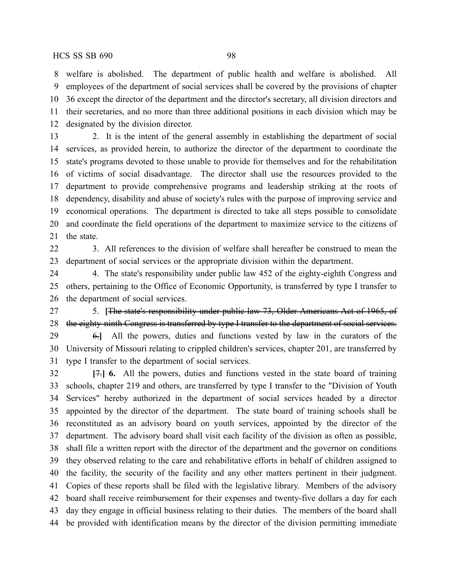welfare is abolished. The department of public health and welfare is abolished. All employees of the department of social services shall be covered by the provisions of chapter 36 except the director of the department and the director's secretary, all division directors and their secretaries, and no more than three additional positions in each division which may be designated by the division director.

 2. It is the intent of the general assembly in establishing the department of social services, as provided herein, to authorize the director of the department to coordinate the state's programs devoted to those unable to provide for themselves and for the rehabilitation of victims of social disadvantage. The director shall use the resources provided to the department to provide comprehensive programs and leadership striking at the roots of dependency, disability and abuse of society's rules with the purpose of improving service and economical operations. The department is directed to take all steps possible to consolidate and coordinate the field operations of the department to maximize service to the citizens of the state.

 3. All references to the division of welfare shall hereafter be construed to mean the department of social services or the appropriate division within the department.

24 4. The state's responsibility under public law 452 of the eighty-eighth Congress and others, pertaining to the Office of Economic Opportunity, is transferred by type I transfer to the department of social services.

 5. **[**The state's responsibility under public law 73, Older Americans Act of 1965, of 28 the eighty-ninth Congress is transferred by type I transfer to the department of social services.

 6.**]** All the powers, duties and functions vested by law in the curators of the University of Missouri relating to crippled children's services, chapter 201, are transferred by type I transfer to the department of social services.

 **[**7.**] 6.** All the powers, duties and functions vested in the state board of training schools, chapter 219 and others, are transferred by type I transfer to the "Division of Youth Services" hereby authorized in the department of social services headed by a director appointed by the director of the department. The state board of training schools shall be reconstituted as an advisory board on youth services, appointed by the director of the department. The advisory board shall visit each facility of the division as often as possible, shall file a written report with the director of the department and the governor on conditions they observed relating to the care and rehabilitative efforts in behalf of children assigned to the facility, the security of the facility and any other matters pertinent in their judgment. Copies of these reports shall be filed with the legislative library. Members of the advisory board shall receive reimbursement for their expenses and twenty-five dollars a day for each day they engage in official business relating to their duties. The members of the board shall be provided with identification means by the director of the division permitting immediate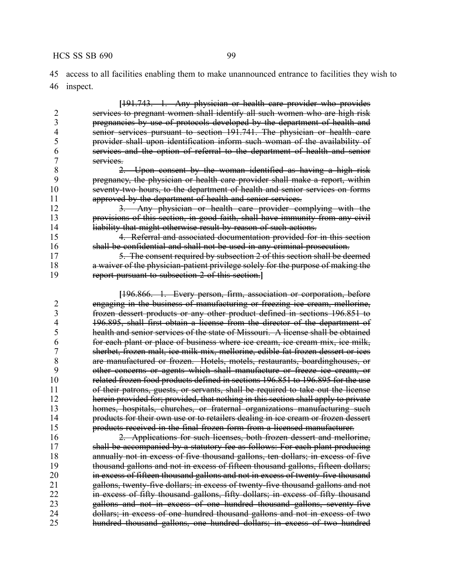access to all facilities enabling them to make unannounced entrance to facilities they wish to inspect.

**[**191.743. 1. Any physician or health care provider who provides 2 services to pregnant women shall identify all such women who are high risk<br>3 pregnancies by use of protocols developed by the department of health and 3 pregnancies by use of protocols developed by the department of health and<br>4 senior services pursuant to section 191.741. The physician or health care 4 senior services pursuant to section 191.741. The physician or health care<br>5 provider shall upon identification inform such woman of the availability of provider shall upon identification inform such woman of the availability of services and the option of referral to the department of health and senior 7 services.<br>8 2 2. Upon consent by the woman identified as having a high risk pregnancy, the physician or health care provider shall make a report, within 10 seventy two hours, to the department of health and senior services on forms approved by the department of health and senior services. 3. Any physician or health care provider complying with the provisions of this section, in good faith, shall have immunity from any civil 14 liability that might otherwise result by reason of such actions. 4. Referral and associated documentation provided for in this section shall be confidential and shall not be used in any criminal prosecution. 17 5. The consent required by subsection 2 of this section shall be deemed a waiver of the physician-patient privilege solely for the purpose of making the report pursuant to subsection 2 of this section.**] [**196.866. 1. Every person, firm, association or corporation, before engaging in the business of manufacturing or freezing ice cream, mellorine, frozen dessert products or any other product defined in sections 196.851 to 4 196.895, shall first obtain a license from the director of the department of 4<br>5 health and senior services of the state of Missouri. A license shall be obtained health and senior services of the state of Missouri. A license shall be obtained for each plant or place of business where ice cream, ice cream mix, ice milk, sherbet, frozen malt, ice milk mix, mellorine, edible fat frozen dessert or ices are manufactured or frozen. Hotels, motels, restaurants, boardinghouses, or other concerns or agents which shall manufacture or freeze ice cream, or related frozen food products defined in sections 196.851 to 196.895 for the use of their patrons, guests, or servants, shall be required to take out the license herein provided for; provided, that nothing in this section shall apply to private homes, hospitals, churches, or fraternal organizations manufacturing such products for their own use or to retailers dealing in ice cream or frozen dessert products received in the final frozen form from a licensed manufacturer. 2. Applications for such licenses, both frozen dessert and mellorine,

 shall be accompanied by a statutory fee as follows: For each plant producing 18 annually not in excess of five thousand gallons, ten dollars; in excess of five thousand gallons and not in excess of fifteen thousand gallons, fifteen dollars; **in excess of fifteen thousand gallons and not in excess of twenty-five thousand** 21 gallons, twenty-five dollars; in excess of twenty-five thousand gallons and not 22 in excess of fifty thousand gallons, fifty dollars; in excess of fifty thousand gallons and not in excess of one hundred thousand gallons, seventy-five dollars; in excess of one hundred thousand gallons and not in excess of two hundred thousand gallons, one hundred dollars; in excess of two hundred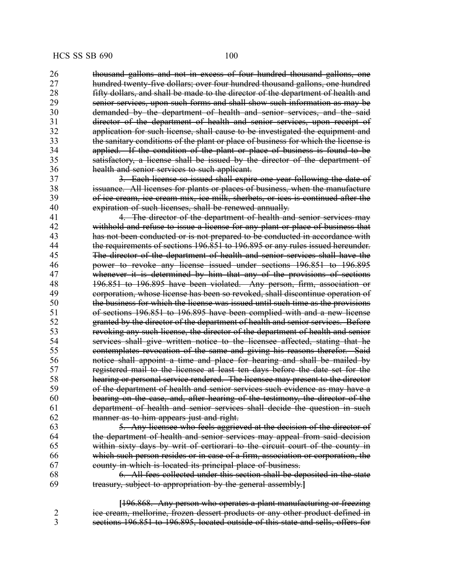26 thousand gallons and not in excess of four hundred thousand gallons, one 27 hundred twenty-five dollars; over four hundred thousand gallons, one hundred<br>28 **hour fifty dollars, and shall be made to the director of the department of health and** fifty dollars, and shall be made to the director of the department of health and 29 senior services, upon such forms and shall show such information as may be 30 demanded by the department of health and senior services, and the said<br>31 director of the department of health and senior services, upon receipt of director of the department of health and senior services, upon receipt of 32 application for such license, shall cause to be investigated the equipment and 33 the sanitary conditions of the plant or place of business for which the license is<br>34 **homoral applied.** If the condition of the plant or place of business is found to be applied. If the condition of the plant or place of business is found to be 35 satisfactory, a license shall be issued by the director of the department of 36 health and senior services to such applicant.

37 3. Each license so issued shall expire one year following the date of 38 issuance. All licenses for plants or places of business, when the manufacture<br>39 of ice cream, ice cream mix, ice milk, sherbets, or ices is continued after the of ice cream, ice cream mix, ice milk, sherbets, or ices is continued after the 40 expiration of such licenses, shall be renewed annually.

4. The director of the department of health and senior services may 42 withhold and refuse to issue a license for any plant or place of business that has not been conducted or is not prepared to be conducted in accordance with 44 the requirements of sections 196.851 to 196.895 or any rules issued hereunder.<br>45 The director of the department of health and senior services shall have the The director of the department of health and senior services shall have the power to revoke any license issued under sections 196.851 to 196.895 whenever it is determined by him that any of the provisions of sections 196.851 to 196.895 have been violated. Any person, firm, association or corporation, whose license has been so revoked, shall discontinue operation of the business for which the license was issued until such time as the provisions of sections 196.851 to 196.895 have been complied with and a new license granted by the director of the department of health and senior services. Before revoking any such license, the director of the department of health and senior services shall give written notice to the licensee affected, stating that he contemplates revocation of the same and giving his reasons therefor. Said notice shall appoint a time and place for hearing and shall be mailed by 57 registered mail to the licensee at least ten days before the date set for the<br>58 hearing or personal service rendered. The licensee may present to the director 58 hearing or personal service rendered. The licensee may present to the director<br>59 of the department of health and senior services such evidence as may have a of the department of health and senior services such evidence as may have a bearing on the case, and, after hearing of the testimony, the director of the department of health and senior services shall decide the question in such manner as to him appears just and right.

63 5. Any licensee who feels aggrieved at the decision of the director of 64 the department of health and senior services may appeal from said decision the department of health and senior services may appeal from said decision 65 within sixty days by writ of certiorari to the circuit court of the county in 66 which such person resides or in case of a firm, association or corporation, the 67 county in which is located its principal place of business.

68 6. All fees collected under this section shall be deposited in the state  $69$  treasury, subject to appropriation by the general assembly. 69 treasury, subject to appropriation by the general assembly.**]**

**[**196.868. Any person who operates a plant manufacturing or freezing 2 ice cream, mellorine, frozen dessert products or any other product defined in 3 sections 196.851 to 196.895, located outside of this state and sells, offers for